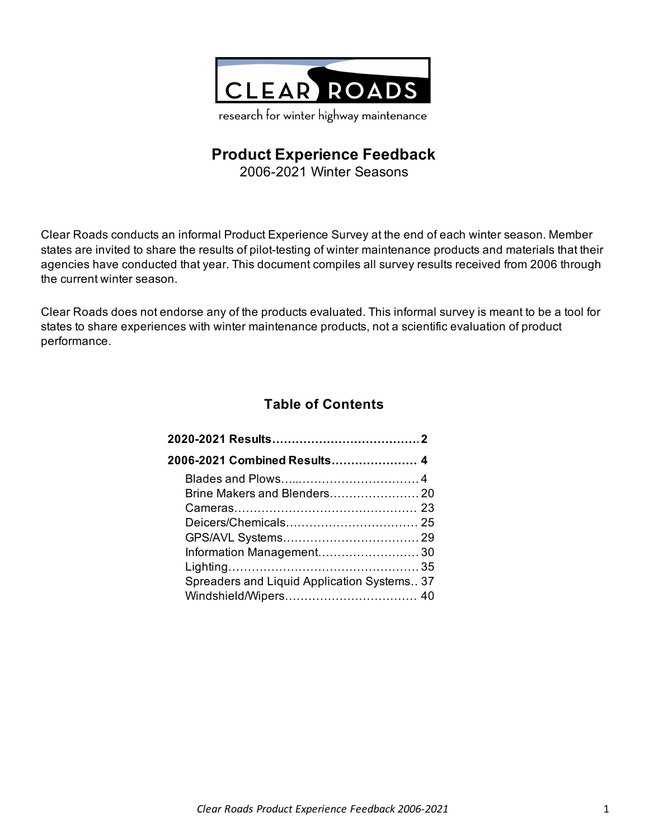

# **Product Experience Feedback**

2006-2021 Winter Seasons

Clear Roads conducts an informal Product Experience Survey at the end of each winter season. Member states are invited to share the results of pilot-testing of winter maintenance products and materials that their agencies have conducted that year. This document compiles all survey results received from 2006 through the current winter season.

Clear Roads does not endorse any of the products evaluated. This informal survey is meant to be a tool for states to share experiences with winter maintenance products, not a scientific evaluation of product performance.

# **Table of Contents**

| Spreaders and Liquid Application Systems 37 |  |
|---------------------------------------------|--|
|                                             |  |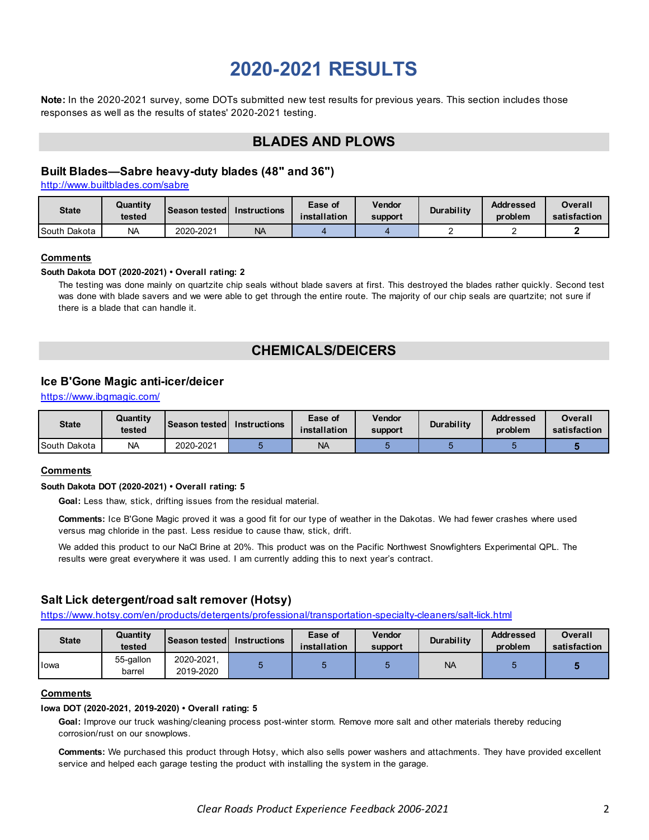# **2020-2021 RESULTS**

<span id="page-1-0"></span>**Note:** In the 2020-2021 survey, some DOTs submitted new test results for previous years. This section includes those responses as well as the results of states' 2020-2021 testing.

# **BLADES AND PLOWS**

# **Built Blades—Sabre heavy-duty blades (48" and 36")**

http://www.builtblades.com/sabre

| <b>State</b> | Quantity<br>tested | <b>∆ISeason tested</b> | <b>Instructions</b> | Ease of<br>installation | <b>Vendor</b><br><b>support</b> | Durability | <b>Addressed</b><br>problem | Overall<br>satisfaction |
|--------------|--------------------|------------------------|---------------------|-------------------------|---------------------------------|------------|-----------------------------|-------------------------|
| South Dakota | <b>NA</b>          | 2020-2021              | <b>NA</b>           |                         |                                 |            |                             |                         |

#### **Comments**

#### **South Dakota DOT (2020-2021) • Overall rating: 2**

The testing was done mainly on quartzite chip seals without blade savers at first. This destroyed the blades rather quickly. Second test was done with blade savers and we were able to get through the entire route. The majority of our chip seals are quartzite; not sure if there is a blade that can handle it.

# **CHEMICALS/DEICERS**

# **Ice B'Gone Magic anti-icer/deicer**

https://www.ibgmagic.com/

| <b>State</b> | Quantity<br>tested | <b>Season tested</b> | <b>Instructions</b> | Ease of<br>installation | Vendor<br>support | <b>Durability</b> | <b>Addressed</b><br>problem | Overall<br>satisfaction |
|--------------|--------------------|----------------------|---------------------|-------------------------|-------------------|-------------------|-----------------------------|-------------------------|
| South Dakota | <b>NA</b>          | 2020-2021            |                     | <b>NA</b>               |                   |                   |                             |                         |

### **Comments**

#### **South Dakota DOT (2020-2021) • Overall rating: 5**

**Goal:** Less thaw, stick, drifting issues from the residual material.

**Comments:** Ice B'Gone Magic proved it was a good fit for our type of weather in the Dakotas. We had fewer crashes where used versus mag chloride in the past. Less residue to cause thaw, stick, drift.

We added this product to our NaCl Brine at 20%. This product was on the Pacific Northwest Snowfighters Experimental QPL. The results were great everywhere it was used. I am currently adding this to next year's contract.

# **Salt Lick detergent/road salt remover (Hotsy)**

https://www.hotsy.com/en/products/detergents/professional/transportation-specialty-cleaners/salt-lick.html

| <b>State</b> | Quantity<br>tested  | <b>Season tested I</b>  | <b>Instructions</b> | Ease of<br>installation | Vendor<br>support | Durability | <b>Addressed</b><br>problem | Overall<br>satisfaction |
|--------------|---------------------|-------------------------|---------------------|-------------------------|-------------------|------------|-----------------------------|-------------------------|
| Iowa         | 55-gallon<br>barrel | 2020-2021,<br>2019-2020 |                     |                         |                   | <b>NA</b>  |                             |                         |

#### **Comments**

#### **Iowa DOT (2020-2021, 2019-2020) • Overall rating: 5**

**Goal:** Improve our truck washing/cleaning process post-winter storm. Remove more salt and other materials thereby reducing corrosion/rust on our snowplows.

**Comments:** We purchased this product through Hotsy, which also sells power washers and attachments. They have provided excellent service and helped each garage testing the product with installing the system in the garage.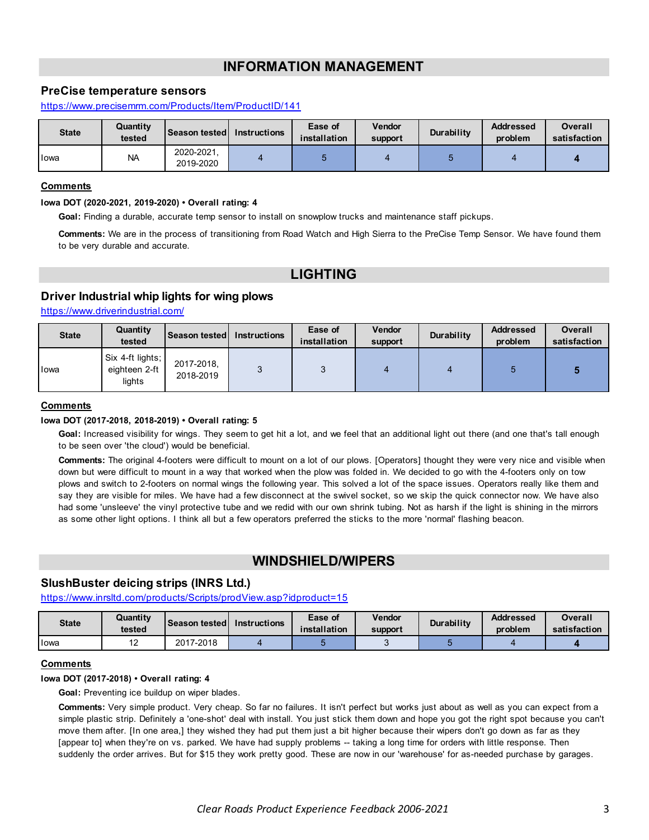# **INFORMATION MANAGEMENT**

# **PreCise temperature sensors**

https://www.precisemrm.com/Products/Item/ProductID/141

| <b>State</b> | Quantity<br>tested | <b>Season tested</b>    | <b>Instructions</b> | Ease of<br>installation | Vendor<br>support | <b>Durability</b> | <b>Addressed</b><br>problem | Overall<br>satisfaction |
|--------------|--------------------|-------------------------|---------------------|-------------------------|-------------------|-------------------|-----------------------------|-------------------------|
| lowa         | <b>NA</b>          | 2020-2021.<br>2019-2020 |                     |                         |                   |                   |                             |                         |

### **Comments**

#### **Iowa DOT (2020-2021, 2019-2020) • Overall rating: 4**

**Goal:** Finding a durable, accurate temp sensor to install on snowplow trucks and maintenance staff pickups.

**Comments:** We are in the process of transitioning from Road Watch and High Sierra to the PreCise Temp Sensor. We have found them to be very durable and accurate.

# **LIGHTING**

## **Driver Industrial whip lights for wing plows**

https://www.driverindustrial.com/

| <b>State</b> | Quantity<br>tested                          | <b>Season tested I</b>  | <b>Instructions</b> | Ease of<br>installation | <b>Vendor</b><br>support | Durability | <b>Addressed</b><br>problem | <b>Overall</b><br>satisfaction |
|--------------|---------------------------------------------|-------------------------|---------------------|-------------------------|--------------------------|------------|-----------------------------|--------------------------------|
| Iowa         | Six 4-ft lights;<br>eighteen 2-ft<br>lights | 2017-2018,<br>2018-2019 |                     |                         |                          |            |                             |                                |

#### **Comments**

#### **Iowa DOT (2017-2018, 2018-2019) • Overall rating: 5**

**Goal:** Increased visibility for wings. They seem to get hit a lot, and we feel that an additional light out there (and one that's tall enough to be seen over 'the cloud') would be beneficial.

**Comments:** The original 4-footers were difficult to mount on a lot of our plows. [Operators] thought they were very nice and visible when down but were difficult to mount in a way that worked when the plow was folded in. We decided to go with the 4-footers only on tow plows and switch to 2-footers on normal wings the following year. This solved a lot of the space issues. Operators really like them and say they are visible for miles. We have had a few disconnect at the swivel socket, so we skip the quick connector now. We have also had some 'unsleeve' the vinyl protective tube and we redid with our own shrink tubing. Not as harsh if the light is shining in the mirrors as some other light options. I think all but a few operators preferred the sticks to the more 'normal' flashing beacon.

# **WINDSHIELD/WIPERS**

### **SlushBuster deicing strips (INRS Ltd.)**

https://www.inrsltd.com/products/Scripts/prodView.asp?idproduct=15

| <b>State</b> | Quantity<br>tested | <b>Season tested I</b> | <b>Instructions</b> | Ease of<br>installation | Vendor<br>support | <b>Durability</b> | <b>Addressed</b><br>problem | Overall<br>satisfaction |
|--------------|--------------------|------------------------|---------------------|-------------------------|-------------------|-------------------|-----------------------------|-------------------------|
| <b>I</b> owa | $\sim$<br>╺        | 2017-2018              |                     |                         |                   |                   |                             |                         |

### **Comments**

**Iowa DOT (2017-2018) • Overall rating: 4**

**Goal:** Preventing ice buildup on wiper blades.

**Comments:** Very simple product. Very cheap. So far no failures. It isn't perfect but works just about as well as you can expect from a simple plastic strip. Definitely a 'one-shot' deal with install. You just stick them down and hope you got the right spot because you can't move them after. [In one area,] they wished they had put them just a bit higher because their wipers don't go down as far as they [appear to] when they're on vs. parked. We have had supply problems -- taking a long time for orders with little response. Then suddenly the order arrives. But for \$15 they work pretty good. These are now in our 'warehouse' for as-needed purchase by garages.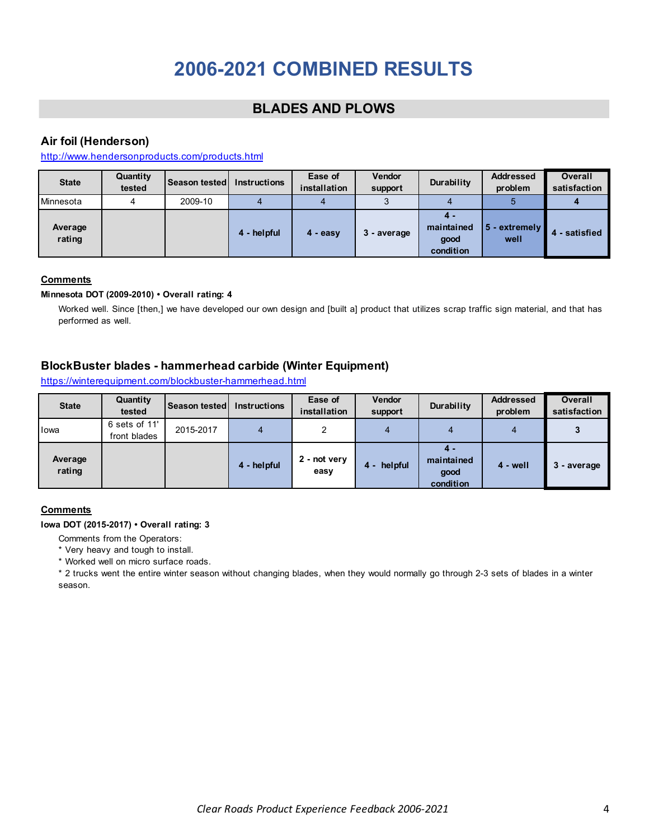# **2006-2021 COMBINED RESULTS**

# **BLADES AND PLOWS**

# <span id="page-3-0"></span>**Air foil (Henderson)**

http://www.hendersonproducts.com/products.html

| <b>State</b>      | Quantity<br>tested | Season tested | <b>Instructions</b> | Ease of<br>installation | <b>Vendor</b><br>support | Durability                             | <b>Addressed</b><br>problem | <b>Overall</b><br>satisfaction |
|-------------------|--------------------|---------------|---------------------|-------------------------|--------------------------|----------------------------------------|-----------------------------|--------------------------------|
| Minnesota         | 4                  | 2009-10       |                     |                         |                          |                                        | b                           |                                |
| Average<br>rating |                    |               | 4 - helpful         | 4 - easy                | 3 - average              | 4 -<br>maintained<br>good<br>condition | 5 - extremely<br>well       | $\blacksquare$ - satisfied     |

# **Comments**

### **Minnesota DOT (2009-2010) • Overall rating: 4**

Worked well. Since [then,] we have developed our own design and [built a] product that utilizes scrap traffic sign material, and that has performed as well.

# **BlockBuster blades - hammerhead carbide (Winter Equipment)**

| <b>State</b>      | Quantity<br>tested            | <b>Season tested</b> | <b>Instructions</b> | Ease of<br>installation | <b>Vendor</b><br>support | Durability                             | <b>Addressed</b><br>problem | <b>Overall</b><br>satisfaction |
|-------------------|-------------------------------|----------------------|---------------------|-------------------------|--------------------------|----------------------------------------|-----------------------------|--------------------------------|
| lowa              | 6 sets of 11'<br>front blades | 2015-2017            |                     |                         |                          | 4                                      | 4                           |                                |
| Average<br>rating |                               |                      | 4 - helpful         | 2 - not very<br>easy    | helpful<br>4 -           | 4 -<br>maintained<br>good<br>condition | $4 - well$                  | 3 - average                    |

https://winterequipment.com/blockbuster-hammerhead.html

### **Comments**

### **Iowa DOT (2015-2017) • Overall rating: 3**

- Comments from the Operators:
- \* Very heavy and tough to install.
- \* Worked well on micro surface roads.

\* 2 trucks went the entire winter season without changing blades, when they would normally go through 2-3 sets of blades in a winter season.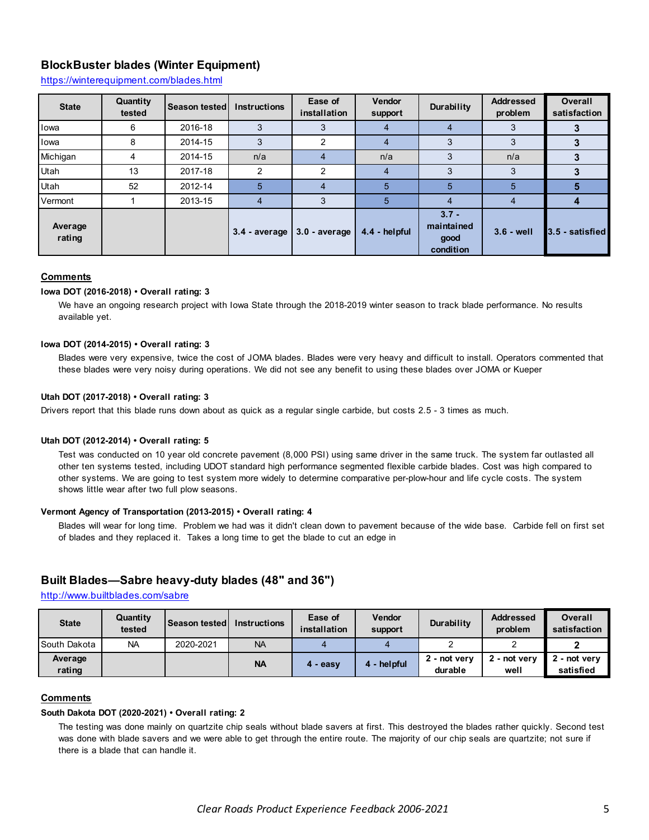# **BlockBuster blades (Winter Equipment)**

https://winterequipment.com/blades.html

| <b>State</b>      | Quantity<br>tested | Season tested | <b>Instructions</b> | Ease of<br>installation | <b>Vendor</b><br>support | Durability                                 | <b>Addressed</b><br>problem | <b>Overall</b><br>satisfaction |
|-------------------|--------------------|---------------|---------------------|-------------------------|--------------------------|--------------------------------------------|-----------------------------|--------------------------------|
| lowa              | 6                  | 2016-18       | 3                   | з                       | 4                        | 4                                          | 3                           |                                |
| Iowa              | 8                  | 2014-15       | 3                   |                         | 4                        | 3                                          | 3                           |                                |
| Michigan          | 4                  | 2014-15       | n/a                 |                         | n/a                      | 3                                          | n/a                         | 3                              |
| Utah              | 13                 | 2017-18       | 2                   | 2                       | 4                        | 3                                          | 3                           |                                |
| Utah              | 52                 | 2012-14       | 5                   |                         | 5                        | 5                                          | 5                           | 5                              |
| Vermont           |                    | 2013-15       | 4                   | 3                       | 5                        | $\overline{4}$                             | 4                           | 4                              |
| Average<br>rating |                    |               | $3.4$ - average     | $3.0 - average$         | 4.4 - helpful            | $3.7 -$<br>maintained<br>good<br>condition | $3.6 - well$                | 3.5 - satisfied                |

#### **Comments**

#### **Iowa DOT (2016-2018) • Overall rating: 3**

We have an ongoing research project with Iowa State through the 2018-2019 winter season to track blade performance. No results available yet.

#### **Iowa DOT (2014-2015) • Overall rating: 3**

Blades were very expensive, twice the cost of JOMA blades. Blades were very heavy and difficult to install. Operators commented that these blades were very noisy during operations. We did not see any benefit to using these blades over JOMA or Kueper

#### **Utah DOT (2017-2018) • Overall rating: 3**

Drivers report that this blade runs down about as quick as a regular single carbide, but costs 2.5 - 3 times as much.

#### **Utah DOT (2012-2014) • Overall rating: 5**

Test was conducted on 10 year old concrete pavement (8,000 PSI) using same driver in the same truck. The system far outlasted all other ten systems tested, including UDOT standard high performance segmented flexible carbide blades. Cost was high compared to other systems. We are going to test system more widely to determine comparative per-plow-hour and life cycle costs. The system shows little wear after two full plow seasons.

#### **Vermont Agency of Transportation (2013-2015) • Overall rating: 4**

Blades will wear for long time. Problem we had was it didn't clean down to pavement because of the wide base. Carbide fell on first set of blades and they replaced it. Takes a long time to get the blade to cut an edge in

# **Built Blades—Sabre heavy-duty blades (48" and 36")**

http://www.builtblades.com/sabre

| <b>State</b>      | Quantity<br>tested | <b>Season tested</b> | <b>Instructions</b> | Ease of<br>installation | <b>Vendor</b><br>support | Durability              | <b>Addressed</b><br>problem | <b>Overall</b><br>satisfaction |
|-------------------|--------------------|----------------------|---------------------|-------------------------|--------------------------|-------------------------|-----------------------------|--------------------------------|
| South Dakota      | <b>NA</b>          | 2020-2021            | <b>NA</b>           |                         |                          |                         |                             |                                |
| Average<br>rating |                    |                      | <b>NA</b>           | 4 - easv                | 4 - helpful              | 2 - not verv<br>durable | 2 - not very<br>well        | - not verv<br>satisfied        |

#### **Comments**

#### **South Dakota DOT (2020-2021) • Overall rating: 2**

The testing was done mainly on quartzite chip seals without blade savers at first. This destroyed the blades rather quickly. Second test was done with blade savers and we were able to get through the entire route. The majority of our chip seals are quartzite; not sure if there is a blade that can handle it.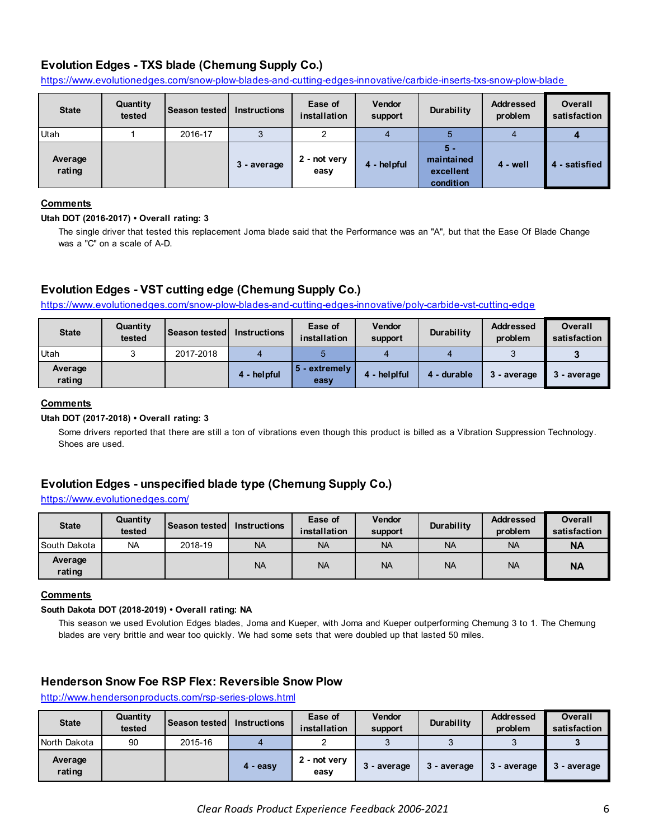# **Evolution Edges - TXS blade (Chemung Supply Co.)**

https://www.evolutionedges.com/snow-plow-blades-and-cutting-edges-innovative/carbide-inserts-txs-snow-plow-blade

| <b>State</b>      | Quantity<br>tested | <b>Season tested</b> | <b>Instructions</b> | Ease of<br>installation | <b>Vendor</b><br>support | Durability                                  | <b>Addressed</b><br>problem | <b>Overall</b><br>satisfaction |
|-------------------|--------------------|----------------------|---------------------|-------------------------|--------------------------|---------------------------------------------|-----------------------------|--------------------------------|
| Utah              |                    | 2016-17              |                     |                         |                          |                                             |                             |                                |
| Average<br>rating |                    |                      | 3 - average         | 2 - not very<br>easy    | 4 - helpful              | 5 -<br>maintained<br>excellent<br>condition | 4 - well                    | - satisfied<br>4               |

### **Comments**

### **Utah DOT (2016-2017) • Overall rating: 3**

The single driver that tested this replacement Joma blade said that the Performance was an "A", but that the Ease Of Blade Change was a "C" on a scale of A-D.

# **Evolution Edges - VST cutting edge (Chemung Supply Co.)**

https://www.evolutionedges.com/snow-plow-blades-and-cutting-edges-innovative/poly-carbide-vst-cutting-edge

| <b>State</b>      | Quantity<br>tested | <b>Season tested l</b> | <b>Instructions</b> | Ease of<br>installation | Vendor<br>support | Durability  | <b>Addressed</b><br>problem | <b>Overall</b><br>satisfaction |
|-------------------|--------------------|------------------------|---------------------|-------------------------|-------------------|-------------|-----------------------------|--------------------------------|
| <b>Utah</b>       |                    | 2017-2018              |                     |                         |                   |             |                             |                                |
| Average<br>rating |                    |                        | 4 - helpful         | 5 - extremely<br>easy   | 4 - helplful      | 4 - durable | l-average                   | 3 - average                    |

# **Comments**

### **Utah DOT (2017-2018) • Overall rating: 3**

Some drivers reported that there are still a ton of vibrations even though this product is billed as a Vibration Suppression Technology. Shoes are used.

# **Evolution Edges - unspecified blade type (Chemung Supply Co.)**

### https://www.evolutionedges.com/

| <b>State</b>      | Quantity<br>tested | <b>Season tested</b> | <b>Instructions</b> | Ease of<br>installation | <b>Vendor</b><br>support | Durability | <b>Addressed</b><br>problem | <b>Overall</b><br>satisfaction |
|-------------------|--------------------|----------------------|---------------------|-------------------------|--------------------------|------------|-----------------------------|--------------------------------|
| South Dakota      | <b>NA</b>          | 2018-19              | <b>NA</b>           | <b>NA</b>               | <b>NA</b>                | <b>NA</b>  | <b>NA</b>                   | <b>NA</b>                      |
| Average<br>rating |                    |                      | <b>NA</b>           | <b>NA</b>               | <b>NA</b>                | <b>NA</b>  | <b>NA</b>                   | <b>NA</b>                      |

### **Comments**

#### **South Dakota DOT (2018-2019) • Overall rating: NA**

This season we used Evolution Edges blades, Joma and Kueper, with Joma and Kueper outperforming Chemung 3 to 1. The Chemung blades are very brittle and wear too quickly. We had some sets that were doubled up that lasted 50 miles.

# **Henderson Snow Foe RSP Flex: Reversible Snow Plow**

http://www.hendersonproducts.com/rsp-series-plows.html

| <b>State</b>      | Quantity<br>tested | Season tested | <b>Instructions</b> | Ease of<br>installation | Vendor<br>support | Durability  | <b>Addressed</b><br>problem | <b>Overall</b><br>satisfaction |
|-------------------|--------------------|---------------|---------------------|-------------------------|-------------------|-------------|-----------------------------|--------------------------------|
| North Dakota      | 90                 | 2015-16       |                     |                         |                   |             |                             |                                |
| Average<br>rating |                    |               | $4 - easv$          | 2 - not very<br>easy    | 3 - average       | 3 - average | - average                   | 3 - average                    |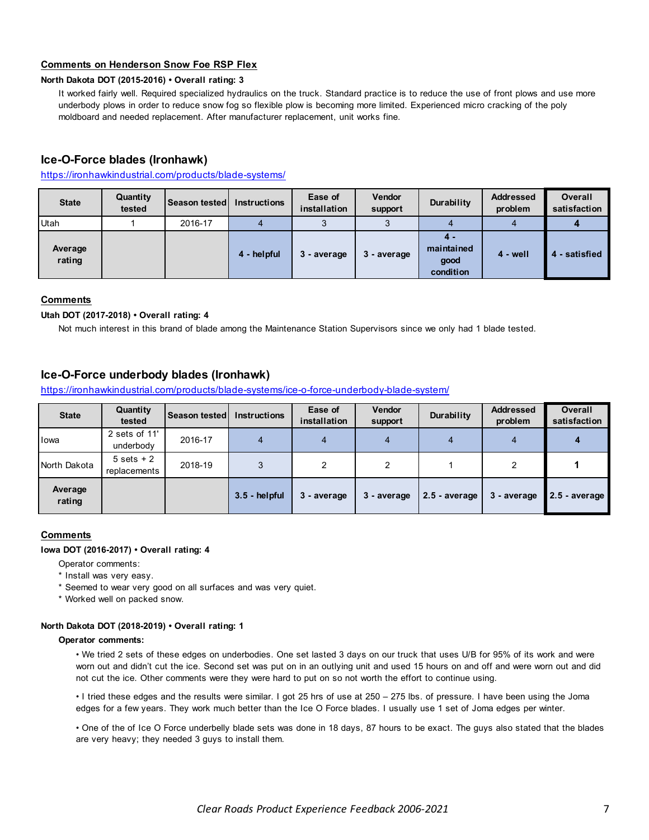# **Comments on Henderson Snow Foe RSP Flex**

#### **North Dakota DOT (2015-2016) • Overall rating: 3**

It worked fairly well. Required specialized hydraulics on the truck. Standard practice is to reduce the use of front plows and use more underbody plows in order to reduce snow fog so flexible plow is becoming more limited. Experienced micro cracking of the poly moldboard and needed replacement. After manufacturer replacement, unit works fine.

# **Ice-O-Force blades (Ironhawk)**

### https://ironhawkindustrial.com/products/blade-systems/

| <b>State</b>      | Quantity<br>tested | <b>Season tested</b> | <b>Instructions</b> | Ease of<br>installation | <b>Vendor</b><br>support | Durability                             | <b>Addressed</b><br>problem | <b>Overall</b><br>satisfaction |
|-------------------|--------------------|----------------------|---------------------|-------------------------|--------------------------|----------------------------------------|-----------------------------|--------------------------------|
| Utah              |                    | 2016-17              |                     |                         |                          |                                        |                             |                                |
| Average<br>rating |                    |                      | 4 - helpful         | 3 - average             | 3 - average              | 4 -<br>maintained<br>good<br>condition | 4 - well                    | - satisfied                    |

### **Comments**

#### **Utah DOT (2017-2018) • Overall rating: 4**

Not much interest in this brand of blade among the Maintenance Station Supervisors since we only had 1 blade tested.

# **Ice-O-Force underbody blades (Ironhawk)**

https://ironhawkindustrial.com/products/blade-systems/ice-o-force-underbody-blade-system/

| <b>State</b>      | Quantity<br>tested                    | <b>Season tested</b> | <b>Instructions</b> | Ease of<br>installation | Vendor<br>support | Durability      | <b>Addressed</b><br>problem | <b>Overall</b><br>satisfaction |
|-------------------|---------------------------------------|----------------------|---------------------|-------------------------|-------------------|-----------------|-----------------------------|--------------------------------|
| lowa              | 2 sets of 11'<br>underbody            | 2016-17              |                     |                         | 4                 | 4               |                             |                                |
| North Dakota      | $5 \text{ sets } + 2$<br>replacements | 2018-19              |                     | ◠                       | 2                 |                 | ົ                           |                                |
| Average<br>rating |                                       |                      | $3.5 - helpful$     | 3 - average             | 3 - average       | $2.5$ - average | 3 - average                 | 2.5 - average                  |

### **Comments**

#### **Iowa DOT (2016-2017) • Overall rating: 4**

Operator comments:

- \* Install was very easy.
- \* Seemed to wear very good on all surfaces and was very quiet.
- \* Worked well on packed snow.

### **North Dakota DOT (2018-2019) • Overall rating: 1**

#### **Operator comments:**

• We tried 2 sets of these edges on underbodies. One set lasted 3 days on our truck that uses U/B for 95% of its work and were worn out and didn't cut the ice. Second set was put on in an outlying unit and used 15 hours on and off and were worn out and did not cut the ice. Other comments were they were hard to put on so not worth the effort to continue using.

• I tried these edges and the results were similar. I got 25 hrs of use at 250 – 275 lbs. of pressure. I have been using the Joma edges for a few years. They work much better than the Ice O Force blades. I usually use 1 set of Joma edges per winter.

• One of the of Ice O Force underbelly blade sets was done in 18 days, 87 hours to be exact. The guys also stated that the blades are very heavy; they needed 3 guys to install them.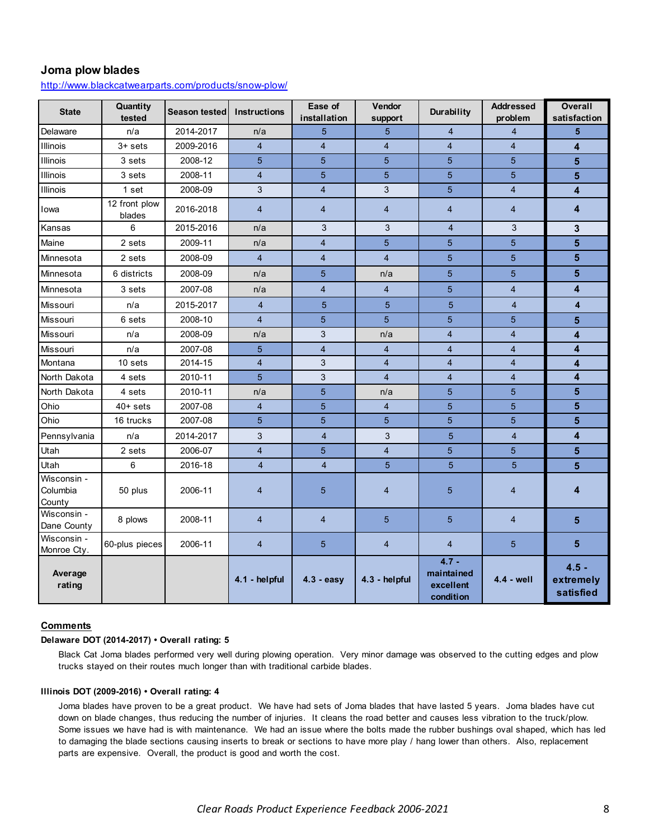# **Joma plow blades**

http://www.blackcatwearparts.com/products/snow-plow/

| <b>State</b>                      | Quantity<br>tested      | Season tested | <b>Instructions</b> | Ease of<br>installation | Vendor<br>support | Durability                                      | <b>Addressed</b><br>problem | <b>Overall</b><br>satisfaction    |
|-----------------------------------|-------------------------|---------------|---------------------|-------------------------|-------------------|-------------------------------------------------|-----------------------------|-----------------------------------|
| Delaware                          | n/a                     | 2014-2017     | n/a                 | 5                       | 5                 | $\overline{4}$                                  | $\overline{4}$              | 5                                 |
| <b>Illinois</b>                   | $3+$ sets               | 2009-2016     | $\overline{4}$      | $\overline{4}$          | $\overline{4}$    | $\overline{4}$                                  | $\overline{4}$              | 4                                 |
| <b>Illinois</b>                   | 3 sets                  | 2008-12       | 5                   | 5                       | 5                 | 5                                               | 5                           | 5                                 |
| Illinois                          | 3 sets                  | 2008-11       | $\overline{4}$      | 5                       | 5                 | 5                                               | 5                           | 5                                 |
| Illinois                          | 1 set                   | 2008-09       | 3                   | $\overline{4}$          | 3                 | 5                                               | $\overline{4}$              | 4                                 |
| Iowa                              | 12 front plow<br>blades | 2016-2018     | $\overline{4}$      | $\overline{4}$          | $\overline{4}$    | $\overline{4}$                                  | $\overline{4}$              | 4                                 |
| Kansas                            | 6                       | 2015-2016     | n/a                 | 3                       | 3                 | $\overline{4}$                                  | 3                           | 3                                 |
| Maine                             | 2 sets                  | 2009-11       | n/a                 | $\overline{4}$          | 5                 | 5                                               | 5                           | 5                                 |
| Minnesota                         | 2 sets                  | 2008-09       | $\overline{4}$      | $\overline{4}$          | $\overline{4}$    | 5                                               | 5                           | 5                                 |
| Minnesota                         | 6 districts             | 2008-09       | n/a                 | 5                       | n/a               | 5                                               | 5                           | 5                                 |
| Minnesota                         | 3 sets                  | 2007-08       | n/a                 | $\overline{4}$          | $\overline{4}$    | 5                                               | $\overline{4}$              | 4                                 |
| Missouri                          | n/a                     | 2015-2017     | $\overline{4}$      | 5                       | 5                 | $5\phantom{.}$                                  | $\overline{4}$              | 4                                 |
| Missouri                          | 6 sets                  | 2008-10       | $\overline{4}$      | 5                       | 5                 | 5                                               | 5                           | 5                                 |
| Missouri                          | n/a                     | 2008-09       | n/a                 | 3                       | n/a               | $\overline{4}$                                  | $\overline{4}$              | 4                                 |
| <b>Missouri</b>                   | n/a                     | 2007-08       | 5                   | $\overline{\mathbf{4}}$ | $\overline{4}$    | $\overline{4}$                                  | $\overline{4}$              | 4                                 |
| Montana                           | 10 sets                 | 2014-15       | $\overline{4}$      | 3                       | $\overline{4}$    | $\overline{4}$                                  | $\overline{4}$              | 4                                 |
| North Dakota                      | 4 sets                  | 2010-11       | 5                   | 3                       | $\overline{4}$    | $\overline{4}$                                  | $\overline{4}$              | 4                                 |
| North Dakota                      | 4 sets                  | 2010-11       | n/a                 | 5                       | n/a               | 5                                               | 5                           | 5                                 |
| Ohio                              | $40+ sets$              | 2007-08       | $\overline{4}$      | 5                       | $\overline{4}$    | 5                                               | 5                           | 5                                 |
| Ohio                              | 16 trucks               | 2007-08       | 5                   | 5                       | 5                 | 5                                               | 5                           | 5                                 |
| Pennsylvania                      | n/a                     | 2014-2017     | 3                   | $\overline{4}$          | 3                 | 5                                               | $\overline{4}$              | 4                                 |
| Utah                              | 2 sets                  | 2006-07       | $\overline{4}$      | 5                       | $\overline{4}$    | 5                                               | 5                           | 5                                 |
| Utah                              | 6                       | 2016-18       | $\overline{4}$      | $\overline{4}$          | 5                 | 5                                               | 5                           | 5                                 |
| Wisconsin -<br>Columbia<br>County | 50 plus                 | 2006-11       | 4                   | $5\phantom{.}$          | 4                 | 5                                               | $\overline{4}$              | 4                                 |
| Wisconsin -<br>Dane County        | 8 plows                 | 2008-11       | $\overline{4}$      | $\overline{4}$          | 5                 | 5                                               | $\overline{4}$              | 5                                 |
| Wisconsin -<br>Monroe Cty.        | 60-plus pieces          | 2006-11       | $\overline{4}$      | $5^{\circ}$             | $\overline{4}$    | $\overline{4}$                                  | 5                           | 5                                 |
| Average<br>rating                 |                         |               | 4.1 - helpful       | $4.3 - easy$            | 4.3 - helpful     | $4.7 -$<br>maintained<br>excellent<br>condition | $4.4 - well$                | $4.5 -$<br>extremely<br>satisfied |

#### **Comments**

#### **Delaware DOT (2014-2017) • Overall rating: 5**

Black Cat Joma blades performed very well during plowing operation. Very minor damage was observed to the cutting edges and plow trucks stayed on their routes much longer than with traditional carbide blades.

#### **Illinois DOT (2009-2016) • Overall rating: 4**

Joma blades have proven to be a great product. We have had sets of Joma blades that have lasted 5 years. Joma blades have cut down on blade changes, thus reducing the number of injuries. It cleans the road better and causes less vibration to the truck/plow. Some issues we have had is with maintenance. We had an issue where the bolts made the rubber bushings oval shaped, which has led to damaging the blade sections causing inserts to break or sections to have more play / hang lower than others. Also, replacement parts are expensive. Overall, the product is good and worth the cost.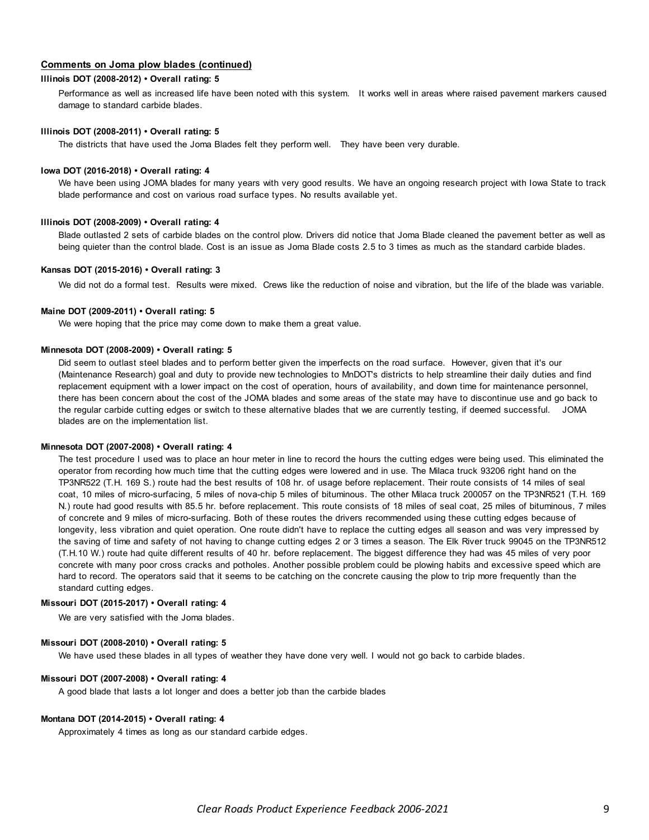### **Comments on Joma plow blades (continued)**

#### **Illinois DOT (2008-2012) • Overall rating: 5**

Performance as well as increased life have been noted with this system. It works well in areas where raised pavement markers caused damage to standard carbide blades.

#### **Illinois DOT (2008-2011) • Overall rating: 5**

The districts that have used the Joma Blades felt they perform well. They have been very durable.

#### **Iowa DOT (2016-2018) • Overall rating: 4**

We have been using JOMA blades for many years with very good results. We have an ongoing research project with Iowa State to track blade performance and cost on various road surface types. No results available yet.

#### **Illinois DOT (2008-2009) • Overall rating: 4**

Blade outlasted 2 sets of carbide blades on the control plow. Drivers did notice that Joma Blade cleaned the pavement better as well as being quieter than the control blade. Cost is an issue as Joma Blade costs 2.5 to 3 times as much as the standard carbide blades.

#### **Kansas DOT (2015-2016) • Overall rating: 3**

We did not do a formal test. Results were mixed. Crews like the reduction of noise and vibration, but the life of the blade was variable.

#### **Maine DOT (2009-2011) • Overall rating: 5**

We were hoping that the price may come down to make them a great value.

#### **Minnesota DOT (2008-2009) • Overall rating: 5**

Did seem to outlast steel blades and to perform better given the imperfects on the road surface. However, given that it's our (Maintenance Research) goal and duty to provide new technologies to MnDOT's districts to help streamline their daily duties and find replacement equipment with a lower impact on the cost of operation, hours of availability, and down time for maintenance personnel, there has been concern about the cost of the JOMA blades and some areas of the state may have to discontinue use and go back to the regular carbide cutting edges or switch to these alternative blades that we are currently testing, if deemed successful. JOMA blades are on the implementation list.

#### **Minnesota DOT (2007-2008) • Overall rating: 4**

The test procedure I used was to place an hour meter in line to record the hours the cutting edges were being used. This eliminated the operator from recording how much time that the cutting edges were lowered and in use. The Milaca truck 93206 right hand on the TP3NR522 (T.H. 169 S.) route had the best results of 108 hr. of usage before replacement. Their route consists of 14 miles of seal coat, 10 miles of micro-surfacing, 5 miles of nova-chip 5 miles of bituminous. The other Milaca truck 200057 on the TP3NR521 (T.H. 169 N.) route had good results with 85.5 hr. before replacement. This route consists of 18 miles of seal coat, 25 miles of bituminous, 7 miles of concrete and 9 miles of micro-surfacing. Both of these routes the drivers recommended using these cutting edges because of longevity, less vibration and quiet operation. One route didn't have to replace the cutting edges all season and was very impressed by the saving of time and safety of not having to change cutting edges 2 or 3 times a season. The Elk River truck 99045 on the TP3NR512 (T.H.10 W.) route had quite different results of 40 hr. before replacement. The biggest difference they had was 45 miles of very poor concrete with many poor cross cracks and potholes. Another possible problem could be plowing habits and excessive speed which are hard to record. The operators said that it seems to be catching on the concrete causing the plow to trip more frequently than the standard cutting edges.

#### **Missouri DOT (2015-2017) • Overall rating: 4**

We are very satisfied with the Joma blades.

#### **Missouri DOT (2008-2010) • Overall rating: 5**

We have used these blades in all types of weather they have done very well. I would not go back to carbide blades.

#### **Missouri DOT (2007-2008) • Overall rating: 4**

A good blade that lasts a lot longer and does a better job than the carbide blades

#### **Montana DOT (2014-2015) • Overall rating: 4**

Approximately 4 times as long as our standard carbide edges.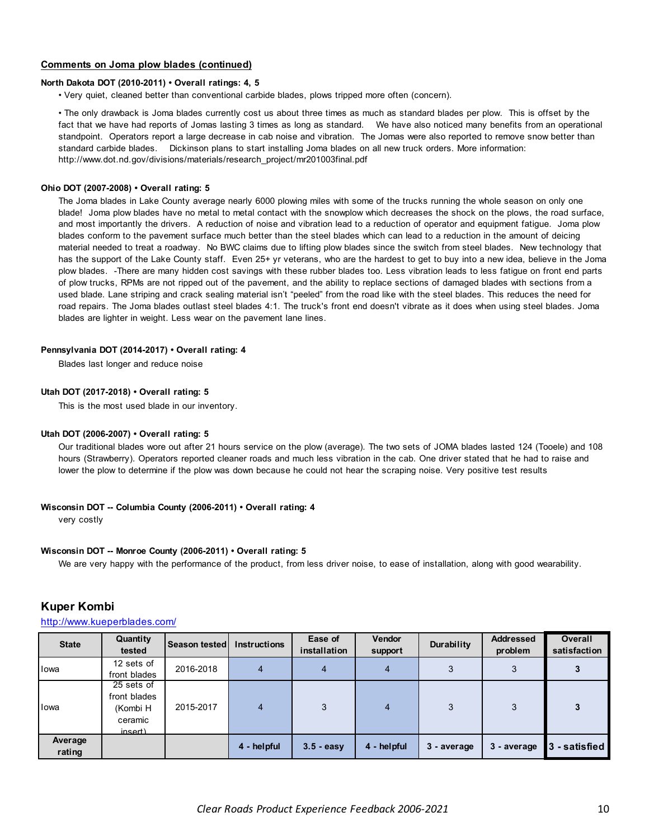### **Comments on Joma plow blades (continued)**

#### **North Dakota DOT (2010-2011) • Overall ratings: 4, 5**

• Very quiet, cleaned better than conventional carbide blades, plows tripped more often (concern).

• The only drawback is Joma blades currently cost us about three times as much as standard blades per plow. This is offset by the fact that we have had reports of Jomas lasting 3 times as long as standard. We have also noticed many benefits from an operational standpoint. Operators report a large decrease in cab noise and vibration. The Jomas were also reported to remove snow better than standard carbide blades. Dickinson plans to start installing Joma blades on all new truck orders. More information: http://www.dot.nd.gov/divisions/materials/research\_project/mr201003final.pdf

#### **Ohio DOT (2007-2008) • Overall rating: 5**

The Joma blades in Lake County average nearly 6000 plowing miles with some of the trucks running the whole season on only one blade! Joma plow blades have no metal to metal contact with the snowplow which decreases the shock on the plows, the road surface, and most importantly the drivers. A reduction of noise and vibration lead to a reduction of operator and equipment fatigue. Joma plow blades conform to the pavement surface much better than the steel blades which can lead to a reduction in the amount of deicing material needed to treat a roadway. No BWC claims due to lifting plow blades since the switch from steel blades. New technology that has the support of the Lake County staff. Even 25+ yr veterans, who are the hardest to get to buy into a new idea, believe in the Joma plow blades. -There are many hidden cost savings with these rubber blades too. Less vibration leads to less fatigue on front end parts of plow trucks, RPMs are not ripped out of the pavement, and the ability to replace sections of damaged blades with sections from a used blade. Lane striping and crack sealing material isn't "peeled" from the road like with the steel blades. This reduces the need for road repairs. The Joma blades outlast steel blades 4:1. The truck's front end doesn't vibrate as it does when using steel blades. Joma blades are lighter in weight. Less wear on the pavement lane lines.

#### **Pennsylvania DOT (2014-2017) • Overall rating: 4**

Blades last longer and reduce noise

#### **Utah DOT (2017-2018) • Overall rating: 5**

This is the most used blade in our inventory.

#### **Utah DOT (2006-2007) • Overall rating: 5**

Our traditional blades wore out after 21 hours service on the plow (average). The two sets of JOMA blades lasted 124 (Tooele) and 108 hours (Strawberry). Operators reported cleaner roads and much less vibration in the cab. One driver stated that he had to raise and lower the plow to determine if the plow was down because he could not hear the scraping noise. Very positive test results

#### **Wisconsin DOT -- Columbia County (2006-2011) • Overall rating: 4**

very costly

#### **Wisconsin DOT -- Monroe County (2006-2011) • Overall rating: 5**

We are very happy with the performance of the product, from less driver noise, to ease of installation, along with good wearability.

|  | <b>Kuper Kombi</b> |
|--|--------------------|
|--|--------------------|

#### http://www.kueperblades.com/

| <b>State</b>      | Quantity<br>tested                                           | Season tested | <b>Instructions</b> | Ease of<br>installation | <b>Vendor</b><br>support | Durability  | <b>Addressed</b><br>problem | <b>Overall</b><br>satisfaction |
|-------------------|--------------------------------------------------------------|---------------|---------------------|-------------------------|--------------------------|-------------|-----------------------------|--------------------------------|
| Iowa              | 12 sets of<br>front blades                                   | 2016-2018     | 4                   | 4                       | 4                        | 3           | 3                           |                                |
| Iowa              | 25 sets of<br>front blades<br>(Kombi H<br>ceramic<br>insert) | 2015-2017     | 4                   | 3                       | 4                        | 3           | 3                           |                                |
| Average<br>rating |                                                              |               | 4 - helpful         | $3.5 - easy$            | 4 - helpful              | 3 - average | 3 - average                 | 3 - satisfied                  |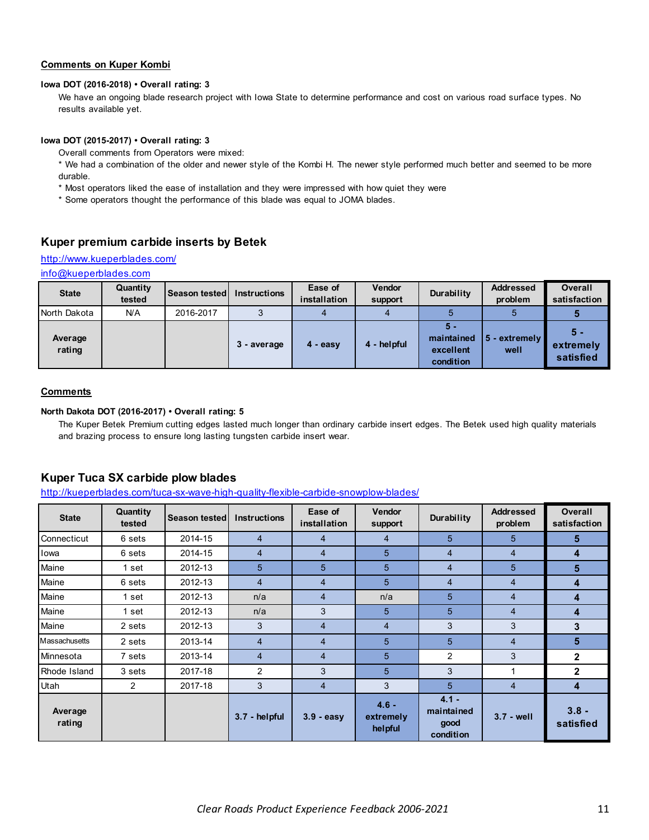# **Comments on Kuper Kombi**

#### **Iowa DOT (2016-2018) • Overall rating: 3**

We have an ongoing blade research project with Iowa State to determine performance and cost on various road surface types. No results available yet.

### **Iowa DOT (2015-2017) • Overall rating: 3**

Overall comments from Operators were mixed:

\* We had a combination of the older and newer style of the Kombi H. The newer style performed much better and seemed to be more durable.

- \* Most operators liked the ease of installation and they were impressed with how quiet they were
- \* Some operators thought the performance of this blade was equal to JOMA blades.

# **Kuper premium carbide inserts by Betek**

# http://www.kueperblades.com/

info@kueperblades.com

| <b>State</b>      | Quantity<br>tested | Season tested | <b>Instructions</b> | Ease of<br>installation | Vendor<br>support | Durability                                    | <b>Addressed</b><br>problem    | <b>Overall</b><br>satisfaction  |
|-------------------|--------------------|---------------|---------------------|-------------------------|-------------------|-----------------------------------------------|--------------------------------|---------------------------------|
| North Dakota      | N/A                | 2016-2017     | ີ                   |                         |                   |                                               |                                |                                 |
| Average<br>rating |                    |               | 3 - average         | $4 - easv$              | 4 - helpful       | $5 -$<br>maintained<br>excellent<br>condition | $\sqrt{5}$ - extremely<br>well | $5 -$<br>extremely<br>satisfied |

#### **Comments**

#### **North Dakota DOT (2016-2017) • Overall rating: 5**

The Kuper Betek Premium cutting edges lasted much longer than ordinary carbide insert edges. The Betek used high quality materials and brazing process to ensure long lasting tungsten carbide insert wear.

# **Kuper Tuca SX carbide plow blades**

http://kueperblades.com/tuca-sx-wave-high-quality-flexible-carbide-snowplow-blades/

| <b>State</b>      | Quantity<br>tested | <b>Season tested</b> | <b>Instructions</b> | Ease of<br>installation | <b>Vendor</b><br>support        | Durability                                 | <b>Addressed</b><br>problem | <b>Overall</b><br>satisfaction |
|-------------------|--------------------|----------------------|---------------------|-------------------------|---------------------------------|--------------------------------------------|-----------------------------|--------------------------------|
| Connecticut       | 6 sets             | 2014-15              | 4                   | 4                       | 4                               | 5                                          | 5                           | $5\phantom{.0}$                |
| Iowa              | 6 sets             | 2014-15              | $\overline{4}$      | $\overline{4}$          | 5                               | $\overline{4}$                             | $\overline{4}$              | 4                              |
| Maine             | 1 set              | 2012-13              | 5                   | 5                       | 5                               | $\overline{4}$                             | 5                           | 5                              |
| Maine             | 6 sets             | 2012-13              | 4                   | $\overline{4}$          | 5                               | $\overline{4}$                             | $\overline{4}$              | 4                              |
| Maine             | 1 set              | 2012-13              | n/a                 | $\overline{4}$          | n/a                             | 5                                          | $\overline{4}$              | 4                              |
| Maine             | 1 set              | 2012-13              | n/a                 | 3                       | 5                               | 5                                          | $\overline{4}$              | 4                              |
| Maine             | 2 sets             | 2012-13              | 3                   | 4                       | 4                               | 3                                          | 3                           | 3                              |
| Massachusetts     | 2 sets             | 2013-14              | $\overline{4}$      | $\overline{4}$          | 5                               | 5                                          | $\overline{4}$              | 5                              |
| Minnesota         | 7 sets             | 2013-14              | $\overline{4}$      | $\overline{4}$          | 5                               | $\overline{2}$                             | 3                           | $\mathbf{2}$                   |
| Rhode Island      | 3 sets             | 2017-18              | $\overline{2}$      | 3                       | 5                               | 3                                          | 1                           | $\mathbf{2}$                   |
| Utah              | $\overline{2}$     | 2017-18              | 3                   | $\overline{4}$          | 3                               | 5                                          | $\overline{4}$              | 4                              |
| Average<br>rating |                    |                      | 3.7 - helpful       | 3.9 - easy              | $4.6 -$<br>extremely<br>helpful | $4.1 -$<br>maintained<br>good<br>condition | $3.7 - well$                | $3.8 -$<br>satisfied           |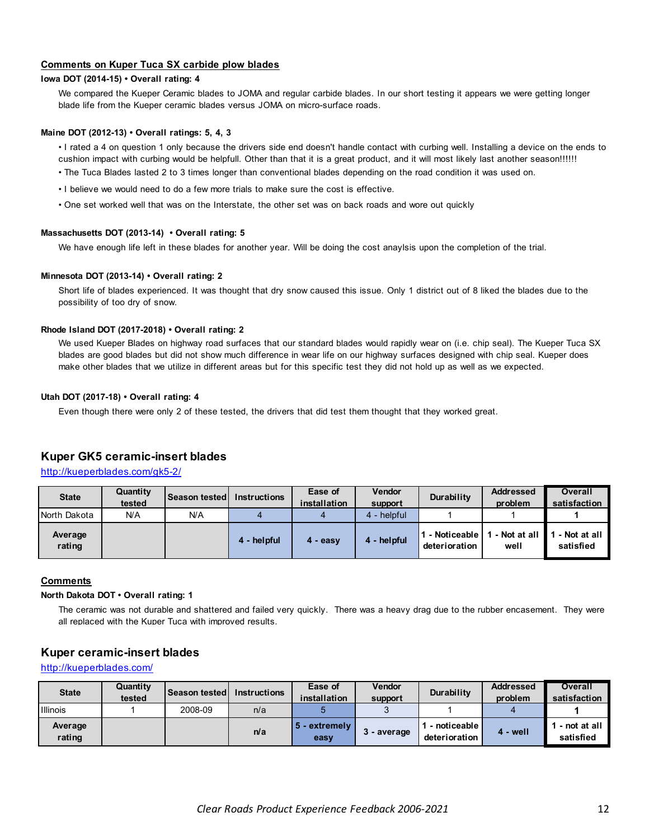### **Comments on Kuper Tuca SX carbide plow blades**

### **Iowa DOT (2014-15) • Overall rating: 4**

We compared the Kueper Ceramic blades to JOMA and regular carbide blades. In our short testing it appears we were getting longer blade life from the Kueper ceramic blades versus JOMA on micro-surface roads.

#### **Maine DOT (2012-13) • Overall ratings: 5, 4, 3**

• I rated a 4 on question 1 only because the drivers side end doesn't handle contact with curbing well. Installing a device on the ends to cushion impact with curbing would be helpfull. Other than that it is a great product, and it will most likely last another season!!!!!!

- The Tuca Blades lasted 2 to 3 times longer than conventional blades depending on the road condition it was used on.
- I believe we would need to do a few more trials to make sure the cost is effective.
- One set worked well that was on the Interstate, the other set was on back roads and wore out quickly

#### **Massachusetts DOT (2013-14) • Overall rating: 5**

We have enough life left in these blades for another year. Will be doing the cost anaylsis upon the completion of the trial.

#### **Minnesota DOT (2013-14) • Overall rating: 2**

Short life of blades experienced. It was thought that dry snow caused this issue. Only 1 district out of 8 liked the blades due to the possibility of too dry of snow.

#### **Rhode Island DOT (2017-2018) • Overall rating: 2**

We used Kueper Blades on highway road surfaces that our standard blades would rapidly wear on (i.e. chip seal). The Kueper Tuca SX blades are good blades but did not show much difference in wear life on our highway surfaces designed with chip seal. Kueper does make other blades that we utilize in different areas but for this specific test they did not hold up as well as we expected.

#### **Utah DOT (2017-18) • Overall rating: 4**

Even though there were only 2 of these tested, the drivers that did test them thought that they worked great.

### **Kuper GK5 ceramic-insert blades**

http://kueperblades.com/gk5-2/

| <b>State</b>      | Quantity<br>tested | <b>Season tested L</b> | <b>Instructions</b> | Ease of<br>installation | Vendor<br>support | Durability                    | <b>Addressed</b><br>problem | <b>Overall</b><br>satisfaction |
|-------------------|--------------------|------------------------|---------------------|-------------------------|-------------------|-------------------------------|-----------------------------|--------------------------------|
| North Dakota      | N/A                | N/A                    |                     |                         | 4 - helpful       |                               |                             |                                |
| Average<br>rating |                    |                        | 4 - helpful         | 4 - easy                | 4 - helpful       | - Noticeable<br>deterioration | l - Not at all<br>well      | - Not at all<br>satisfied      |

#### **Comments**

### **North Dakota DOT • Overall rating: 1**

The ceramic was not durable and shattered and failed very quickly. There was a heavy drag due to the rubber encasement. They were all replaced with the Kuper Tuca with improved results.

# **Kuper ceramic-insert blades**

http://kueperblades.com/

| <b>State</b>      | Quantity<br>tested | <b>Season tested</b> | <b>Instructions</b> | Ease of<br>installation | <b>Vendor</b><br>support | <b>Durability</b>               | <b>Addressed</b><br>problem | Overall<br>satisfaction   |
|-------------------|--------------------|----------------------|---------------------|-------------------------|--------------------------|---------------------------------|-----------------------------|---------------------------|
| <b>Illinois</b>   |                    | 2008-09              | n/a                 |                         |                          |                                 |                             |                           |
| Average<br>rating |                    |                      | n/a                 | 5 - extremely<br>easy   | 3 - average              | - noticeable l<br>deterioration | 4 - well                    | - not at all<br>satisfied |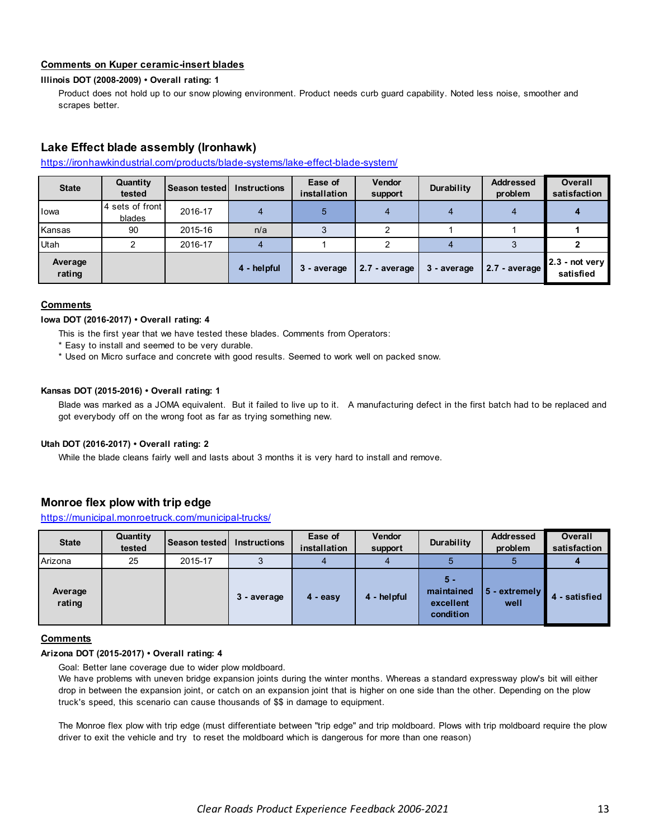# **Comments on Kuper ceramic-insert blades**

#### **Illinois DOT (2008-2009) • Overall rating: 1**

Product does not hold up to our snow plowing environment. Product needs curb guard capability. Noted less noise, smoother and scrapes better.

# **Lake Effect blade assembly (Ironhawk)**

#### https://ironhawkindustrial.com/products/blade-systems/lake-effect-blade-system/

| <b>State</b>      | Quantity<br>tested        | Season tested | <b>Instructions</b> | Ease of<br>installation | <b>Vendor</b><br>support | Durability  | <b>Addressed</b><br>problem | <b>Overall</b><br>satisfaction |
|-------------------|---------------------------|---------------|---------------------|-------------------------|--------------------------|-------------|-----------------------------|--------------------------------|
| Iowa              | 4 sets of front<br>blades | 2016-17       |                     | 5                       |                          |             | 4                           |                                |
| Kansas            | 90                        | 2015-16       | n/a                 |                         |                          |             |                             |                                |
| Utah              |                           | 2016-17       |                     |                         |                          |             |                             |                                |
| Average<br>rating |                           |               | 4 - helpful         | 3 - average             | 2.7 - average            | 3 - average | 2.7 - average               | $2.3$ - not very<br>satisfied  |

#### **Comments**

#### **Iowa DOT (2016-2017) • Overall rating: 4**

This is the first year that we have tested these blades. Comments from Operators:

- \* Easy to install and seemed to be very durable.
- \* Used on Micro surface and concrete with good results. Seemed to work well on packed snow.

#### **Kansas DOT (2015-2016) • Overall rating: 1**

Blade was marked as a JOMA equivalent. But it failed to live up to it. A manufacturing defect in the first batch had to be replaced and got everybody off on the wrong foot as far as trying something new.

#### **Utah DOT (2016-2017) • Overall rating: 2**

While the blade cleans fairly well and lasts about 3 months it is very hard to install and remove.

# **Monroe flex plow with trip edge**

https://municipal.monroetruck.com/municipal-trucks/

| <b>State</b>      | Quantity<br>tested | <b>Season tested</b> | <b>Instructions</b> | Ease of<br>installation | <b>Vendor</b><br>support | Durability                                    | <b>Addressed</b><br>problem | <b>Overall</b><br>satisfaction |
|-------------------|--------------------|----------------------|---------------------|-------------------------|--------------------------|-----------------------------------------------|-----------------------------|--------------------------------|
| Arizona           | 25                 | 2015-17              |                     |                         |                          |                                               | b                           |                                |
| Average<br>rating |                    |                      | 3 - average         | $4 - easv$              | 4 - helpful              | $5 -$<br>maintained<br>excellent<br>condition | 5 - extremely<br>well       | - satisfied                    |

### **Comments**

#### **Arizona DOT (2015-2017) • Overall rating: 4**

Goal: Better lane coverage due to wider plow moldboard.

We have problems with uneven bridge expansion joints during the winter months. Whereas a standard expressway plow's bit will either drop in between the expansion joint, or catch on an expansion joint that is higher on one side than the other. Depending on the plow truck's speed, this scenario can cause thousands of \$\$ in damage to equipment.

The Monroe flex plow with trip edge (must differentiate between "trip edge" and trip moldboard. Plows with trip moldboard require the plow driver to exit the vehicle and try to reset the moldboard which is dangerous for more than one reason)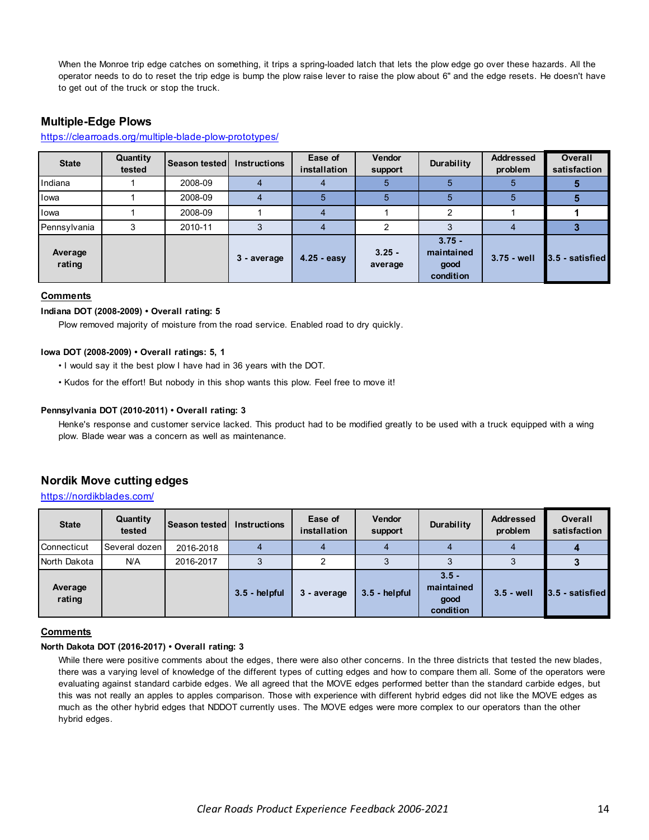When the Monroe trip edge catches on something, it trips a spring-loaded latch that lets the plow edge go over these hazards. All the operator needs to do to reset the trip edge is bump the plow raise lever to raise the plow about 6" and the edge resets. He doesn't have to get out of the truck or stop the truck.

# **Multiple-Edge Plows**

#### https://clearroads.org/multiple-blade-plow-prototypes/

| <b>State</b>      | Quantity<br>tested | <b>Season tested</b> | <b>Instructions</b> | Ease of<br>installation | Vendor<br>support   | Durability                                  | <b>Addressed</b><br>problem | <b>Overall</b><br>satisfaction |
|-------------------|--------------------|----------------------|---------------------|-------------------------|---------------------|---------------------------------------------|-----------------------------|--------------------------------|
| Indiana           |                    | 2008-09              |                     |                         |                     |                                             |                             |                                |
| lowa              |                    | 2008-09              |                     |                         |                     | 5                                           | 5                           |                                |
| lowa              |                    | 2008-09              |                     |                         |                     | C                                           |                             |                                |
| Pennsylvania      | 3                  | 2010-11              |                     |                         | າ                   |                                             |                             |                                |
| Average<br>rating |                    |                      | 3 - average         | $4.25 - easy$           | $3.25 -$<br>average | $3.75 -$<br>maintained<br>good<br>condition | $3.75 - well$               | 3.5 - satisfied                |

### **Comments**

### **Indiana DOT (2008-2009) • Overall rating: 5**

Plow removed majority of moisture from the road service. Enabled road to dry quickly.

#### **Iowa DOT (2008-2009) • Overall ratings: 5, 1**

- I would say it the best plow I have had in 36 years with the DOT.
- Kudos for the effort! But nobody in this shop wants this plow. Feel free to move it!

#### **Pennsylvania DOT (2010-2011) • Overall rating: 3**

Henke's response and customer service lacked. This product had to be modified greatly to be used with a truck equipped with a wing plow. Blade wear was a concern as well as maintenance.

# **Nordik Move cutting edges**

### https://nordikblades.com/

| <b>State</b>      | Quantity<br>tested | Season tested | <b>Instructions</b> | Ease of<br>installation | Vendor<br>support | Durability                                 | <b>Addressed</b><br>problem | <b>Overall</b><br>satisfaction |
|-------------------|--------------------|---------------|---------------------|-------------------------|-------------------|--------------------------------------------|-----------------------------|--------------------------------|
| Connecticut       | Several dozen      | 2016-2018     |                     |                         |                   |                                            |                             |                                |
| North Dakota      | N/A                | 2016-2017     |                     |                         |                   |                                            |                             |                                |
| Average<br>rating |                    |               | $3.5 - helpful$     | 3 - average             | $3.5 - helpful$   | $3.5 -$<br>maintained<br>good<br>condition | $3.5 - well$                | 3.5 - satisfied                |

#### **Comments**

#### **North Dakota DOT (2016-2017) • Overall rating: 3**

While there were positive comments about the edges, there were also other concerns. In the three districts that tested the new blades, there was a varying level of knowledge of the different types of cutting edges and how to compare them all. Some of the operators were evaluating against standard carbide edges. We all agreed that the MOVE edges performed better than the standard carbide edges, but this was not really an apples to apples comparison. Those with experience with different hybrid edges did not like the MOVE edges as much as the other hybrid edges that NDDOT currently uses. The MOVE edges were more complex to our operators than the other hybrid edges.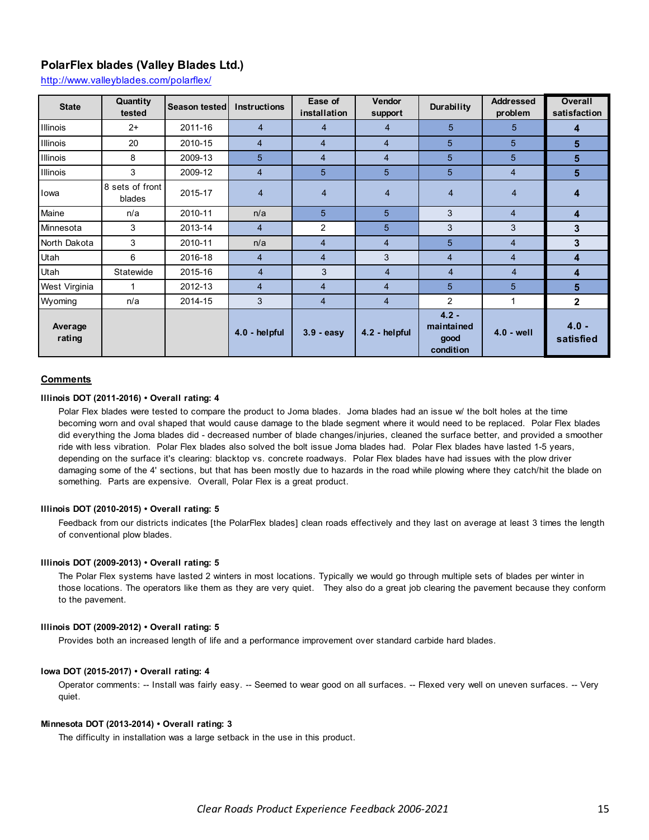# **PolarFlex blades (Valley Blades Ltd.)**

http://www.valleyblades.com/polarflex/

| <b>State</b>      | Quantity<br>tested        | <b>Season tested</b> | <b>Instructions</b> | Ease of<br>installation | <b>Vendor</b><br>support | Durability                                 | <b>Addressed</b><br>problem | <b>Overall</b><br>satisfaction |
|-------------------|---------------------------|----------------------|---------------------|-------------------------|--------------------------|--------------------------------------------|-----------------------------|--------------------------------|
| <b>Illinois</b>   | $2+$                      | 2011-16              | $\overline{4}$      | $\overline{4}$          | 4                        | 5                                          | $5^{\circ}$                 | 4                              |
| <b>Illinois</b>   | 20                        | 2010-15              | $\overline{4}$      | $\overline{4}$          | $\overline{4}$           | 5                                          | 5                           | 5                              |
| Illinois          | 8                         | 2009-13              | 5                   | $\overline{4}$          | 4                        | 5                                          | 5                           | 5                              |
| Illinois          | 3                         | 2009-12              | $\overline{4}$      | 5                       | 5                        | 5                                          | $\overline{4}$              | 5                              |
| Iowa              | 8 sets of front<br>blades | 2015-17              | $\overline{4}$      | $\overline{4}$          | $\overline{4}$           | $\overline{4}$                             | $\overline{4}$              | 4                              |
| Maine             | n/a                       | 2010-11              | n/a                 | 5                       | 5                        | 3                                          | $\overline{4}$              | 4                              |
| Minnesota         | 3                         | 2013-14              | $\overline{4}$      | 2                       | 5                        | 3                                          | 3                           | 3                              |
| North Dakota      | 3                         | 2010-11              | n/a                 | $\overline{4}$          | $\overline{4}$           | 5                                          | $\overline{4}$              | 3                              |
| Utah              | 6                         | 2016-18              | 4                   | $\overline{4}$          | 3                        | $\overline{4}$                             | $\overline{4}$              | 4                              |
| Utah              | Statewide                 | 2015-16              | $\overline{4}$      | 3                       | $\overline{4}$           | $\overline{4}$                             | $\overline{4}$              | 4                              |
| West Virginia     | 1                         | 2012-13              | $\overline{4}$      | $\overline{4}$          | $\overline{4}$           | 5                                          | 5                           | 5                              |
| Wyoming           | n/a                       | 2014-15              | 3                   | $\overline{4}$          | 4                        | $\overline{2}$                             | 1                           | $\mathbf 2$                    |
| Average<br>rating |                           |                      | 4.0 - helpful       | $3.9 - easv$            | 4.2 - helpful            | $4.2 -$<br>maintained<br>good<br>condition | $4.0 - well$                | $4.0 -$<br>satisfied           |

#### **Comments**

### **Illinois DOT (2011-2016) • Overall rating: 4**

Polar Flex blades were tested to compare the product to Joma blades. Joma blades had an issue w/ the bolt holes at the time becoming worn and oval shaped that would cause damage to the blade segment where it would need to be replaced. Polar Flex blades did everything the Joma blades did - decreased number of blade changes/injuries, cleaned the surface better, and provided a smoother ride with less vibration. Polar Flex blades also solved the bolt issue Joma blades had. Polar Flex blades have lasted 1-5 years, depending on the surface it's clearing: blacktop vs. concrete roadways. Polar Flex blades have had issues with the plow driver damaging some of the 4' sections, but that has been mostly due to hazards in the road while plowing where they catch/hit the blade on something. Parts are expensive. Overall, Polar Flex is a great product.

#### **Illinois DOT (2010-2015) • Overall rating: 5**

Feedback from our districts indicates [the PolarFlex blades] clean roads effectively and they last on average at least 3 times the length of conventional plow blades.

#### **Illinois DOT (2009-2013) • Overall rating: 5**

The Polar Flex systems have lasted 2 winters in most locations. Typically we would go through multiple sets of blades per winter in those locations. The operators like them as they are very quiet. They also do a great job clearing the pavement because they conform to the pavement.

#### **Illinois DOT (2009-2012) • Overall rating: 5**

Provides both an increased length of life and a performance improvement over standard carbide hard blades.

#### **Iowa DOT (2015-2017) • Overall rating: 4**

Operator comments: -- Install was fairly easy. -- Seemed to wear good on all surfaces. -- Flexed very well on uneven surfaces. -- Very quiet.

#### **Minnesota DOT (2013-2014) • Overall rating: 3**

The difficulty in installation was a large setback in the use in this product.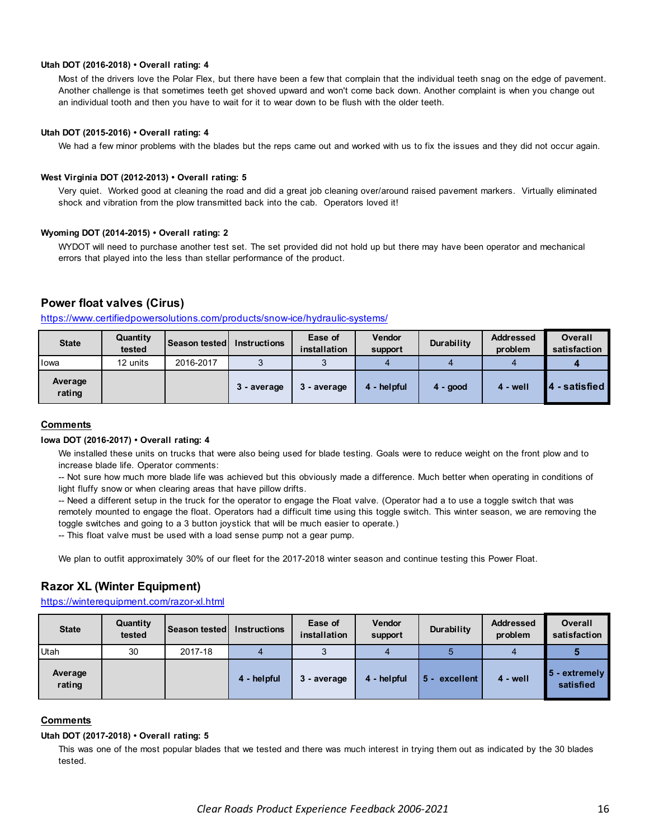#### **Utah DOT (2016-2018) • Overall rating: 4**

Most of the drivers love the Polar Flex, but there have been a few that complain that the individual teeth snag on the edge of pavement. Another challenge is that sometimes teeth get shoved upward and won't come back down. Another complaint is when you change out an individual tooth and then you have to wait for it to wear down to be flush with the older teeth.

#### **Utah DOT (2015-2016) • Overall rating: 4**

We had a few minor problems with the blades but the reps came out and worked with us to fix the issues and they did not occur again.

#### **West Virginia DOT (2012-2013) • Overall rating: 5**

Very quiet. Worked good at cleaning the road and did a great job cleaning over/around raised pavement markers. Virtually eliminated shock and vibration from the plow transmitted back into the cab. Operators loved it!

#### **Wyoming DOT (2014-2015) • Overall rating: 2**

WYDOT will need to purchase another test set. The set provided did not hold up but there may have been operator and mechanical errors that played into the less than stellar performance of the product.

# **Power float valves (Cirus)**

|       | https://www.certifiedpowersolutions.com/products/snow-ice/hydraulic-systems/ |                            |  |                         |                   |                   |  |  |  |  |
|-------|------------------------------------------------------------------------------|----------------------------|--|-------------------------|-------------------|-------------------|--|--|--|--|
| State | Quantitv<br>tested                                                           | Season tested Instructions |  | Ease of<br>installation | Vendor<br>support | <b>Durability</b> |  |  |  |  |

| <b>State</b>      | Quantity<br>tested | <b>Season tested</b> | <b>Instructions</b> | Ease of<br>installation | <b>Vendor</b><br>support | Durability | <b>Addressed</b><br>problem | Overall<br>satisfaction |
|-------------------|--------------------|----------------------|---------------------|-------------------------|--------------------------|------------|-----------------------------|-------------------------|
| Iowa              | 12 units           | 2016-2017            |                     |                         |                          |            |                             |                         |
| Average<br>rating |                    |                      | 3 - average         | 3 - average             | 4 - helpful              | $4 - good$ | $4 - well$                  | - satisfied             |

#### **Comments**

#### **Iowa DOT (2016-2017) • Overall rating: 4**

We installed these units on trucks that were also being used for blade testing. Goals were to reduce weight on the front plow and to increase blade life. Operator comments:

-- Not sure how much more blade life was achieved but this obviously made a difference. Much better when operating in conditions of light fluffy snow or when clearing areas that have pillow drifts.

-- Need a different setup in the truck for the operator to engage the Float valve. (Operator had a to use a toggle switch that was remotely mounted to engage the float. Operators had a difficult time using this toggle switch. This winter season, we are removing the toggle switches and going to a 3 button joystick that will be much easier to operate.)

-- This float valve must be used with a load sense pump not a gear pump.

We plan to outfit approximately 30% of our fleet for the 2017-2018 winter season and continue testing this Power Float.

# **Razor XL (Winter Equipment)**

### https://winterequipment.com/razor-xl.html

| <b>State</b>      | Quantity<br>tested | Season tested Instructions |             | Ease of<br>installation | Vendor<br>support | Durability         | <b>Addressed</b><br>problem | <b>Overall</b><br>satisfaction |
|-------------------|--------------------|----------------------------|-------------|-------------------------|-------------------|--------------------|-----------------------------|--------------------------------|
| Utah              | 30                 | 2017-18                    |             | ◡                       |                   |                    |                             |                                |
| Average<br>rating |                    |                            | 4 - helpful | 3 - average             | 4 - helpful       | excellent<br>$5 -$ | $4 - well$                  | 5 - extremely<br>satisfied     |

### **Comments**

#### **Utah DOT (2017-2018) • Overall rating: 5**

This was one of the most popular blades that we tested and there was much interest in trying them out as indicated by the 30 blades tested.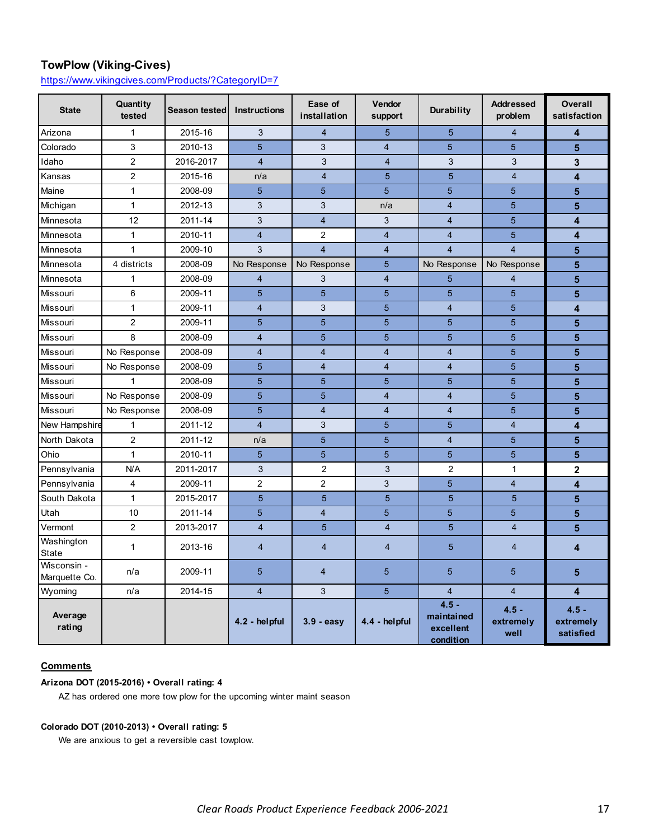# **TowPlow (Viking-Cives)**

https://www.vikingcives.com/Products/?CategoryID=7

| <b>State</b>                 | Quantity<br>tested | <b>Season tested</b> | <b>Instructions</b>     | Ease of<br>installation | Vendor<br>support       | Durability                                      | <b>Addressed</b><br>problem  | <b>Overall</b><br>satisfaction    |
|------------------------------|--------------------|----------------------|-------------------------|-------------------------|-------------------------|-------------------------------------------------|------------------------------|-----------------------------------|
| Arizona                      | $\mathbf{1}$       | 2015-16              | 3                       | $\overline{4}$          | 5                       | 5                                               | $\overline{4}$               | 4                                 |
| Colorado                     | $\mathsf 3$        | 2010-13              | 5                       | 3                       | $\overline{4}$          | 5                                               | 5                            | 5                                 |
| Idaho                        | $\overline{2}$     | 2016-2017            | $\overline{4}$          | 3                       | $\overline{4}$          | 3                                               | 3                            | 3                                 |
| Kansas                       | $\overline{a}$     | 2015-16              | n/a                     | $\overline{4}$          | 5                       | $\overline{5}$                                  | $\overline{4}$               | 4                                 |
| Maine                        | $\mathbf 1$        | 2008-09              | 5                       | 5                       | 5                       | 5                                               | 5                            | 5                                 |
| Michigan                     | $\mathbf{1}$       | 2012-13              | 3                       | 3                       | n/a                     | $\overline{4}$                                  | 5                            | 5                                 |
| Minnesota                    | 12                 | 2011-14              | 3                       | $\overline{\mathbf{4}}$ | 3                       | $\overline{4}$                                  | 5                            | 4                                 |
| Minnesota                    | $\mathbf{1}$       | 2010-11              | $\overline{\mathbf{4}}$ | 2                       | $\overline{\mathbf{4}}$ | $\overline{4}$                                  | 5                            | 4                                 |
| Minnesota                    | $\mathbf{1}$       | 2009-10              | 3                       | $\overline{4}$          | $\overline{4}$          | $\overline{4}$                                  | $\overline{4}$               | 5                                 |
| Minnesota                    | 4 districts        | 2008-09              | No Response             | No Response             | 5                       | No Response                                     | No Response                  | 5                                 |
| Minnesota                    | $\mathbf{1}$       | 2008-09              | 4                       | 3                       | $\overline{4}$          | 5                                               | $\overline{4}$               | 5                                 |
| Missouri                     | 6                  | 2009-11              | 5                       | 5                       | 5                       | 5                                               | 5                            | 5                                 |
| Missouri                     | $\mathbf{1}$       | 2009-11              | $\overline{4}$          | 3                       | 5                       | $\overline{4}$                                  | 5                            | 4                                 |
| Missouri                     | $\overline{c}$     | 2009-11              | 5                       | 5                       | 5                       | 5                                               | 5                            | 5                                 |
| Missouri                     | 8                  | 2008-09              | $\overline{4}$          | 5                       | 5                       | 5                                               | 5                            | 5                                 |
| Missouri                     | No Response        | 2008-09              | $\overline{4}$          | $\overline{4}$          | $\overline{4}$          | $\overline{4}$                                  | 5                            | 5                                 |
| Missouri                     | No Response        | 2008-09              | 5                       | $\overline{4}$          | $\overline{4}$          | $\overline{4}$                                  | 5                            | 5                                 |
| Missouri                     | 1                  | 2008-09              | 5                       | 5                       | 5                       | 5                                               | 5                            | 5                                 |
| Missouri                     | No Response        | 2008-09              | 5                       | 5                       | $\overline{4}$          | $\overline{4}$                                  | 5                            | 5                                 |
| Missouri                     | No Response        | 2008-09              | 5                       | $\overline{4}$          | $\overline{4}$          | $\overline{4}$                                  | 5                            | 5                                 |
| New Hampshire                | $\mathbf{1}$       | 2011-12              | $\overline{4}$          | 3                       | 5                       | 5                                               | $\overline{4}$               | 4                                 |
| North Dakota                 | $\overline{c}$     | 2011-12              | n/a                     | 5                       | 5                       | $\overline{4}$                                  | 5                            | 5                                 |
| Ohio                         | $\mathbf{1}$       | 2010-11              | 5                       | 5                       | 5                       | $\overline{5}$                                  | 5                            | 5                                 |
| Pennsylvania                 | N/A                | 2011-2017            | 3                       | $\overline{2}$          | 3                       | $\overline{2}$                                  | $\mathbf{1}$                 | $\overline{\mathbf{2}}$           |
| Pennsylvania                 | $\overline{4}$     | 2009-11              | $\overline{2}$          | $\overline{2}$          | 3                       | 5                                               | $\overline{4}$               | $\overline{\mathbf{4}}$           |
| South Dakota                 | $\mathbf{1}$       | 2015-2017            | 5                       | 5                       | 5                       | 5                                               | 5                            | 5                                 |
| Utah                         | 10                 | 2011-14              | 5                       | $\overline{\mathbf{4}}$ | 5                       | 5                                               | 5                            | 5                                 |
| Vermont                      | $\overline{2}$     | 2013-2017            | $\overline{4}$          | 5                       | $\overline{4}$          | 5                                               | $\overline{4}$               | 5                                 |
| Washington<br><b>State</b>   | $\mathbf{1}$       | 2013-16              | $\overline{4}$          | $\overline{4}$          | $\overline{4}$          | 5                                               | $\overline{4}$               | 4                                 |
| Wisconsin -<br>Marquette Co. | n/a                | 2009-11              | 5                       | $\overline{4}$          | 5                       | 5                                               | 5                            | 5                                 |
| Wyoming                      | n/a                | 2014-15              | $\overline{4}$          | 3                       | 5                       | $\overline{4}$                                  | $\overline{4}$               | 4                                 |
| Average<br>rating            |                    |                      | 4.2 - helpful           | $3.9 - easy$            | 4.4 - helpful           | $4.5 -$<br>maintained<br>excellent<br>condition | $4.5 -$<br>extremely<br>well | $4.5 -$<br>extremely<br>satisfied |

# **Comments**

# **Arizona DOT (2015-2016) • Overall rating: 4**

AZ has ordered one more tow plow for the upcoming winter maint season

### **Colorado DOT (2010-2013) • Overall rating: 5**

We are anxious to get a reversible cast towplow.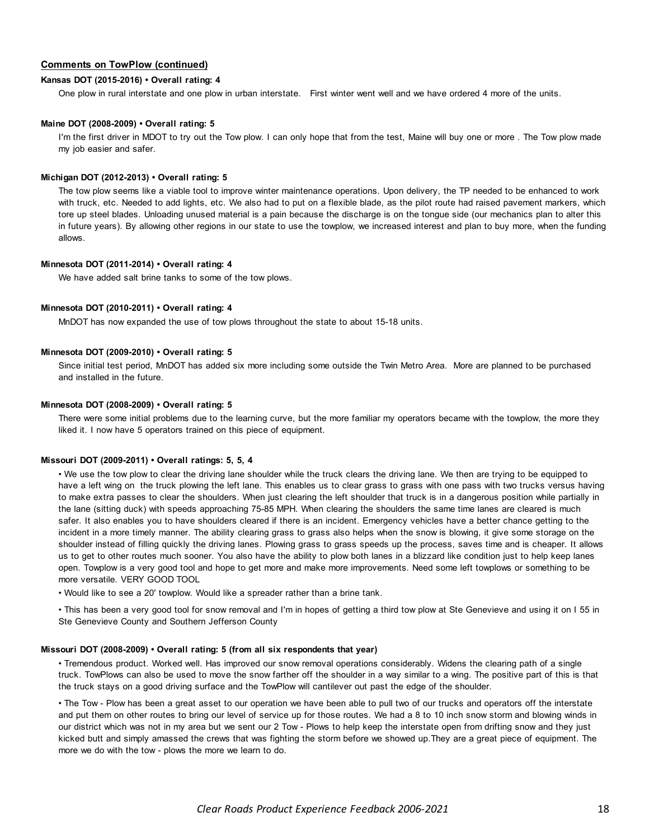### **Comments on TowPlow (continued)**

#### **Kansas DOT (2015-2016) • Overall rating: 4**

One plow in rural interstate and one plow in urban interstate. First winter went well and we have ordered 4 more of the units.

#### **Maine DOT (2008-2009) • Overall rating: 5**

I'm the first driver in MDOT to try out the Tow plow. I can only hope that from the test, Maine will buy one or more . The Tow plow made my job easier and safer.

#### **Michigan DOT (2012-2013) • Overall rating: 5**

The tow plow seems like a viable tool to improve winter maintenance operations. Upon delivery, the TP needed to be enhanced to work with truck, etc. Needed to add lights, etc. We also had to put on a flexible blade, as the pilot route had raised pavement markers, which tore up steel blades. Unloading unused material is a pain because the discharge is on the tongue side (our mechanics plan to alter this in future years). By allowing other regions in our state to use the towplow, we increased interest and plan to buy more, when the funding allows.

#### **Minnesota DOT (2011-2014) • Overall rating: 4**

We have added salt brine tanks to some of the tow plows.

#### **Minnesota DOT (2010-2011) • Overall rating: 4**

MnDOT has now expanded the use of tow plows throughout the state to about 15-18 units.

#### **Minnesota DOT (2009-2010) • Overall rating: 5**

Since initial test period, MnDOT has added six more including some outside the Twin Metro Area. More are planned to be purchased and installed in the future.

#### **Minnesota DOT (2008-2009) • Overall rating: 5**

There were some initial problems due to the learning curve, but the more familiar my operators became with the towplow, the more they liked it. I now have 5 operators trained on this piece of equipment.

#### **Missouri DOT (2009-2011) • Overall ratings: 5, 5, 4**

• We use the tow plow to clear the driving lane shoulder while the truck clears the driving lane. We then are trying to be equipped to have a left wing on the truck plowing the left lane. This enables us to clear grass to grass with one pass with two trucks versus having to make extra passes to clear the shoulders. When just clearing the left shoulder that truck is in a dangerous position while partially in the lane (sitting duck) with speeds approaching 75-85 MPH. When clearing the shoulders the same time lanes are cleared is much safer. It also enables you to have shoulders cleared if there is an incident. Emergency vehicles have a better chance getting to the incident in a more timely manner. The ability clearing grass to grass also helps when the snow is blowing, it give some storage on the shoulder instead of filling quickly the driving lanes. Plowing grass to grass speeds up the process, saves time and is cheaper. It allows us to get to other routes much sooner. You also have the ability to plow both lanes in a blizzard like condition just to help keep lanes open. Towplow is a very good tool and hope to get more and make more improvements. Need some left towplows or something to be more versatile. VERY GOOD TOOL

• Would like to see a 20' towplow. Would like a spreader rather than a brine tank.

• This has been a very good tool for snow removal and I'm in hopes of getting a third tow plow at Ste Genevieve and using it on I 55 in Ste Genevieve County and Southern Jefferson County

#### **Missouri DOT (2008-2009) • Overall rating: 5 (from all six respondents that year)**

• Tremendous product. Worked well. Has improved our snow removal operations considerably. Widens the clearing path of a single truck. TowPlows can also be used to move the snow farther off the shoulder in a way similar to a wing. The positive part of this is that the truck stays on a good driving surface and the TowPlow will cantilever out past the edge of the shoulder.

• The Tow - Plow has been a great asset to our operation we have been able to pull two of our trucks and operators off the interstate and put them on other routes to bring our level of service up for those routes. We had a 8 to 10 inch snow storm and blowing winds in our district which was not in my area but we sent our 2 Tow - Plows to help keep the interstate open from drifting snow and they just kicked butt and simply amassed the crews that was fighting the storm before we showed up.They are a great piece of equipment. The more we do with the tow - plows the more we learn to do.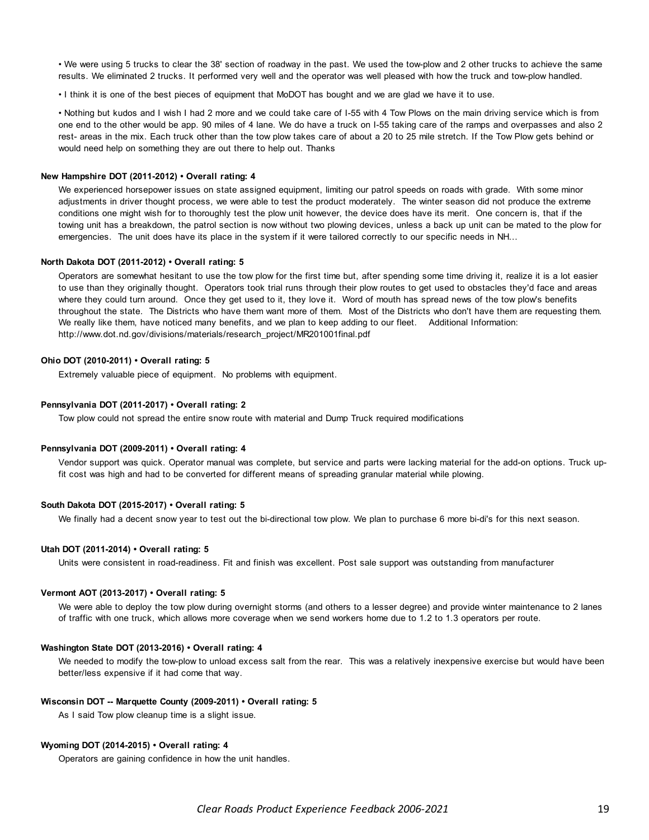• We were using 5 trucks to clear the 38' section of roadway in the past. We used the tow-plow and 2 other trucks to achieve the same results. We eliminated 2 trucks. It performed very well and the operator was well pleased with how the truck and tow-plow handled.

• I think it is one of the best pieces of equipment that MoDOT has bought and we are glad we have it to use.

• Nothing but kudos and I wish I had 2 more and we could take care of I-55 with 4 Tow Plows on the main driving service which is from one end to the other would be app. 90 miles of 4 lane. We do have a truck on I-55 taking care of the ramps and overpasses and also 2 rest- areas in the mix. Each truck other than the tow plow takes care of about a 20 to 25 mile stretch. If the Tow Plow gets behind or would need help on something they are out there to help out. Thanks

#### **New Hampshire DOT (2011-2012) • Overall rating: 4**

We experienced horsepower issues on state assigned equipment, limiting our patrol speeds on roads with grade. With some minor adjustments in driver thought process, we were able to test the product moderately. The winter season did not produce the extreme conditions one might wish for to thoroughly test the plow unit however, the device does have its merit. One concern is, that if the towing unit has a breakdown, the patrol section is now without two plowing devices, unless a back up unit can be mated to the plow for emergencies. The unit does have its place in the system if it were tailored correctly to our specific needs in NH...

#### **North Dakota DOT (2011-2012) • Overall rating: 5**

Operators are somewhat hesitant to use the tow plow for the first time but, after spending some time driving it, realize it is a lot easier to use than they originally thought. Operators took trial runs through their plow routes to get used to obstacles they'd face and areas where they could turn around. Once they get used to it, they love it. Word of mouth has spread news of the tow plow's benefits throughout the state. The Districts who have them want more of them. Most of the Districts who don't have them are requesting them. We really like them, have noticed many benefits, and we plan to keep adding to our fleet. Additional Information: http://www.dot.nd.gov/divisions/materials/research\_project/MR201001final.pdf

#### **Ohio DOT (2010-2011) • Overall rating: 5**

Extremely valuable piece of equipment. No problems with equipment.

#### **Pennsylvania DOT (2011-2017) • Overall rating: 2**

Tow plow could not spread the entire snow route with material and Dump Truck required modifications

#### **Pennsylvania DOT (2009-2011) • Overall rating: 4**

Vendor support was quick. Operator manual was complete, but service and parts were lacking material for the add-on options. Truck upfit cost was high and had to be converted for different means of spreading granular material while plowing.

#### **South Dakota DOT (2015-2017) • Overall rating: 5**

We finally had a decent snow year to test out the bi-directional tow plow. We plan to purchase 6 more bi-di's for this next season.

#### **Utah DOT (2011-2014) • Overall rating: 5**

Units were consistent in road-readiness. Fit and finish was excellent. Post sale support was outstanding from manufacturer

#### **Vermont AOT (2013-2017) • Overall rating: 5**

We were able to deploy the tow plow during overnight storms (and others to a lesser degree) and provide winter maintenance to 2 lanes of traffic with one truck, which allows more coverage when we send workers home due to 1.2 to 1.3 operators per route.

#### **Washington State DOT (2013-2016) • Overall rating: 4**

We needed to modify the tow-plow to unload excess salt from the rear. This was a relatively inexpensive exercise but would have been better/less expensive if it had come that way.

#### **Wisconsin DOT -- Marquette County (2009-2011) • Overall rating: 5**

As I said Tow plow cleanup time is a slight issue.

#### **Wyoming DOT (2014-2015) • Overall rating: 4**

Operators are gaining confidence in how the unit handles.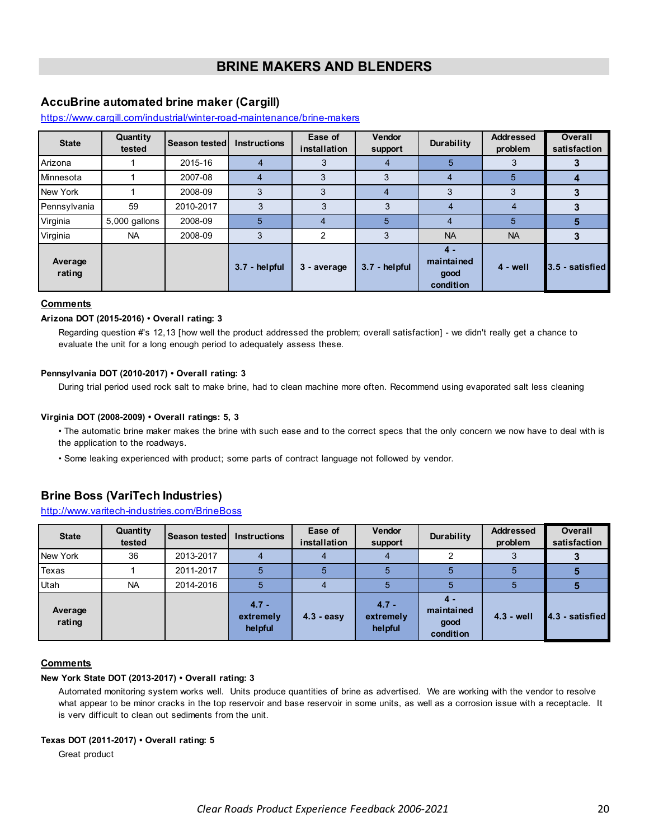# **BRINE MAKERS AND BLENDERS**

# <span id="page-19-0"></span>**AccuBrine automated brine maker (Cargill)**

#### https://www.cargill.com/industrial/winter-road-maintenance/brine-makers

| <b>State</b>      | Quantity<br>tested | Season tested | <b>Instructions</b> | Ease of<br>installation | <b>Vendor</b><br>support | Durability                               | <b>Addressed</b><br>problem | <b>Overall</b><br>satisfaction |
|-------------------|--------------------|---------------|---------------------|-------------------------|--------------------------|------------------------------------------|-----------------------------|--------------------------------|
| Arizona           |                    | 2015-16       |                     | 3                       | 4                        | 5                                        | 3                           |                                |
| Minnesota         |                    | 2007-08       |                     |                         | 3                        | 4                                        | 5                           |                                |
| New York          |                    | 2008-09       |                     |                         |                          | 3                                        | 3                           |                                |
| Pennsylvania      | 59                 | 2010-2017     | 3                   | 3                       | 3                        | 4                                        | 4                           |                                |
| Virginia          | 5,000 gallons      | 2008-09       | 5                   |                         | 5                        | 4                                        | 5                           |                                |
| Virginia          | <b>NA</b>          | 2008-09       | 3                   | 2                       | 3                        | <b>NA</b>                                | <b>NA</b>                   |                                |
| Average<br>rating |                    |               | 3.7 - helpful       | 3 - average             | 3.7 - helpful            | $4 -$<br>maintained<br>good<br>condition | $4 - well$                  | 3.5 - satisfied                |

#### **Comments**

#### **Arizona DOT (2015-2016) • Overall rating: 3**

Regarding question #'s 12,13 [how well the product addressed the problem; overall satisfaction] - we didn't really get a chance to evaluate the unit for a long enough period to adequately assess these.

#### **Pennsylvania DOT (2010-2017) • Overall rating: 3**

During trial period used rock salt to make brine, had to clean machine more often. Recommend using evaporated salt less cleaning

#### **Virginia DOT (2008-2009) • Overall ratings: 5, 3**

- The automatic brine maker makes the brine with such ease and to the correct specs that the only concern we now have to deal with is the application to the roadways.
- Some leaking experienced with product; some parts of contract language not followed by vendor.

# **Brine Boss (VariTech Industries)**

# http://www.varitech-industries.com/BrineBoss

| <b>State</b>      | Quantity<br>tested | Season tested | <b>Instructions</b>             | Ease of<br>installation | <b>Vendor</b><br>support        | Durability                               | <b>Addressed</b><br>problem | <b>Overall</b><br>satisfaction |
|-------------------|--------------------|---------------|---------------------------------|-------------------------|---------------------------------|------------------------------------------|-----------------------------|--------------------------------|
| New York          | 36                 | 2013-2017     |                                 |                         |                                 |                                          |                             |                                |
| Texas             |                    | 2011-2017     |                                 |                         |                                 |                                          |                             |                                |
| Utah              | <b>NA</b>          | 2014-2016     |                                 |                         |                                 |                                          | 5                           |                                |
| Average<br>rating |                    |               | $4.7 -$<br>extremely<br>helpful | $4.3 - easv$            | $4.7 -$<br>extremely<br>helpful | $4 -$<br>maintained<br>good<br>condition | $4.3 - well$                | 4.3 - satisfied                |

#### **Comments**

### **New York State DOT (2013-2017) • Overall rating: 3**

Automated monitoring system works well. Units produce quantities of brine as advertised. We are working with the vendor to resolve what appear to be minor cracks in the top reservoir and base reservoir in some units, as well as a corrosion issue with a receptacle. It is very difficult to clean out sediments from the unit.

### **Texas DOT (2011-2017) • Overall rating: 5**

Great product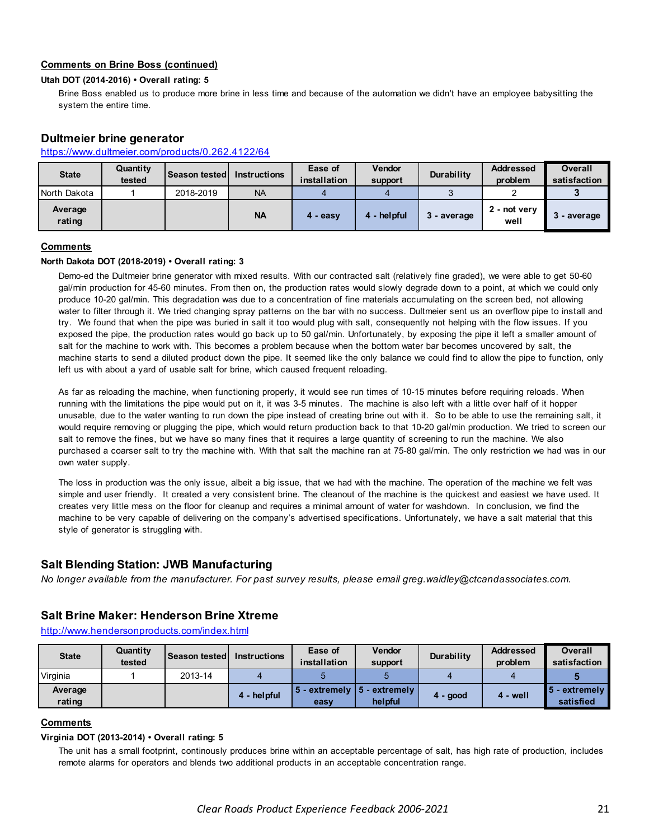### **Comments on Brine Boss (continued)**

### **Utah DOT (2014-2016) • Overall rating: 5**

Brine Boss enabled us to produce more brine in less time and because of the automation we didn't have an employee babysitting the system the entire time.

### **Dultmeier brine generator**

### https://www.dultmeier.com/products/0.262.4122/64

| <b>State</b>      | Quantity<br>tested | Season tested Instructions |           | Ease of<br>installation | <b>Vendor</b><br>support | Durability  | <b>Addressed</b><br>problem | Overall<br>satisfaction |
|-------------------|--------------------|----------------------------|-----------|-------------------------|--------------------------|-------------|-----------------------------|-------------------------|
| North Dakota      |                    | 2018-2019                  | <b>NA</b> |                         |                          |             |                             |                         |
| Average<br>rating |                    |                            | <b>NA</b> | 4 - easy                | 4 - helpful              | 3 - average | 2 - not verv<br>well        | 3 - average             |

# **Comments**

#### **North Dakota DOT (2018-2019) • Overall rating: 3**

Demo-ed the Dultmeier brine generator with mixed results. With our contracted salt (relatively fine graded), we were able to get 50-60 gal/min production for 45-60 minutes. From then on, the production rates would slowly degrade down to a point, at which we could only produce 10-20 gal/min. This degradation was due to a concentration of fine materials accumulating on the screen bed, not allowing water to filter through it. We tried changing spray patterns on the bar with no success. Dultmeier sent us an overflow pipe to install and try. We found that when the pipe was buried in salt it too would plug with salt, consequently not helping with the flow issues. If you exposed the pipe, the production rates would go back up to 50 gal/min. Unfortunately, by exposing the pipe it left a smaller amount of salt for the machine to work with. This becomes a problem because when the bottom water bar becomes uncovered by salt, the machine starts to send a diluted product down the pipe. It seemed like the only balance we could find to allow the pipe to function, only left us with about a yard of usable salt for brine, which caused frequent reloading.

As far as reloading the machine, when functioning properly, it would see run times of 10-15 minutes before requiring reloads. When running with the limitations the pipe would put on it, it was 3-5 minutes. The machine is also left with a little over half of it hopper unusable, due to the water wanting to run down the pipe instead of creating brine out with it. So to be able to use the remaining salt, it would require removing or plugging the pipe, which would return production back to that 10-20 gal/min production. We tried to screen our salt to remove the fines, but we have so many fines that it requires a large quantity of screening to run the machine. We also purchased a coarser salt to try the machine with. With that salt the machine ran at 75-80 gal/min. The only restriction we had was in our own water supply.

The loss in production was the only issue, albeit a big issue, that we had with the machine. The operation of the machine we felt was simple and user friendly. It created a very consistent brine. The cleanout of the machine is the quickest and easiest we have used. It creates very little mess on the floor for cleanup and requires a minimal amount of water for washdown. In conclusion, we find the machine to be very capable of delivering on the company's advertised specifications. Unfortunately, we have a salt material that this style of generator is struggling with.

# **Salt Blending Station: JWB Manufacturing**

*No longer available from the manufacturer. For past survey results, please email greg.waidley@ctcandassociates.com.* 

# **Salt Brine Maker: Henderson Brine Xtreme**

http://www.hendersonproducts.com/index.html

| <b>State</b>      | Quantity<br>tested | <b>Season testedl</b> | <b>Instructions</b> | Ease of<br>installation | <b>Vendor</b><br>support                    | Durability | <b>Addressed</b><br>problem | Overall<br>satisfaction                   |
|-------------------|--------------------|-----------------------|---------------------|-------------------------|---------------------------------------------|------------|-----------------------------|-------------------------------------------|
| Virginia          |                    | 2013-14               |                     |                         |                                             |            |                             |                                           |
| Average<br>rating |                    |                       | 4 - helpful         | easy                    | $5$ - extremely $15$ - extremely<br>helpful | $4 - good$ | 4 - well                    | $\blacksquare$ 5 - extremely<br>satisfied |

### **Comments**

#### **Virginia DOT (2013-2014) • Overall rating: 5**

The unit has a small footprint, continously produces brine within an acceptable percentage of salt, has high rate of production, includes remote alarms for operators and blends two additional products in an acceptable concentration range.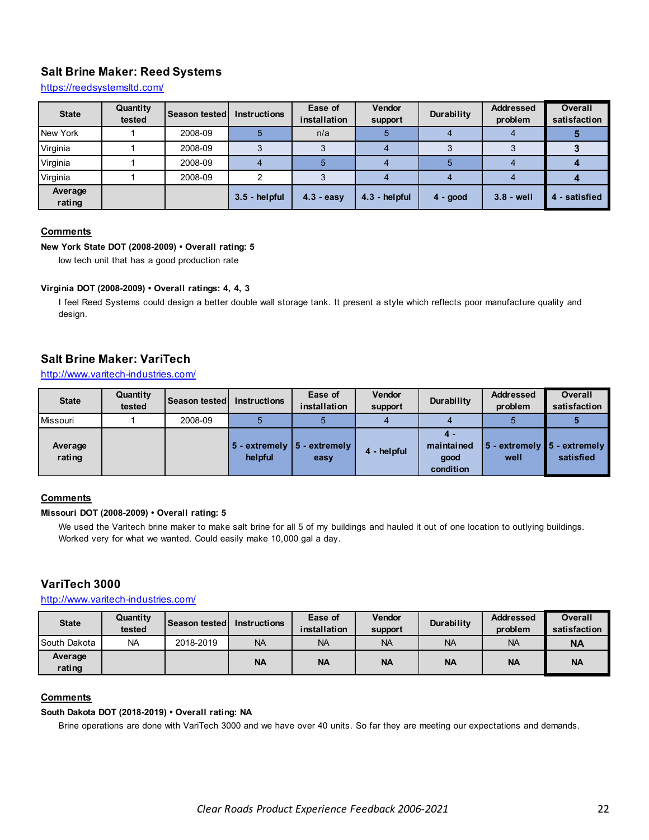# **Salt Brine Maker: Reed Systems**

https://reedsystemsltd.com/

| <b>State</b>      | Quantity<br>tested | <b>Season tested</b> | <b>Instructions</b> | Ease of<br>installation | <b>Vendor</b><br>support | Durability | <b>Addressed</b><br>problem | <b>Overall</b><br>satisfaction |
|-------------------|--------------------|----------------------|---------------------|-------------------------|--------------------------|------------|-----------------------------|--------------------------------|
| New York          |                    | 2008-09              |                     | n/a                     |                          |            |                             |                                |
| Virginia          |                    | 2008-09              |                     |                         |                          |            |                             |                                |
| Virginia          |                    | 2008-09              |                     |                         |                          |            |                             |                                |
| Virginia          |                    | 2008-09              |                     |                         |                          |            |                             |                                |
| Average<br>rating |                    |                      | $3.5 - helpful$     | $4.3 - easy$            | 4.3 - helpful            | $4 - good$ | $3.8 - well$                | 4 - satisfied                  |

### **Comments**

### **New York State DOT (2008-2009) • Overall rating: 5**

low tech unit that has a good production rate

### **Virginia DOT (2008-2009) • Overall ratings: 4, 4, 3**

I feel Reed Systems could design a better double wall storage tank. It present a style which reflects poor manufacture quality and design.

# **Salt Brine Maker: VariTech**

http://www.varitech-industries.com/

| <b>State</b>      | Quantity<br>tested | <b>Season tested I</b> | <b>Instructions</b> | Ease of<br>installation                                     | <b>Vendor</b><br>support | Durability                            | <b>Addressed</b><br>problem | <b>Overall</b><br>satisfaction           |
|-------------------|--------------------|------------------------|---------------------|-------------------------------------------------------------|--------------------------|---------------------------------------|-----------------------------|------------------------------------------|
| <b>Missouri</b>   |                    | 2008-09                |                     |                                                             |                          |                                       |                             |                                          |
| Average<br>rating |                    |                        | helpful             | $\vert$ 5 - extremely $\vert$ 5 - extremely $\vert$<br>easy | 4 - helpful              | 4.<br>maintained<br>qood<br>condition | well                        | 5 - extremely 5 - extremely<br>satisfied |

### **Comments**

### **Missouri DOT (2008-2009) • Overall rating: 5**

We used the Varitech brine maker to make salt brine for all 5 of my buildings and hauled it out of one location to outlying buildings. Worked very for what we wanted. Could easily make 10,000 gal a day.

# **VariTech 3000**

http://www.varitech-industries.com/

| <b>State</b>      | Quantity<br>tested | <b>Season testedl</b> | <b>Instructions</b> | Ease of<br>installation | <b>Vendor</b><br>support | Durability | <b>Addressed</b><br>problem | <b>Overall</b><br>satisfaction |
|-------------------|--------------------|-----------------------|---------------------|-------------------------|--------------------------|------------|-----------------------------|--------------------------------|
| South Dakota      | <b>NA</b>          | 2018-2019             | <b>NA</b>           | <b>NA</b>               | <b>NA</b>                | <b>NA</b>  | <b>NA</b>                   | NA                             |
| Average<br>rating |                    |                       | <b>NA</b>           | <b>NA</b>               | <b>NA</b>                | <b>NA</b>  | <b>NA</b>                   | <b>NA</b>                      |

### **Comments**

#### **South Dakota DOT (2018-2019) • Overall rating: NA**

Brine operations are done with VariTech 3000 and we have over 40 units. So far they are meeting our expectations and demands.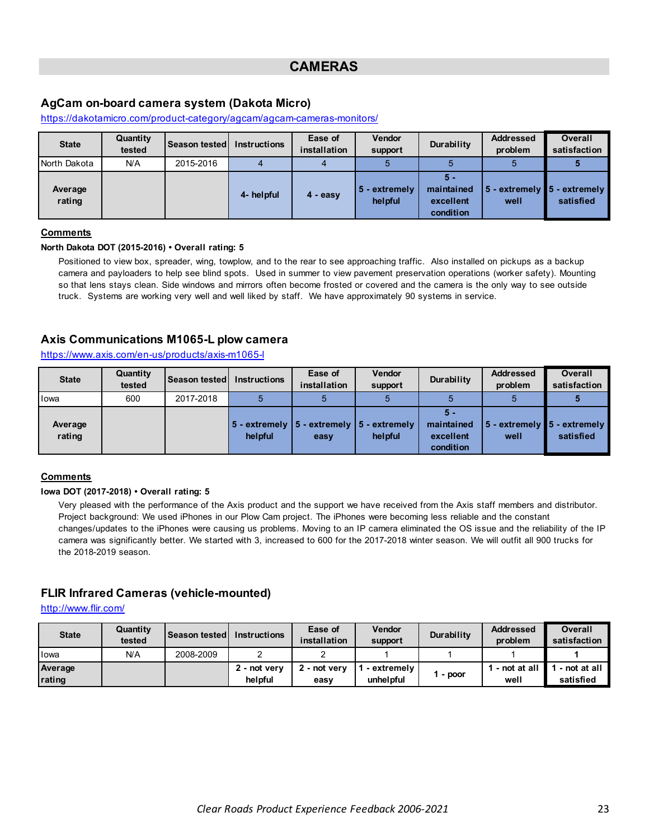# **CAMERAS**

# <span id="page-22-0"></span>**AgCam on-board camera system (Dakota Micro)**

| <b>State</b>      | Quantity<br>tested | <b>Season tested</b> | <b>Instructions</b> | Ease of<br>installation | <b>Vendor</b><br>support | Durability                                  | <b>Addressed</b><br>problem            | <b>Overall</b><br>satisfaction |
|-------------------|--------------------|----------------------|---------------------|-------------------------|--------------------------|---------------------------------------------|----------------------------------------|--------------------------------|
| North Dakota      | N/A                | 2015-2016            |                     |                         |                          |                                             |                                        |                                |
| Average<br>rating |                    |                      | 4- helpful          | $4 - easv$              | 5 - extremely<br>helpful | 5 -<br>maintained<br>excellent<br>condition | 5 - extremely ∎5 - extremely  <br>well | satisfied                      |

https://dakotamicro.com/product-category/agcam/agcam-cameras-monitors/

# **Comments**

#### **North Dakota DOT (2015-2016) • Overall rating: 5**

Positioned to view box, spreader, wing, towplow, and to the rear to see approaching traffic. Also installed on pickups as a backup camera and payloaders to help see blind spots. Used in summer to view pavement preservation operations (worker safety). Mounting so that lens stays clean. Side windows and mirrors often become frosted or covered and the camera is the only way to see outside truck. Systems are working very well and well liked by staff. We have approximately 90 systems in service.

# **Axis Communications M1065-L plow camera**

https://www.axis.com/en-us/products/axis-m1065-l

| <b>State</b>      | Quantity<br>tested | Season tested | <b>Instructions</b> | Ease of<br>installation                                                   | <b>Vendor</b><br>support | Durability                                  | <b>Addressed</b><br>problem | Overall<br>satisfaction                     |
|-------------------|--------------------|---------------|---------------------|---------------------------------------------------------------------------|--------------------------|---------------------------------------------|-----------------------------|---------------------------------------------|
| lowa              | 600                | 2017-2018     |                     |                                                                           |                          |                                             |                             |                                             |
| Average<br>rating |                    |               | helpful             | $\vert$ 5 - extremely $\vert$ 5 - extremely $\vert$ 5 - extremely<br>easy | helpful                  | 5 -<br>maintained<br>excellent<br>condition | well                        | 5 - extremely ∎5 - extremely  <br>satisfied |

### **Comments**

### **Iowa DOT (2017-2018) • Overall rating: 5**

Very pleased with the performance of the Axis product and the support we have received from the Axis staff members and distributor. Project background: We used iPhones in our Plow Cam project. The iPhones were becoming less reliable and the constant changes/updates to the iPhones were causing us problems. Moving to an IP camera eliminated the OS issue and the reliability of the IP camera was significantly better. We started with 3, increased to 600 for the 2017-2018 winter season. We will outfit all 900 trucks for the 2018-2019 season.

### **FLIR Infrared Cameras (vehicle-mounted)**

http://www.flir.com/

| <b>State</b>      | Quantity<br>tested | Season tested | <b>Instructions</b>     | Ease of<br>installation | <b>Vendor</b><br>support | Durability | <b>Addressed</b><br>problem | Overall<br>satisfaction   |
|-------------------|--------------------|---------------|-------------------------|-------------------------|--------------------------|------------|-----------------------------|---------------------------|
| <b>lowa</b>       | N/A                | 2008-2009     |                         |                         |                          |            |                             |                           |
| Average<br>rating |                    |               | 2 - not very<br>helpful | 2 - not verv<br>easy    | - extremelv<br>unhelpful | - poor     | - not at all<br>well        | - not at all<br>satisfied |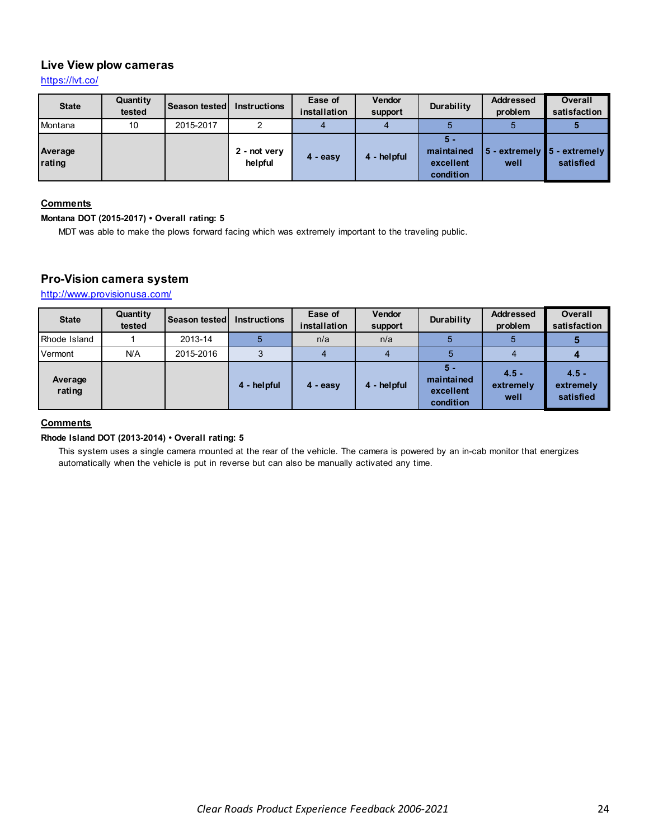# **Live View plow cameras**

https://lvt.co/

| <b>State</b>      | Quantity<br>tested | Season tested | <b>Instructions</b>     | Ease of<br>installation | <b>Vendor</b><br>support | Durability                                  | <b>Addressed</b><br>problem | <b>Overall</b><br>satisfaction              |
|-------------------|--------------------|---------------|-------------------------|-------------------------|--------------------------|---------------------------------------------|-----------------------------|---------------------------------------------|
| Montana           | 10                 | 2015-2017     |                         |                         |                          |                                             |                             |                                             |
| Average<br>rating |                    |               | 2 - not very<br>helpful | 4 - easy                | 4 - helpful              | 5 -<br>maintained<br>excellent<br>condition | well                        | 5 - extremely ∎5 - extremely  <br>satisfied |

### **Comments**

### **Montana DOT (2015-2017) • Overall rating: 5**

MDT was able to make the plows forward facing which was extremely important to the traveling public.

# **Pro-Vision camera system**

http://www.provisionusa.com/

| <b>State</b>      | Quantity<br>tested | <b>Season tested</b> | <b>Instructions</b> | Ease of<br>installation | <b>Vendor</b><br>support | Durability                                    | <b>Addressed</b><br>problem  | <b>Overall</b><br>satisfaction    |
|-------------------|--------------------|----------------------|---------------------|-------------------------|--------------------------|-----------------------------------------------|------------------------------|-----------------------------------|
| Rhode Island      |                    | 2013-14              |                     | n/a                     | n/a                      |                                               | 5                            |                                   |
| Vermont           | N/A                | 2015-2016            |                     |                         | 4                        |                                               |                              |                                   |
| Average<br>rating |                    |                      | 4 - helpful         | 4 - easy                | 4 - helpful              | $5 -$<br>maintained<br>excellent<br>condition | $4.5 -$<br>extremely<br>well | $4.5 -$<br>extremely<br>satisfied |

# **Comments**

### **Rhode Island DOT (2013-2014) • Overall rating: 5**

This system uses a single camera mounted at the rear of the vehicle. The camera is powered by an in-cab monitor that energizes automatically when the vehicle is put in reverse but can also be manually activated any time.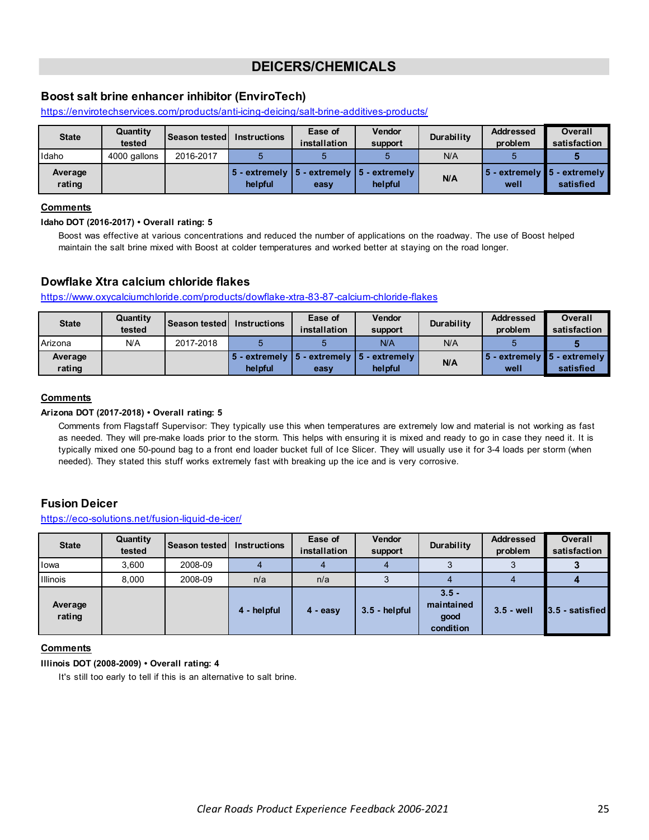# **DEICERS/CHEMICALS**

# <span id="page-24-0"></span>**Boost salt brine enhancer inhibitor (EnviroTech)**

https://envirotechservices.com/products/anti-icing-deicing/salt-brine-additives-products/

| <b>State</b>      | Quantity<br>tested | <b>Season tested I</b> | <b>Instructions</b> | Ease of<br>installation | <b>Vendor</b><br>support                                                             | <b>Durability</b> | <b>Addressed</b><br>problem                                 | <b>Overall</b><br>satisfaction |
|-------------------|--------------------|------------------------|---------------------|-------------------------|--------------------------------------------------------------------------------------|-------------------|-------------------------------------------------------------|--------------------------------|
| Idaho             | 4000 gallons       | 2016-2017              |                     |                         |                                                                                      | N/A               |                                                             |                                |
| Average<br>rating |                    |                        | helpful             | easy                    | $\vert$ 5 - extremely $\vert$ 5 - extremely $\vert$ 5 - extremely $\vert$<br>helpful | N/A               | $\vert$ 5 - extremely $\vert$ 5 - extremely $\vert$<br>well | satisfied                      |

### **Comments**

#### **Idaho DOT (2016-2017) • Overall rating: 5**

Boost was effective at various concentrations and reduced the number of applications on the roadway. The use of Boost helped maintain the salt brine mixed with Boost at colder temperatures and worked better at staying on the road longer.

# **Dowflake Xtra calcium chloride flakes**

https://www.oxycalciumchloride.com/products/dowflake-xtra-83-87-calcium-chloride-flakes

| <b>State</b>      | Quantity<br>tested | <b>Season tested</b> | <b>Instructions</b> | Ease of<br>installation | <b>Vendor</b><br>support                                                             | <b>Durability</b> | <b>Addressed</b><br>problem | Overall<br>satisfaction                                          |
|-------------------|--------------------|----------------------|---------------------|-------------------------|--------------------------------------------------------------------------------------|-------------------|-----------------------------|------------------------------------------------------------------|
| Arizona           | N/A                | 2017-2018            |                     |                         | N/A                                                                                  | N/A               |                             |                                                                  |
| Average<br>rating |                    |                      | helpful             | easy                    | $\vert 5$ - extremely $\vert 5$ - extremely $\vert 5$ - extremely $\vert$<br>helpful | N/A               | well                        | $\vert$ 5 - extremely $\vert$ 5 - extremely $\vert$<br>satisfied |

### **Comments**

### **Arizona DOT (2017-2018) • Overall rating: 5**

Comments from Flagstaff Supervisor: They typically use this when temperatures are extremely low and material is not working as fast as needed. They will pre-make loads prior to the storm. This helps with ensuring it is mixed and ready to go in case they need it. It is typically mixed one 50-pound bag to a front end loader bucket full of Ice Slicer. They will usually use it for 3-4 loads per storm (when needed). They stated this stuff works extremely fast with breaking up the ice and is very corrosive.

# **Fusion Deicer**

### https://eco-solutions.net/fusion-liquid-de-icer/

| <b>State</b>      | Quantity<br>tested | Season tested | <b>Instructions</b> | Ease of<br>installation | <b>Vendor</b><br>support | Durability                                 | <b>Addressed</b><br>problem | <b>Overall</b><br>satisfaction |
|-------------------|--------------------|---------------|---------------------|-------------------------|--------------------------|--------------------------------------------|-----------------------------|--------------------------------|
| lowa              | 3.600              | 2008-09       |                     |                         |                          |                                            |                             |                                |
| Illinois          | 8.000              | 2008-09       | n/a                 | n/a                     | Ő                        |                                            | 4                           |                                |
| Average<br>rating |                    |               | 4 - helpful         | $4 - easv$              | $3.5 - helpful$          | $3.5 -$<br>maintained<br>good<br>condition | $3.5 - well$                | 3.5 - satisfied                |

### **Comments**

### **Illinois DOT (2008-2009) • Overall rating: 4**

It's still too early to tell if this is an alternative to salt brine.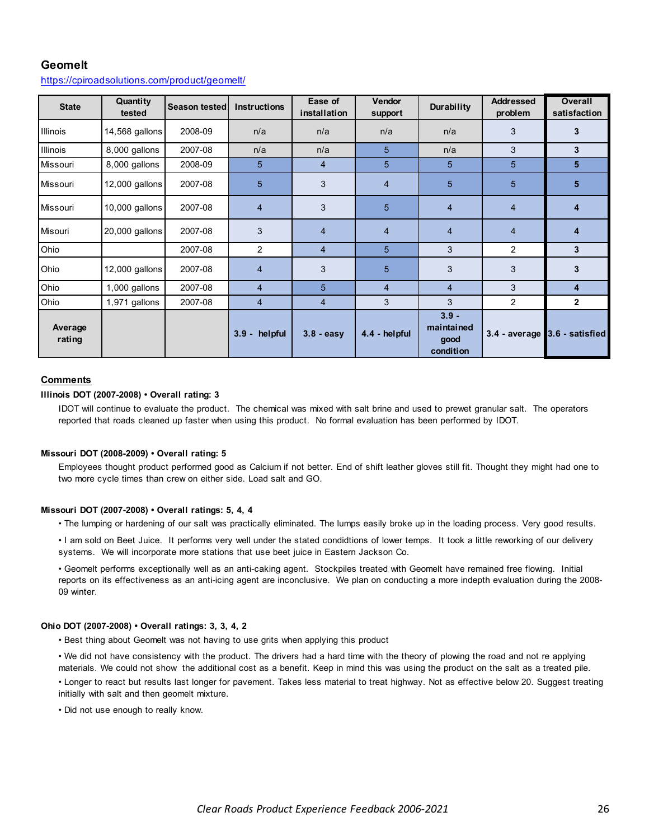# **Geomelt**

| <b>State</b>      | Quantity<br>tested | <b>Season tested</b> | Instructions   | Ease of<br>installation | <b>Vendor</b><br>support | Durability                                 | <b>Addressed</b><br>problem | <b>Overall</b><br>satisfaction |
|-------------------|--------------------|----------------------|----------------|-------------------------|--------------------------|--------------------------------------------|-----------------------------|--------------------------------|
| <b>Illinois</b>   | 14,568 gallons     | 2008-09              | n/a            | n/a                     | n/a                      | n/a                                        | 3                           | 3                              |
| <b>Illinois</b>   | 8,000 gallons      | 2007-08              | n/a            | n/a                     | 5                        | n/a                                        | 3                           | 3                              |
| Missouri          | 8,000 gallons      | 2008-09              | 5              | $\overline{4}$          | 5                        | 5                                          | 5                           | 5                              |
| Missouri          | 12,000 gallons     | 2007-08              | 5              | 3                       | 4                        | 5                                          | 5                           | 5                              |
| Missouri          | $10,000$ gallons   | 2007-08              | $\overline{4}$ | 3                       | 5                        | $\overline{4}$                             | $\overline{4}$              | $\overline{\mathbf{4}}$        |
| Misouri           | 20,000 gallons     | 2007-08              | 3              | $\overline{4}$          | $\overline{4}$           | $\overline{4}$                             | $\overline{4}$              | 4                              |
| Ohio              |                    | 2007-08              | $\overline{2}$ | $\overline{4}$          | 5                        | 3                                          | $\overline{2}$              | 3                              |
| Ohio              | 12,000 gallons     | 2007-08              | 4              | 3                       | 5                        | 3                                          | 3                           | 3                              |
| Ohio              | 1,000 gallons      | 2007-08              | $\overline{4}$ | 5                       | $\overline{4}$           | $\overline{4}$                             | 3                           | $\overline{\mathbf{4}}$        |
| Ohio              | 1,971 gallons      | 2007-08              | 4              | 4                       | 3                        | 3                                          | $\overline{2}$              | $\mathbf{2}$                   |
| Average<br>rating |                    |                      | 3.9 - helpful  | $3.8 - easv$            | 4.4 - helpful            | $3.9 -$<br>maintained<br>good<br>condition |                             | 3.4 - average 3.6 - satisfied  |

#### https://cpiroadsolutions.com/product/geomelt/

#### **Comments**

#### **Illinois DOT (2007-2008) • Overall rating: 3**

IDOT will continue to evaluate the product. The chemical was mixed with salt brine and used to prewet granular salt. The operators reported that roads cleaned up faster when using this product. No formal evaluation has been performed by IDOT.

#### **Missouri DOT (2008-2009) • Overall rating: 5**

Employees thought product performed good as Calcium if not better. End of shift leather gloves still fit. Thought they might had one to two more cycle times than crew on either side. Load salt and GO.

#### **Missouri DOT (2007-2008) • Overall ratings: 5, 4, 4**

• The lumping or hardening of our salt was practically eliminated. The lumps easily broke up in the loading process. Very good results.

• I am sold on Beet Juice. It performs very well under the stated condidtions of lower temps. It took a little reworking of our delivery systems. We will incorporate more stations that use beet juice in Eastern Jackson Co.

• Geomelt performs exceptionally well as an anti-caking agent. Stockpiles treated with Geomelt have remained free flowing. Initial reports on its effectiveness as an anti-icing agent are inconclusive. We plan on conducting a more indepth evaluation during the 2008- 09 winter.

#### **Ohio DOT (2007-2008) • Overall ratings: 3, 3, 4, 2**

• Best thing about Geomelt was not having to use grits when applying this product

• We did not have consistency with the product. The drivers had a hard time with the theory of plowing the road and not re applying materials. We could not show the additional cost as a benefit. Keep in mind this was using the product on the salt as a treated pile. • Longer to react but results last longer for pavement. Takes less material to treat highway. Not as effective below 20. Suggest treating

initially with salt and then geomelt mixture.

• Did not use enough to really know.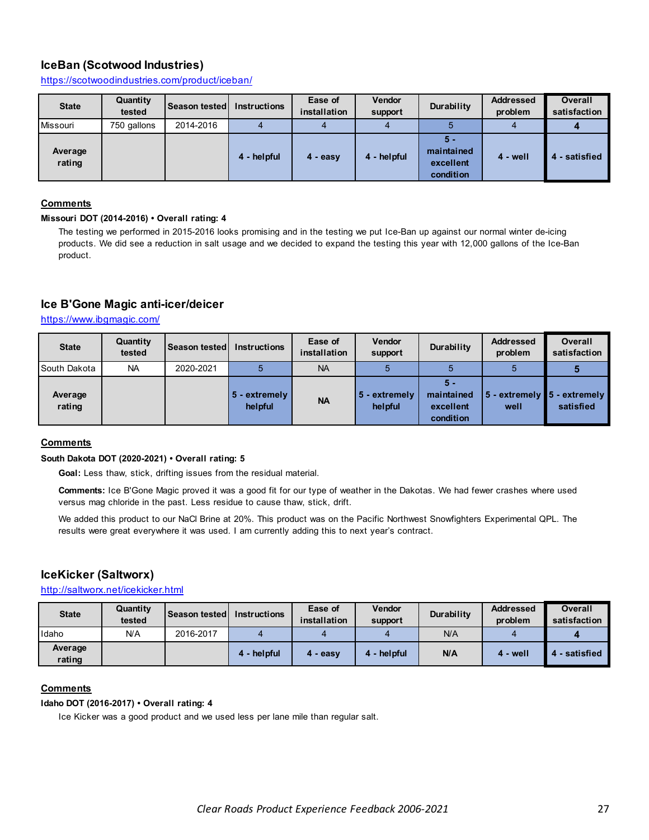# **IceBan (Scotwood Industries)**

https://scotwoodindustries.com/product/iceban/

| <b>State</b>      | Quantity<br>tested | Season tested Instructions |             | Ease of<br>installation | Vendor<br>support | Durability                                    | <b>Addressed</b><br>problem | <b>Overall</b><br>satisfaction |
|-------------------|--------------------|----------------------------|-------------|-------------------------|-------------------|-----------------------------------------------|-----------------------------|--------------------------------|
| <b>Missouri</b>   | 750 gallons        | 2014-2016                  |             |                         |                   |                                               |                             |                                |
| Average<br>rating |                    |                            | 4 - helpful | $4 - easv$              | 4 - helpful       | $5 -$<br>maintained<br>excellent<br>condition | 4 - well                    | - satisfied<br>4               |

### **Comments**

#### **Missouri DOT (2014-2016) • Overall rating: 4**

The testing we performed in 2015-2016 looks promising and in the testing we put Ice-Ban up against our normal winter de-icing products. We did see a reduction in salt usage and we decided to expand the testing this year with 12,000 gallons of the Ice-Ban product.

# **Ice B'Gone Magic anti-icer/deicer**

https://www.ibgmagic.com/

| <b>State</b>      | Quantity<br>tested | <b>Season tested</b> | <b>Instructions</b>        | Ease of<br>installation | <b>Vendor</b><br>support | Durability                                  | <b>Addressed</b><br>problem | <b>Overall</b><br>satisfaction             |
|-------------------|--------------------|----------------------|----------------------------|-------------------------|--------------------------|---------------------------------------------|-----------------------------|--------------------------------------------|
| South Dakota      | <b>NA</b>          | 2020-2021            |                            | <b>NA</b>               |                          |                                             |                             |                                            |
| Average<br>rating |                    |                      | $5 -$ extremely<br>helpful | <b>NA</b>               | 5 - extremely<br>helpful | 5 -<br>maintained<br>excellent<br>condition | well                        | 5 - extremely 5 - extremely  <br>satisfied |

# **Comments**

### **South Dakota DOT (2020-2021) • Overall rating: 5**

**Goal:** Less thaw, stick, drifting issues from the residual material.

**Comments:** Ice B'Gone Magic proved it was a good fit for our type of weather in the Dakotas. We had fewer crashes where used versus mag chloride in the past. Less residue to cause thaw, stick, drift.

We added this product to our NaCl Brine at 20%. This product was on the Pacific Northwest Snowfighters Experimental QPL. The results were great everywhere it was used. I am currently adding this to next year's contract.

# **IceKicker (Saltworx)**

http://saltworx.net/icekicker.html

| <b>State</b>      | Quantity<br>tested | Season tested | Instructions | Ease of<br>installation | Vendor<br>support | Durability | <b>Addressed</b><br>problem | <b>Overall</b><br>satisfaction |
|-------------------|--------------------|---------------|--------------|-------------------------|-------------------|------------|-----------------------------|--------------------------------|
| Idaho             | N/A                | 2016-2017     |              |                         |                   | N/A        |                             |                                |
| Average<br>rating |                    |               | 4 - helpful  | - easy                  | 4 - helpful       | N/A        | 4 - well                    | - satisfied                    |

### **Comments**

#### **Idaho DOT (2016-2017) • Overall rating: 4**

Ice Kicker was a good product and we used less per lane mile than regular salt.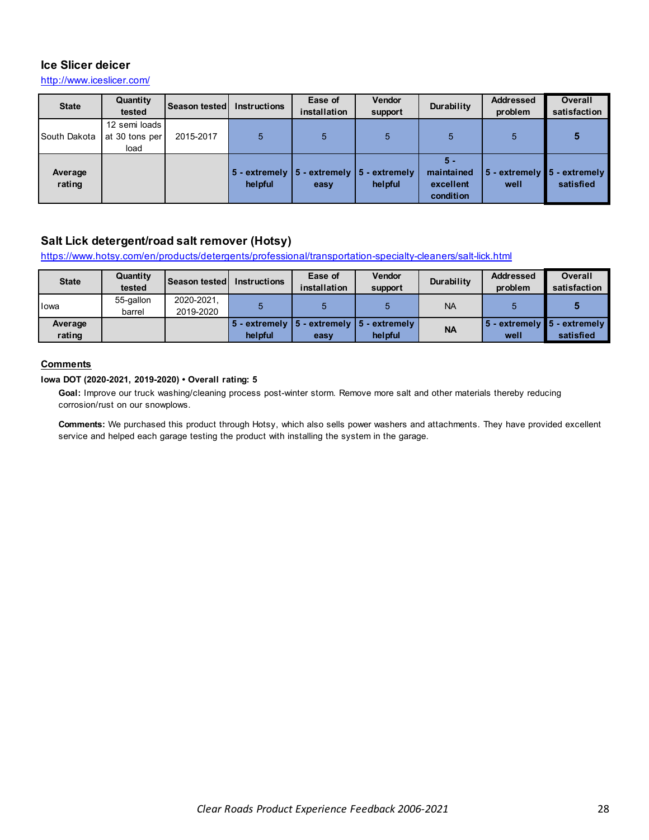# **Ice Slicer deicer**

http://www.iceslicer.com/

| <b>State</b>      | Quantity<br>tested                      | <b>Season tested I</b> | <b>Instructions</b> | Ease of<br>installation                                                   | <b>Vendor</b><br>support | Durability                                    | <b>Addressed</b><br>problem | <b>Overall</b><br>satisfaction              |
|-------------------|-----------------------------------------|------------------------|---------------------|---------------------------------------------------------------------------|--------------------------|-----------------------------------------------|-----------------------------|---------------------------------------------|
| South Dakota      | 12 semi loads<br>at 30 tons per<br>load | 2015-2017              |                     | 5                                                                         | 5                        | 5                                             | 5                           |                                             |
| Average<br>rating |                                         |                        | helpful             | $\vert$ 5 - extremely $\vert$ 5 - extremely $\vert$ 5 - extremely<br>easy | helpful                  | $5 -$<br>maintained<br>excellent<br>condition | well                        | 5 - extremely ∎5 - extremely  <br>satisfied |

# **Salt Lick detergent/road salt remover (Hotsy)**

https://www.hotsy.com/en/products/detergents/professional/transportation-specialty-cleaners/salt-lick.html

| <b>State</b>      | Quantity<br>tested  | Season tested           | <b>Instructions</b> | Ease of<br>installation                                 | <b>Vendor</b><br>support | Durability | <b>Addressed</b><br>problem            | Overall<br>satisfaction |
|-------------------|---------------------|-------------------------|---------------------|---------------------------------------------------------|--------------------------|------------|----------------------------------------|-------------------------|
| Iowa              | 55-gallon<br>barrel | 2020-2021,<br>2019-2020 |                     |                                                         |                          | <b>NA</b>  |                                        |                         |
| Average<br>rating |                     |                         | helpful             | 5 - extremely   5 - extremely   5 - extremely  <br>easv | helpful                  | <b>NA</b>  | 5 - extremely ∎5 - extremely  <br>well | satisfied               |

### **Comments**

### **Iowa DOT (2020-2021, 2019-2020) • Overall rating: 5**

Goal: Improve our truck washing/cleaning process post-winter storm. Remove more salt and other materials thereby reducing corrosion/rust on our snowplows.

**Comments:** We purchased this product through Hotsy, which also sells power washers and attachments. They have provided excellent service and helped each garage testing the product with installing the system in the garage.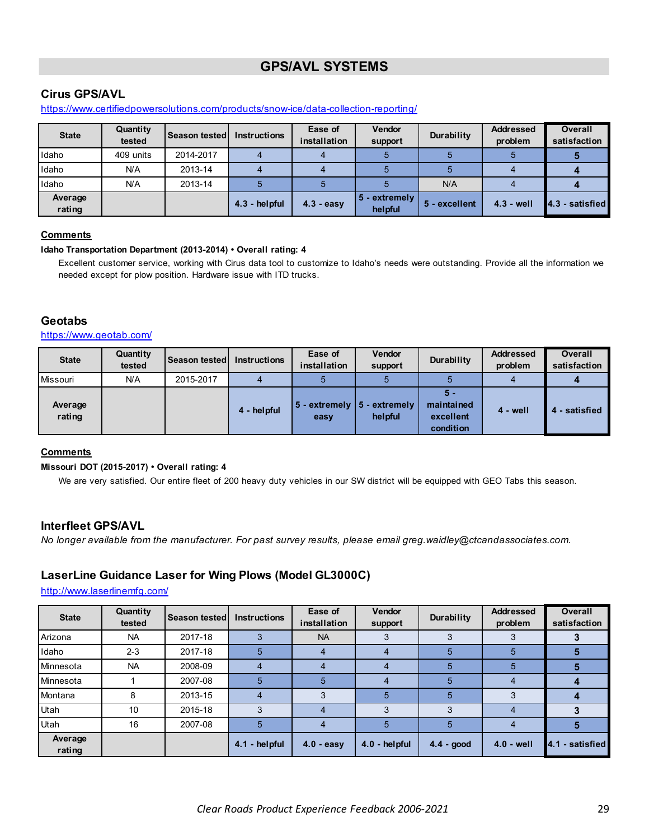# **GPS/AVL SYSTEMS**

# <span id="page-28-0"></span>**Cirus GPS/AVL**

https://www.certifiedpowersolutions.com/products/snow-ice/data-collection-reporting/

| <b>State</b>      | Quantity<br>tested | <b>Season tested</b> | <b>Instructions</b> | Ease of<br>installation | <b>Vendor</b><br>support | Durability    | <b>Addressed</b><br>problem | <b>Overall</b><br>satisfaction |
|-------------------|--------------------|----------------------|---------------------|-------------------------|--------------------------|---------------|-----------------------------|--------------------------------|
| Idaho             | 409 units          | 2014-2017            |                     |                         |                          |               |                             |                                |
| Idaho             | N/A                | 2013-14              |                     |                         |                          |               |                             |                                |
| Idaho             | N/A                | 2013-14              |                     |                         |                          | N/A           |                             |                                |
| Average<br>rating |                    |                      | $4.3 - heloful$     | $4.3 - easv$            | 5 - extremely<br>helpful | 5 - excellent | $4.3 - well$                | 4.3 - satisfied                |

### **Comments**

### **Idaho Transportation Department (2013-2014) • Overall rating: 4**

Excellent customer service, working with Cirus data tool to customize to Idaho's needs were outstanding. Provide all the information we needed except for plow position. Hardware issue with ITD trucks.

# **Geotabs**

### https://www.geotab.com/

| <b>State</b>      | Quantity<br>tested | <b>Season tested</b> | <b>Instructions</b> | Ease of<br>installation                         | <b>Vendor</b><br>support | Durability                                  | <b>Addressed</b><br>problem | <b>Overall</b><br>satisfaction |
|-------------------|--------------------|----------------------|---------------------|-------------------------------------------------|--------------------------|---------------------------------------------|-----------------------------|--------------------------------|
| Missouri          | N/A                | 2015-2017            |                     |                                                 |                          |                                             |                             |                                |
| Average<br>rating |                    |                      | 4 - helpful         | $5 -$ extremely $\boxed{5 -}$ extremely<br>easy | helpful                  | 5 -<br>maintained<br>excellent<br>condition | 4 - well                    | 4 - satisfied                  |

# **Comments**

### **Missouri DOT (2015-2017) • Overall rating: 4**

We are very satisfied. Our entire fleet of 200 heavy duty vehicles in our SW district will be equipped with GEO Tabs this season.

# **Interfleet GPS/AVL**

*No longer available from the manufacturer. For past survey results, please email greg.waidley@ctcandassociates.com.* 

# **LaserLine Guidance Laser for Wing Plows (Model GL3000C)**

http://www.laserlinemfg.com/

| <b>State</b>      | Quantity<br>tested | Season tested | <b>Instructions</b> | Ease of<br>installation | Vendor<br>support | Durability | <b>Addressed</b><br>problem | <b>Overall</b><br>satisfaction |
|-------------------|--------------------|---------------|---------------------|-------------------------|-------------------|------------|-----------------------------|--------------------------------|
| Arizona           | <b>NA</b>          | 2017-18       |                     | <b>NA</b>               |                   |            | J.                          |                                |
| Idaho             | $2 - 3$            | 2017-18       | n                   |                         |                   | 5          | Ð                           |                                |
| Minnesota         | <b>NA</b>          | 2008-09       |                     |                         |                   | 5          | 5                           |                                |
| Minnesota         |                    | 2007-08       | 5                   | 5                       |                   | 5          | 4                           |                                |
| Montana           | 8                  | 2013-15       |                     |                         | 5                 | 5          |                             |                                |
| Utah              | 10                 | 2015-18       |                     | 4                       | 3                 | 3          | 4                           |                                |
| Utah              | 16                 | 2007-08       |                     |                         | 5                 | 5          |                             |                                |
| Average<br>rating |                    |               | 4.1 - helpful       | $4.0 - easy$            | 4.0 - helpful     | 4.4 - good | $4.0 - well$                | 4.1 - satisfied                |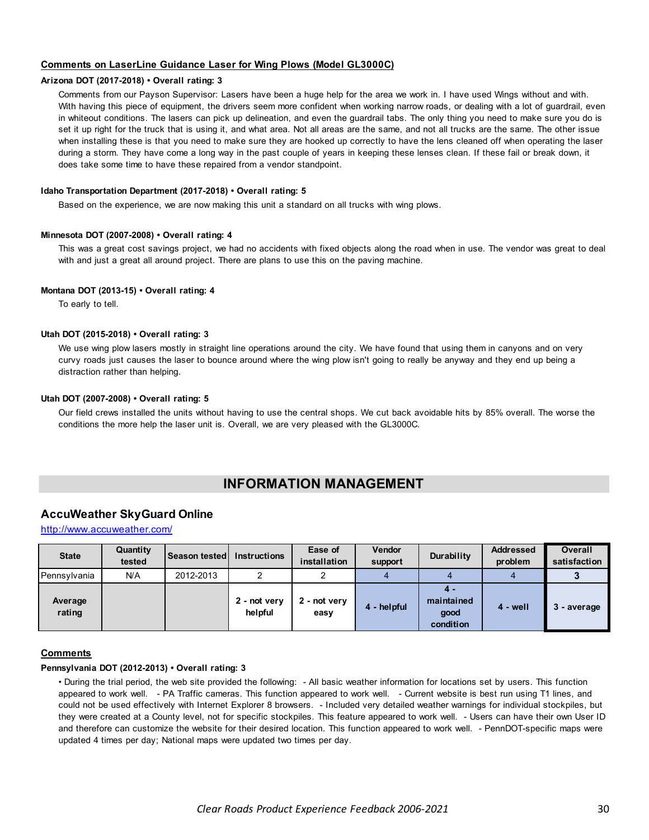### <span id="page-29-0"></span>**Comments on LaserLine Guidance Laser for Wing Plows (Model GL3000C)**

#### **Arizona DOT (2017-2018) • Overall rating: 3**

Comments from our Payson Supervisor: Lasers have been a huge help for the area we work in. I have used Wings without and with. With having this piece of equipment, the drivers seem more confident when working narrow roads, or dealing with a lot of guardrail, even in whiteout conditions. The lasers can pick up delineation, and even the guardrail tabs. The only thing you need to make sure you do is set it up right for the truck that is using it, and what area. Not all areas are the same, and not all trucks are the same. The other issue when installing these is that you need to make sure they are hooked up correctly to have the lens cleaned off when operating the laser during a storm. They have come a long way in the past couple of years in keeping these lenses clean. If these fail or break down, it does take some time to have these repaired from a vendor standpoint.

#### **Idaho Transportation Department (2017-2018) • Overall rating: 5**

Based on the experience, we are now making this unit a standard on all trucks with wing plows.

#### **Minnesota DOT (2007-2008) • Overall rating: 4**

This was a great cost savings project, we had no accidents with fixed objects along the road when in use. The vendor was great to deal with and just a great all around project. There are plans to use this on the paving machine.

#### **Montana DOT (2013-15) • Overall rating: 4**

To early to tell.

#### **Utah DOT (2015-2018) • Overall rating: 3**

We use wing plow lasers mostly in straight line operations around the city. We have found that using them in canyons and on very curvy roads just causes the laser to bounce around where the wing plow isn't going to really be anyway and they end up being a distraction rather than helping.

#### **Utah DOT (2007-2008) • Overall rating: 5**

Our field crews installed the units without having to use the central shops. We cut back avoidable hits by 85% overall. The worse the conditions the more help the laser unit is. Overall, we are very pleased with the GL3000C.

# **INFORMATION MANAGEMENT**

# **AccuWeather SkyGuard Online**

#### http://www.accuweather.com/

| <b>State</b>      | Quantity<br>tested | Season tested | <b>Instructions</b>     | Ease of<br>installation | <b>Vendor</b><br>support | Durability                            | <b>Addressed</b><br>problem | <b>Overall</b><br>satisfaction |
|-------------------|--------------------|---------------|-------------------------|-------------------------|--------------------------|---------------------------------------|-----------------------------|--------------------------------|
| Pennsylvania      | N/A                | 2012-2013     | C                       |                         |                          |                                       |                             |                                |
| Average<br>rating |                    |               | 2 - not very<br>helpful | - not very<br>easy      | 4 - helpful              | 4.<br>maintained<br>good<br>condition | $4 - well$                  | 3 - average                    |

#### **Comments**

#### **Pennsylvania DOT (2012-2013) • Overall rating: 3**

• During the trial period, the web site provided the following: - All basic weather information for locations set by users. This function appeared to work well. - PA Traffic cameras. This function appeared to work well. - Current website is best run using T1 lines, and could not be used effectively with Internet Explorer 8 browsers. - Included very detailed weather warnings for individual stockpiles, but they were created at a County level, not for specific stockpiles. This feature appeared to work well. - Users can have their own User ID and therefore can customize the website for their desired location. This function appeared to work well. - PennDOT-specific maps were updated 4 times per day; National maps were updated two times per day.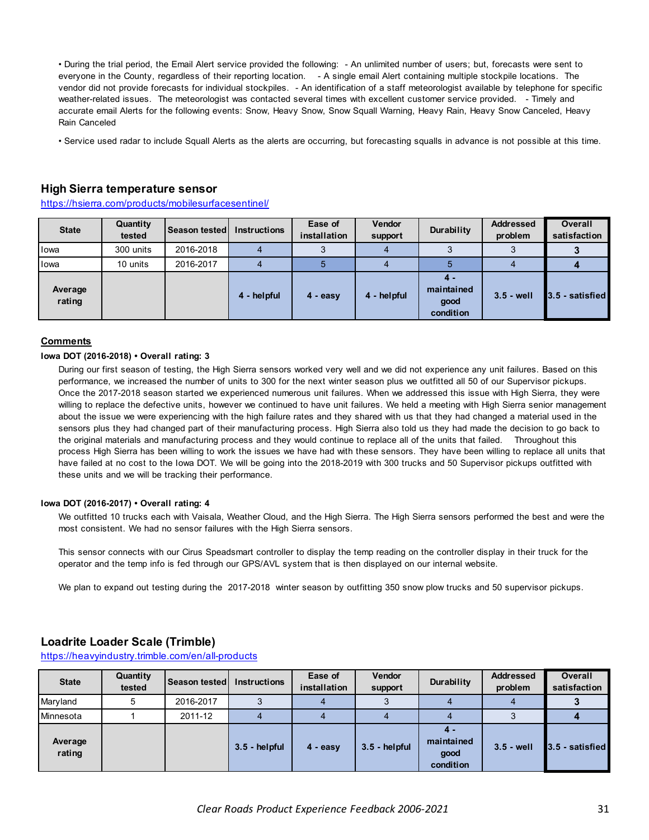• During the trial period, the Email Alert service provided the following: - An unlimited number of users; but, forecasts were sent to everyone in the County, regardless of their reporting location. - A single email Alert containing multiple stockpile locations. The vendor did not provide forecasts for individual stockpiles. - An identification of a staff meteorologist available by telephone for specific weather-related issues. The meteorologist was contacted several times with excellent customer service provided. - Timely and accurate email Alerts for the following events: Snow, Heavy Snow, Snow Squall Warning, Heavy Rain, Heavy Snow Canceled, Heavy Rain Canceled

• Service used radar to include Squall Alerts as the alerts are occurring, but forecasting squalls in advance is not possible at this time.

### **High Sierra temperature sensor**

https://hsierra.com/products/mobilesurfacesentinel/

| <b>State</b>      | Quantity<br>tested | Season tested | <b>Instructions</b> | Ease of<br>installation | <b>Vendor</b><br>support | Durability                            | <b>Addressed</b><br>problem | <b>Overall</b><br>satisfaction |
|-------------------|--------------------|---------------|---------------------|-------------------------|--------------------------|---------------------------------------|-----------------------------|--------------------------------|
| Iowa              | 300 units          | 2016-2018     |                     |                         |                          |                                       |                             |                                |
| <b>I</b> lowa     | 10 units           | 2016-2017     |                     |                         |                          |                                       |                             |                                |
| Average<br>rating |                    |               | 4 - helpful         | $4 - easv$              | 4 - helpful              | 4.<br>maintained<br>good<br>condition | $3.5 - well$                | 3.5 - satisfied                |

#### **Comments**

#### **Iowa DOT (2016-2018) • Overall rating: 3**

During our first season of testing, the High Sierra sensors worked very well and we did not experience any unit failures. Based on this performance, we increased the number of units to 300 for the next winter season plus we outfitted all 50 of our Supervisor pickups. Once the 2017-2018 season started we experienced numerous unit failures. When we addressed this issue with High Sierra, they were willing to replace the defective units, however we continued to have unit failures. We held a meeting with High Sierra senior management about the issue we were experiencing with the high failure rates and they shared with us that they had changed a material used in the sensors plus they had changed part of their manufacturing process. High Sierra also told us they had made the decision to go back to the original materials and manufacturing process and they would continue to replace all of the units that failed. Throughout this process High Sierra has been willing to work the issues we have had with these sensors. They have been willing to replace all units that have failed at no cost to the Iowa DOT. We will be going into the 2018-2019 with 300 trucks and 50 Supervisor pickups outfitted with these units and we will be tracking their performance.

#### **Iowa DOT (2016-2017) • Overall rating: 4**

We outfitted 10 trucks each with Vaisala, Weather Cloud, and the High Sierra. The High Sierra sensors performed the best and were the most consistent. We had no sensor failures with the High Sierra sensors.

This sensor connects with our Cirus Speadsmart controller to display the temp reading on the controller display in their truck for the operator and the temp info is fed through our GPS/AVL system that is then displayed on our internal website.

We plan to expand out testing during the 2017-2018 winter season by outfitting 350 snow plow trucks and 50 supervisor pickups.

### **Loadrite Loader Scale (Trimble)**

https://heavyindustry.trimble.com/en/all-products

| <b>State</b>      | Quantity<br>tested | Season tested | <b>Instructions</b> | Ease of<br>installation | Vendor<br>support | Durability                            | <b>Addressed</b><br>problem | <b>Overall</b><br>satisfaction |
|-------------------|--------------------|---------------|---------------------|-------------------------|-------------------|---------------------------------------|-----------------------------|--------------------------------|
| Maryland          | 5                  | 2016-2017     |                     |                         |                   |                                       |                             |                                |
| Minnesota         |                    | 2011-12       |                     |                         |                   |                                       |                             |                                |
| Average<br>rating |                    |               | $3.5 - helpful$     | $4 - easv$              | $3.5 - helpful$   | 4.<br>maintained<br>good<br>condition | $3.5 - well$                | 3.5 - satisfied                |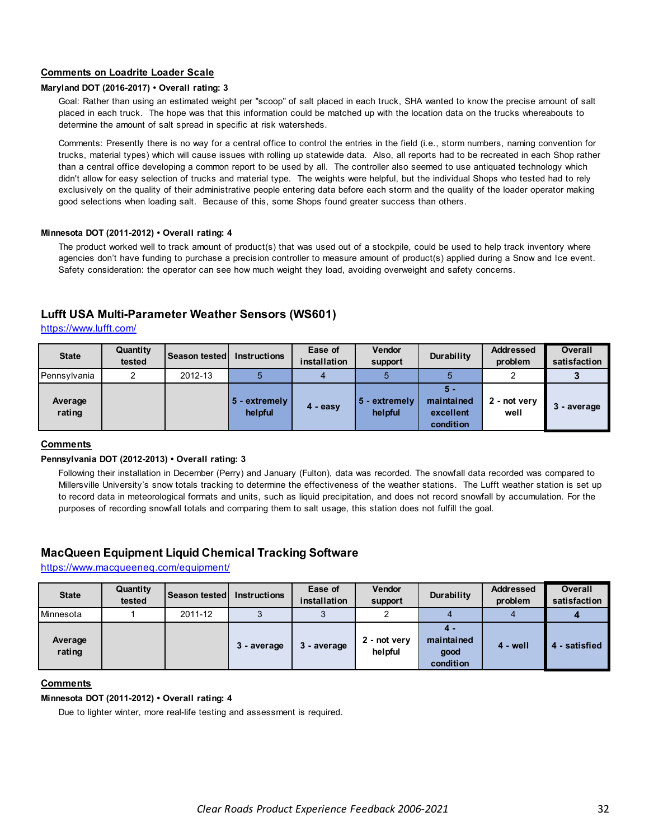### **Comments on Loadrite Loader Scale**

### **Maryland DOT (2016-2017) • Overall rating: 3**

Goal: Rather than using an estimated weight per "scoop" of salt placed in each truck, SHA wanted to know the precise amount of salt placed in each truck. The hope was that this information could be matched up with the location data on the trucks whereabouts to determine the amount of salt spread in specific at risk watersheds.

Comments: Presently there is no way for a central office to control the entries in the field (i.e., storm numbers, naming convention for trucks, material types) which will cause issues with rolling up statewide data. Also, all reports had to be recreated in each Shop rather than a central office developing a common report to be used by all. The controller also seemed to use antiquated technology which didn't allow for easy selection of trucks and material type. The weights were helpful, but the individual Shops who tested had to rely exclusively on the quality of their administrative people entering data before each storm and the quality of the loader operator making good selections when loading salt. Because of this, some Shops found greater success than others.

#### **Minnesota DOT (2011-2012) • Overall rating: 4**

The product worked well to track amount of product(s) that was used out of a stockpile, could be used to help track inventory where agencies don't have funding to purchase a precision controller to measure amount of product(s) applied during a Snow and Ice event. Safety consideration: the operator can see how much weight they load, avoiding overweight and safety concerns.

# **Lufft USA Multi-Parameter Weather Sensors (WS601)**

https://www.lufft.com/

| <b>State</b>      | Quantity<br>tested | <b>Season tested</b> | <b>Instructions</b>      | Ease of<br>installation | <b>Vendor</b><br>support   | Durability                                  | <b>Addressed</b><br>problem | <b>Overall</b><br>satisfaction |
|-------------------|--------------------|----------------------|--------------------------|-------------------------|----------------------------|---------------------------------------------|-----------------------------|--------------------------------|
| Pennsylvania      |                    | 2012-13              |                          |                         |                            |                                             | ◠                           |                                |
| Average<br>rating |                    |                      | 5 - extremely<br>helpful | $4 - easv$              | $5 -$ extremely<br>helpful | 5 -<br>maintained<br>excellent<br>condition | 2 - not very<br>well        | - average                      |

#### **Comments**

#### **Pennsylvania DOT (2012-2013) • Overall rating: 3**

Following their installation in December (Perry) and January (Fulton), data was recorded. The snowfall data recorded was compared to Millersville University's snow totals tracking to determine the effectiveness of the weather stations. The Lufft weather station is set up to record data in meteorological formats and units, such as liquid precipitation, and does not record snowfall by accumulation. For the purposes of recording snowfall totals and comparing them to salt usage, this station does not fulfill the goal.

### **MacQueen Equipment Liquid Chemical Tracking Software**

https://www.macqueeneq.com/equipment/

| <b>State</b>      | Quantity<br>tested | Season tested   Instructions |             | Ease of<br>installation | Vendor<br>support       | Durability                             | <b>Addressed</b><br>problem | <b>Overall</b><br>satisfaction |
|-------------------|--------------------|------------------------------|-------------|-------------------------|-------------------------|----------------------------------------|-----------------------------|--------------------------------|
| Minnesota         |                    | 2011-12                      | ິ           |                         | C                       |                                        |                             |                                |
| Average<br>rating |                    |                              | 3 - average | 3 - average             | 2 - not very<br>helpful | 4 -<br>maintained<br>good<br>condition | 4 - well                    | 4 - satisfied                  |

# **Comments**

#### **Minnesota DOT (2011-2012) • Overall rating: 4**

Due to lighter winter, more real-life testing and assessment is required.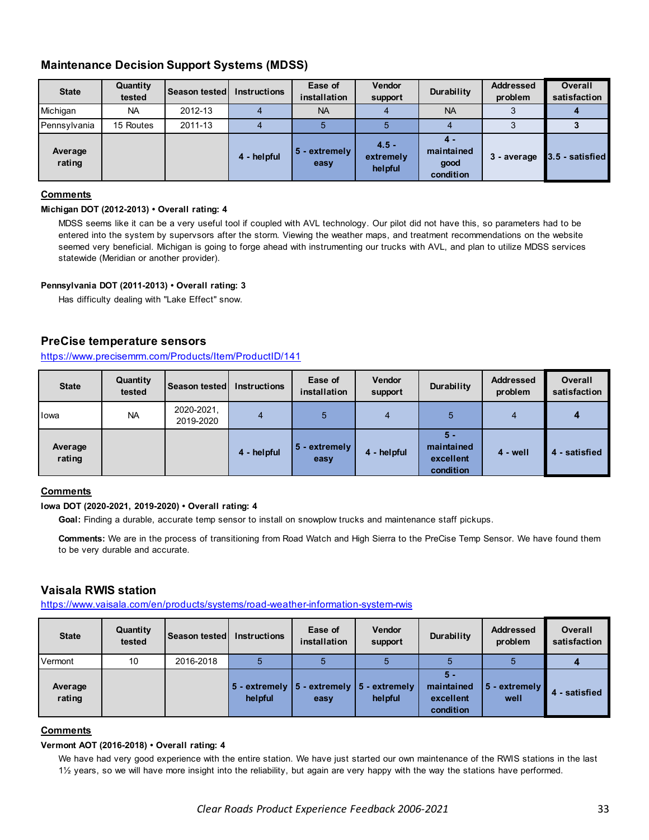# **Maintenance Decision Support Systems (MDSS)**

| <b>State</b>      | Quantity<br>tested | <b>Season tested</b> | <b>Instructions</b> | Ease of<br>installation | <b>Vendor</b><br>support        | Durability                             | <b>Addressed</b><br>problem | <b>Overall</b><br>satisfaction |
|-------------------|--------------------|----------------------|---------------------|-------------------------|---------------------------------|----------------------------------------|-----------------------------|--------------------------------|
| Michigan          | <b>NA</b>          | 2012-13              |                     | <b>NA</b>               |                                 | <b>NA</b>                              |                             |                                |
| Pennsylvania      | 15 Routes          | 2011-13              |                     |                         |                                 |                                        |                             |                                |
| Average<br>rating |                    |                      | 4 - helpful         | 5 - extremely<br>easy   | $4.5 -$<br>extremely<br>helpful | 4 -<br>maintained<br>good<br>condition | 3 - average                 | 3.5 - satisfied                |

### **Comments**

# **Michigan DOT (2012-2013) • Overall rating: 4**

MDSS seems like it can be a very useful tool if coupled with AVL technology. Our pilot did not have this, so parameters had to be entered into the system by supervsors after the storm. Viewing the weather maps, and treatment recommendations on the website seemed very beneficial. Michigan is going to forge ahead with instrumenting our trucks with AVL, and plan to utilize MDSS services statewide (Meridian or another provider).

# **Pennsylvania DOT (2011-2013) • Overall rating: 3**

Has difficulty dealing with "Lake Effect" snow.

# **PreCise temperature sensors**

# https://www.precisemrm.com/Products/Item/ProductID/141

| <b>State</b>      | Quantity<br>tested | Season tested           | <b>Instructions</b> | Ease of<br>installation | <b>Vendor</b><br>support | Durability                                    | <b>Addressed</b><br>problem | <b>Overall</b><br>satisfaction |
|-------------------|--------------------|-------------------------|---------------------|-------------------------|--------------------------|-----------------------------------------------|-----------------------------|--------------------------------|
| lowa              | <b>NA</b>          | 2020-2021.<br>2019-2020 |                     | 5                       | 4                        | 5                                             | 4                           | 4                              |
| Average<br>rating |                    |                         | 4 - helpful         | 5 - extremely<br>easy   | 4 - helpful              | $5 -$<br>maintained<br>excellent<br>condition | 4 - well                    | 4 - satisfied                  |

### **Comments**

### **Iowa DOT (2020-2021, 2019-2020) • Overall rating: 4**

**Goal:** Finding a durable, accurate temp sensor to install on snowplow trucks and maintenance staff pickups.

**Comments:** We are in the process of transitioning from Road Watch and High Sierra to the PreCise Temp Sensor. We have found them to be very durable and accurate.

# **Vaisala RWIS station**

https://www.vaisala.com/en/products/systems/road-weather-information-system-rwis

| <b>State</b>      | Quantity<br>tested | <b>Season tested</b> | <b>Instructions</b> | Ease of<br>installation                                                   | <b>Vendor</b><br>support | <b>Durability</b>                           | <b>Addressed</b><br>problem | <b>Overall</b><br>satisfaction |
|-------------------|--------------------|----------------------|---------------------|---------------------------------------------------------------------------|--------------------------|---------------------------------------------|-----------------------------|--------------------------------|
| Vermont           | 10                 | 2016-2018            |                     |                                                                           |                          |                                             |                             |                                |
| Average<br>rating |                    |                      | helpful             | $\vert$ 5 - extremely $\vert$ 5 - extremely $\vert$ 5 - extremely<br>easy | helpful                  | 5 -<br>maintained<br>excellent<br>condition | $5 -$ extremely<br>well     | 4 - satisfied                  |

### **Comments**

#### **Vermont AOT (2016-2018) • Overall rating: 4**

We have had very good experience with the entire station. We have just started our own maintenance of the RWIS stations in the last 1½ years, so we will have more insight into the reliability, but again are very happy with the way the stations have performed.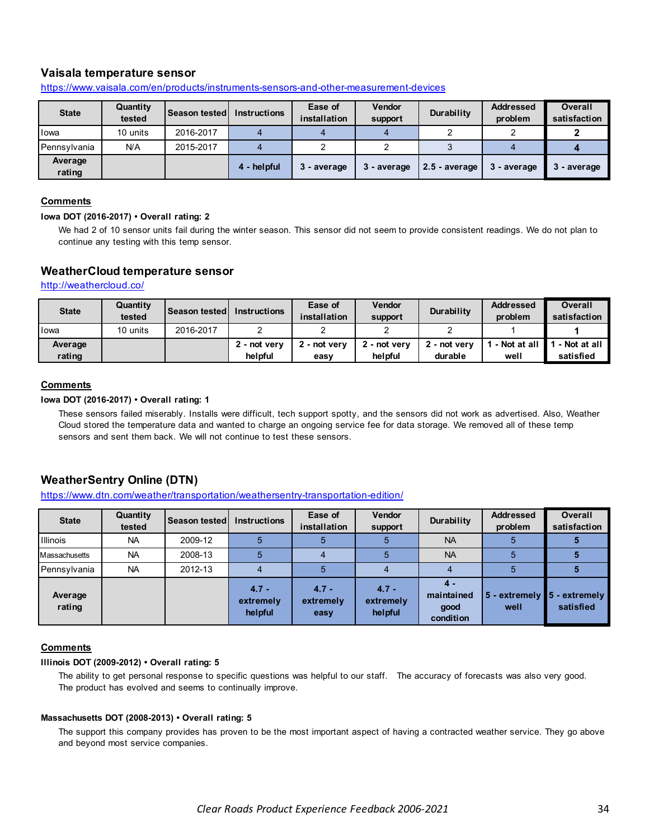# **Vaisala temperature sensor**

| <b>State</b>      | Quantity<br>tested | <b>Season tested I</b> | <b>Instructions</b> | Ease of<br>installation | <b>Vendor</b><br>support | Durability      | <b>Addressed</b><br>problem | <b>Overall</b><br>satisfaction |
|-------------------|--------------------|------------------------|---------------------|-------------------------|--------------------------|-----------------|-----------------------------|--------------------------------|
| <b>l</b> owa      | 10 units           | 2016-2017              |                     |                         |                          |                 |                             |                                |
| Pennsylvania      | N/A                | 2015-2017              |                     |                         |                          |                 |                             |                                |
| Average<br>rating |                    |                        | 4 - helpful         | 3 - average             | 3 - average              | $2.5$ - average | 3 - average                 | - average                      |

https://www.vaisala.com/en/products/instruments-sensors-and-other-measurement-devices

### **Comments**

#### **Iowa DOT (2016-2017) • Overall rating: 2**

We had 2 of 10 sensor units fail during the winter season. This sensor did not seem to provide consistent readings. We do not plan to continue any testing with this temp sensor.

### **WeatherCloud temperature sensor**

http://weathercloud.co/

| <b>State</b> | Quantity<br>tested | <b>Season tested L</b> | Instructions | Ease of<br>installation | <b>Vendor</b><br>support | <b>Durability</b> | <b>Addressed</b><br>problem | Overall<br>satisfaction |
|--------------|--------------------|------------------------|--------------|-------------------------|--------------------------|-------------------|-----------------------------|-------------------------|
| lowa         | 10 units           | 2016-2017              |              |                         |                          |                   |                             |                         |
| Average      |                    |                        | 2 - not very | 2 - not verv            | 2 - not verv             | 2 - not verv      | - Not at all                | - Not at all            |
| rating       |                    |                        | helpful      | easv                    | helpful                  | durable           | well                        | satisfied               |

# **Comments**

#### **Iowa DOT (2016-2017) • Overall rating: 1**

These sensors failed miserably. Installs were difficult, tech support spotty, and the sensors did not work as advertised. Also, Weather Cloud stored the temperature data and wanted to charge an ongoing service fee for data storage. We removed all of these temp sensors and sent them back. We will not continue to test these sensors.

# **WeatherSentry Online (DTN)**

https://www.dtn.com/weather/transportation/weathersentry-transportation-edition/

| <b>State</b>      | Quantity<br>tested | Season tested | <b>Instructions</b>             | Ease of<br>installation      | <b>Vendor</b><br>support        | Durability                             | <b>Addressed</b><br>problem | <b>Overall</b><br>satisfaction           |
|-------------------|--------------------|---------------|---------------------------------|------------------------------|---------------------------------|----------------------------------------|-----------------------------|------------------------------------------|
| <b>Illinois</b>   | <b>NA</b>          | 2009-12       |                                 |                              |                                 | <b>NA</b>                              | 5                           |                                          |
| Massachusetts     | <b>NA</b>          | 2008-13       |                                 |                              |                                 | <b>NA</b>                              | 5                           |                                          |
| Pennsylvania      | <b>NA</b>          | 2012-13       |                                 |                              |                                 |                                        |                             |                                          |
| Average<br>rating |                    |               | $4.7 -$<br>extremely<br>helpful | $4.7 -$<br>extremely<br>easy | $4.7 -$<br>extremely<br>helpful | 4 -<br>maintained<br>good<br>condition | well                        | 5 - extremely 5 - extremely<br>satisfied |

### **Comments**

#### **Illinois DOT (2009-2012) • Overall rating: 5**

The ability to get personal response to specific questions was helpful to our staff. The accuracy of forecasts was also very good. The product has evolved and seems to continually improve.

#### **Massachusetts DOT (2008-2013) • Overall rating: 5**

The support this company provides has proven to be the most important aspect of having a contracted weather service. They go above and beyond most service companies.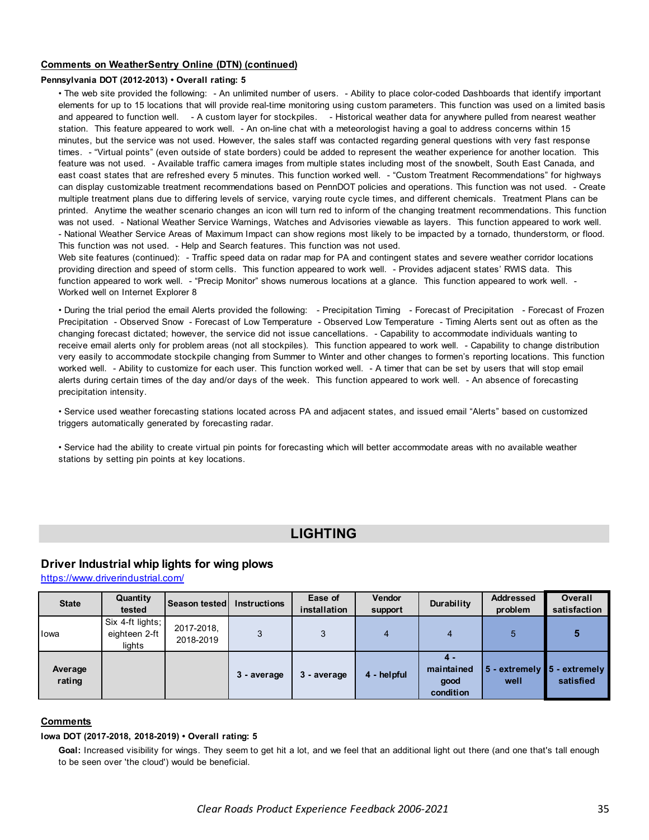### <span id="page-34-0"></span>**Comments on WeatherSentry Online (DTN) (continued)**

### **Pennsylvania DOT (2012-2013) • Overall rating: 5**

• The web site provided the following: - An unlimited number of users. - Ability to place color-coded Dashboards that identify important elements for up to 15 locations that will provide real-time monitoring using custom parameters. This function was used on a limited basis and appeared to function well. - A custom layer for stockpiles. - Historical weather data for anywhere pulled from nearest weather station. This feature appeared to work well. - An on-line chat with a meteorologist having a goal to address concerns within 15 minutes, but the service was not used. However, the sales staff was contacted regarding general questions with very fast response times. - "Virtual points" (even outside of state borders) could be added to represent the weather experience for another location. This feature was not used. - Available traffic camera images from multiple states including most of the snowbelt, South East Canada, and east coast states that are refreshed every 5 minutes. This function worked well. - "Custom Treatment Recommendations" for highways can display customizable treatment recommendations based on PennDOT policies and operations. This function was not used. - Create multiple treatment plans due to differing levels of service, varying route cycle times, and different chemicals. Treatment Plans can be printed. Anytime the weather scenario changes an icon will turn red to inform of the changing treatment recommendations. This function was not used. - National Weather Service Warnings, Watches and Advisories viewable as layers. This function appeared to work well. - National Weather Service Areas of Maximum Impact can show regions most likely to be impacted by a tornado, thunderstorm, or flood. This function was not used. - Help and Search features. This function was not used.

Web site features (continued): - Traffic speed data on radar map for PA and contingent states and severe weather corridor locations providing direction and speed of storm cells. This function appeared to work well. - Provides adjacent states' RWIS data. This function appeared to work well. - "Precip Monitor" shows numerous locations at a glance. This function appeared to work well. - Worked well on Internet Explorer 8

• During the trial period the email Alerts provided the following: - Precipitation Timing - Forecast of Precipitation - Forecast of Frozen Precipitation - Observed Snow - Forecast of Low Temperature - Observed Low Temperature - Timing Alerts sent out as often as the changing forecast dictated; however, the service did not issue cancellations. - Capability to accommodate individuals wanting to receive email alerts only for problem areas (not all stockpiles). This function appeared to work well. - Capability to change distribution very easily to accommodate stockpile changing from Summer to Winter and other changes to formen's reporting locations. This function worked well. - Ability to customize for each user. This function worked well. - A timer that can be set by users that will stop email alerts during certain times of the day and/or days of the week. This function appeared to work well. - An absence of forecasting precipitation intensity.

• Service used weather forecasting stations located across PA and adjacent states, and issued email "Alerts" based on customized triggers automatically generated by forecasting radar.

• Service had the ability to create virtual pin points for forecasting which will better accommodate areas with no available weather stations by setting pin points at key locations.

# **LIGHTING**

# **Driver Industrial whip lights for wing plows**

https://www.driverindustrial.com/

| <b>State</b>      | Quantity<br>tested                          | Season tested           | <b>Instructions</b> | Ease of<br>installation | Vendor<br>support | Durability                             | <b>Addressed</b><br>problem | <b>Overall</b><br>satisfaction           |
|-------------------|---------------------------------------------|-------------------------|---------------------|-------------------------|-------------------|----------------------------------------|-----------------------------|------------------------------------------|
| lowa              | Six 4-ft lights;<br>eighteen 2-ft<br>lights | 2017-2018,<br>2018-2019 | 3                   |                         |                   |                                        | 5                           |                                          |
| Average<br>rating |                                             |                         | 3 - average         | 3 - average             | 4 - helpful       | 4 -<br>maintained<br>good<br>condition | well                        | 5 - extremely 5 - extremely<br>satisfied |

### **Comments**

#### **Iowa DOT (2017-2018, 2018-2019) • Overall rating: 5**

**Goal:** Increased visibility for wings. They seem to get hit a lot, and we feel that an additional light out there (and one that's tall enough to be seen over 'the cloud') would be beneficial.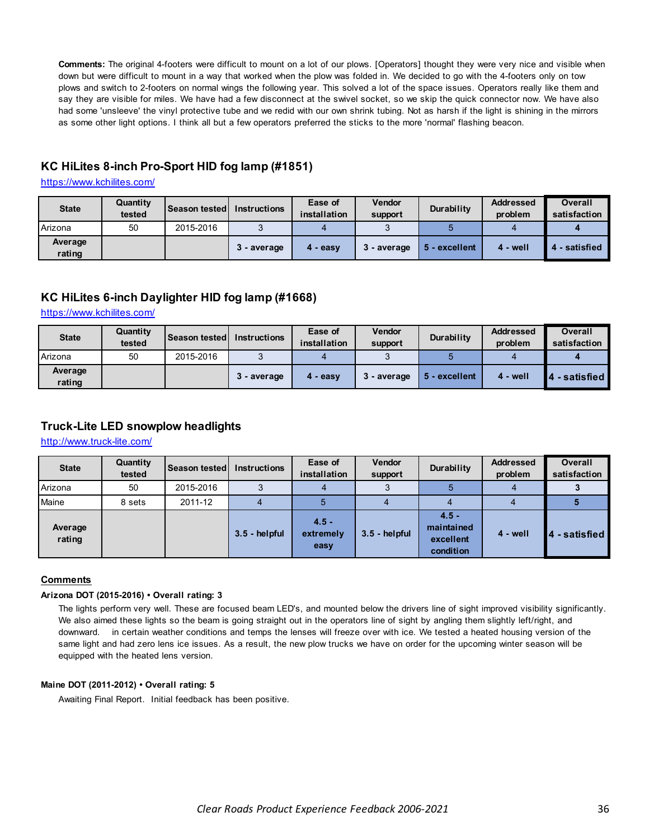**Comments:** The original 4-footers were difficult to mount on a lot of our plows. [Operators] thought they were very nice and visible when down but were difficult to mount in a way that worked when the plow was folded in. We decided to go with the 4-footers only on tow plows and switch to 2-footers on normal wings the following year. This solved a lot of the space issues. Operators really like them and say they are visible for miles. We have had a few disconnect at the swivel socket, so we skip the quick connector now. We have also had some 'unsleeve' the vinyl protective tube and we redid with our own shrink tubing. Not as harsh if the light is shining in the mirrors as some other light options. I think all but a few operators preferred the sticks to the more 'normal' flashing beacon.

# **KC HiLites 8-inch Pro-Sport HID fog lamp (#1851)**

https://www.kchilites.com/

| <b>State</b>      | Quantity<br>tested | <b>Season tested</b> | <b>Instructions</b> | Ease of<br>installation | <b>Vendor</b><br>support | <b>Durability</b> | <b>Addressed</b><br>problem | <b>Overall</b><br>satisfaction |
|-------------------|--------------------|----------------------|---------------------|-------------------------|--------------------------|-------------------|-----------------------------|--------------------------------|
| Arizona           | 50                 | 2015-2016            |                     |                         |                          |                   |                             |                                |
| Average<br>rating |                    |                      | 3 - average         | 4 - easy                | 3 - average              | 5 - excellent     | 4 - well                    | 4 - satisfied                  |

# **KC HiLites 6-inch Daylighter HID fog lamp (#1668)**

https://www.kchilites.com/

| <b>State</b>      | Quantity<br>tested | <b>Season testedl</b> | <b>Instructions</b> | Ease of<br>installation | <b>Vendor</b><br>support | Durability    | <b>Addressed</b><br>problem | <b>Overall</b><br>satisfaction |
|-------------------|--------------------|-----------------------|---------------------|-------------------------|--------------------------|---------------|-----------------------------|--------------------------------|
| Arizona           | 50                 | 2015-2016             |                     |                         |                          |               |                             |                                |
| Average<br>rating |                    |                       | 3 - average         | - easv<br>4             | 3 - average              | 5 - excellent | 4 - well                    | - satisfied I                  |

# **Truck-Lite LED snowplow headlights**

http://www.truck-lite.com/

| <b>State</b>      | Quantity<br>tested | Season tested | <b>Instructions</b> | Ease of<br>installation      | <b>Vendor</b><br>support | Durability                                      | <b>Addressed</b><br>problem | <b>Overall</b><br>satisfaction |
|-------------------|--------------------|---------------|---------------------|------------------------------|--------------------------|-------------------------------------------------|-----------------------------|--------------------------------|
| Arizona           | 50                 | 2015-2016     | ◠                   |                              |                          |                                                 |                             |                                |
| Maine             | 8 sets             | 2011-12       |                     |                              |                          |                                                 |                             |                                |
| Average<br>rating |                    |               | $3.5 - helpful$     | $4.5 -$<br>extremely<br>easy | $3.5 - helpful$          | $4.5 -$<br>maintained<br>excellent<br>condition | $4 - well$                  | - satisfied                    |

# **Comments**

### **Arizona DOT (2015-2016) • Overall rating: 3**

The lights perform very well. These are focused beam LED's, and mounted below the drivers line of sight improved visibility significantly. We also aimed these lights so the beam is going straight out in the operators line of sight by angling them slightly left/right, and downward. in certain weather conditions and temps the lenses will freeze over with ice. We tested a heated housing version of the same light and had zero lens ice issues. As a result, the new plow trucks we have on order for the upcoming winter season will be equipped with the heated lens version.

#### **Maine DOT (2011-2012) • Overall rating: 5**

Awaiting Final Report. Initial feedback has been positive.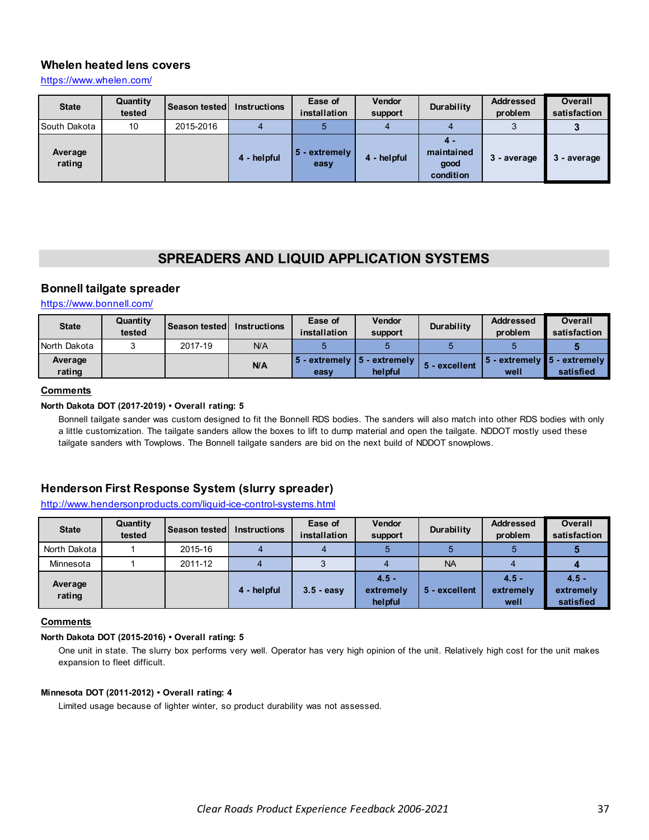# <span id="page-36-0"></span>**Whelen heated lens covers**

https://www.whelen.com/

| <b>State</b>      | Quantity<br>tested | Season tested | <b>Instructions</b> | Ease of<br>installation | <b>Vendor</b><br>support | Durability                             | <b>Addressed</b><br>problem | <b>Overall</b><br>satisfaction |
|-------------------|--------------------|---------------|---------------------|-------------------------|--------------------------|----------------------------------------|-----------------------------|--------------------------------|
| South Dakota      | 10                 | 2015-2016     |                     |                         |                          |                                        |                             |                                |
| Average<br>rating |                    |               | 4 - helpful         | 5 - extremely<br>easy   | 4 - helpful              | 4 -<br>maintained<br>good<br>condition | 3 - average                 | - average                      |

# **SPREADERS AND LIQUID APPLICATION SYSTEMS**

# **Bonnell tailgate spreader**

https://www.bonnell.com/

| <b>State</b>      | Quantity<br>tested | Season tested | <b>Instructions</b> | Ease of<br>installation                             | Vendor<br>support | <b>Durability</b> | <b>Addressed</b><br>problem | Overall<br>satisfaction                          |
|-------------------|--------------------|---------------|---------------------|-----------------------------------------------------|-------------------|-------------------|-----------------------------|--------------------------------------------------|
| North Dakota      |                    | 2017-19       | N/A                 |                                                     |                   |                   |                             |                                                  |
| Average<br>rating |                    |               | N/A                 | $\vert$ 5 - extremely $\vert$ 5 - extremely<br>easy | helpful           | 5 - excellent     | well                        | 5 - extremely <b>15 - extremely</b><br>satisfied |

# **Comments**

### **North Dakota DOT (2017-2019) • Overall rating: 5**

Bonnell tailgate sander was custom designed to fit the Bonnell RDS bodies. The sanders will also match into other RDS bodies with only a little customization. The tailgate sanders allow the boxes to lift to dump material and open the tailgate. NDDOT mostly used these tailgate sanders with Towplows. The Bonnell tailgate sanders are bid on the next build of NDDOT snowplows.

# **Henderson First Response System (slurry spreader)**

# http://www.hendersonproducts.com/liquid-ice-control-systems.html

| <b>State</b>      | Quantity<br>tested | <b>Season tested I</b> | <b>Instructions</b> | Ease of<br>installation | <b>Vendor</b><br>support        | Durability    | <b>Addressed</b><br>problem  | <b>Overall</b><br>satisfaction    |
|-------------------|--------------------|------------------------|---------------------|-------------------------|---------------------------------|---------------|------------------------------|-----------------------------------|
| North Dakota      |                    | 2015-16                |                     |                         |                                 |               |                              |                                   |
| Minnesota         |                    | 2011-12                |                     |                         |                                 | <b>NA</b>     |                              |                                   |
| Average<br>rating |                    |                        | 4 - helpful         | $3.5 - easv$            | $4.5 -$<br>extremely<br>helpful | 5 - excellent | $4.5 -$<br>extremely<br>well | $4.5 -$<br>extremely<br>satisfied |

### **Comments**

### **North Dakota DOT (2015-2016) • Overall rating: 5**

One unit in state. The slurry box performs very well. Operator has very high opinion of the unit. Relatively high cost for the unit makes expansion to fleet difficult.

### **Minnesota DOT (2011-2012) • Overall rating: 4**

Limited usage because of lighter winter, so product durability was not assessed.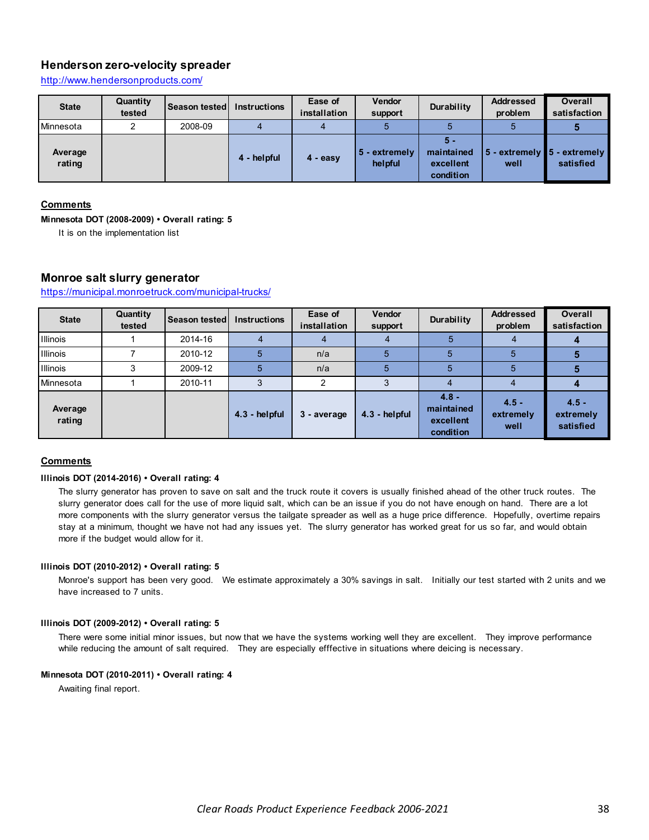# **Henderson zero-velocity spreader**

http://www.hendersonproducts.com/

| <b>State</b>      | Quantity<br>tested | <b>Season tested I</b> | <b>Instructions</b> | Ease of<br>installation | <b>Vendor</b><br>support | Durability                                  | <b>Addressed</b><br>problem                                 | <b>Overall</b><br>satisfaction |
|-------------------|--------------------|------------------------|---------------------|-------------------------|--------------------------|---------------------------------------------|-------------------------------------------------------------|--------------------------------|
| Minnesota         | ◠                  | 2008-09                |                     |                         |                          |                                             |                                                             |                                |
| Average<br>rating |                    |                        | 4 - helpful         | 4 - easy                | 5 - extremely<br>helpful | 5 -<br>maintained<br>excellent<br>condition | $\vert$ 5 - extremely $\vert$ 5 - extremely $\vert$<br>well | satisfied                      |

#### **Comments**

### **Minnesota DOT (2008-2009) • Overall rating: 5**

It is on the implementation list

# **Monroe salt slurry generator**

https://municipal.monroetruck.com/municipal-trucks/

| <b>State</b>      | Quantity<br>tested | <b>Season tested I</b> | <b>Instructions</b> | Ease of<br>installation | Vendor<br>support | Durability                                      | <b>Addressed</b><br>problem  | <b>Overall</b><br>satisfaction    |
|-------------------|--------------------|------------------------|---------------------|-------------------------|-------------------|-------------------------------------------------|------------------------------|-----------------------------------|
| Illinois          |                    | 2014-16                |                     |                         |                   |                                                 |                              |                                   |
| <b>Illinois</b>   |                    | 2010-12                |                     | n/a                     |                   |                                                 | 5                            |                                   |
| <b>Illinois</b>   | 3                  | 2009-12                |                     | n/a                     | 5                 |                                                 | 5                            |                                   |
| Minnesota         |                    | 2010-11                |                     | ົ                       |                   |                                                 |                              |                                   |
| Average<br>rating |                    |                        | 4.3 - helpful       | 3 - average             | 4.3 - helpful     | $4.8 -$<br>maintained<br>excellent<br>condition | $4.5 -$<br>extremely<br>well | $4.5 -$<br>extremely<br>satisfied |

### **Comments**

#### **Illinois DOT (2014-2016) • Overall rating: 4**

The slurry generator has proven to save on salt and the truck route it covers is usually finished ahead of the other truck routes. The slurry generator does call for the use of more liquid salt, which can be an issue if you do not have enough on hand. There are a lot more components with the slurry generator versus the tailgate spreader as well as a huge price difference. Hopefully, overtime repairs stay at a minimum, thought we have not had any issues yet. The slurry generator has worked great for us so far, and would obtain more if the budget would allow for it.

#### **Illinois DOT (2010-2012) • Overall rating: 5**

Monroe's support has been very good. We estimate approximately a 30% savings in salt. Initially our test started with 2 units and we have increased to 7 units.

#### **Illinois DOT (2009-2012) • Overall rating: 5**

There were some initial minor issues, but now that we have the systems working well they are excellent. They improve performance while reducing the amount of salt required. They are especially efffective in situations where deicing is necessary.

#### **Minnesota DOT (2010-2011) • Overall rating: 4**

Awaiting final report.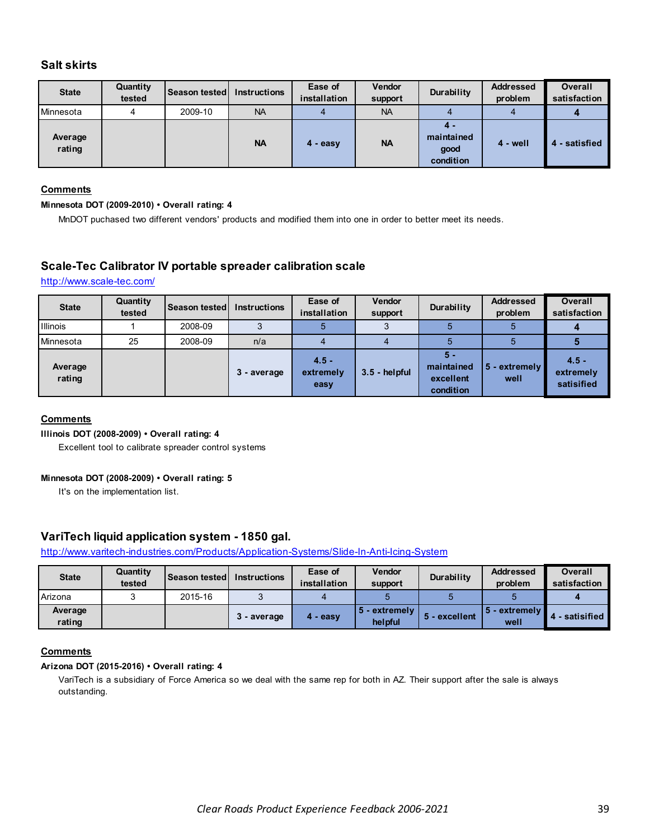# **Salt skirts**

| <b>State</b>      | Quantity<br>tested | Season tested   Instructions |           | Ease of<br>installation | <b>Vendor</b><br>support | Durability                             | <b>Addressed</b><br>problem | <b>Overall</b><br>satisfaction |
|-------------------|--------------------|------------------------------|-----------|-------------------------|--------------------------|----------------------------------------|-----------------------------|--------------------------------|
| Minnesota         | 4                  | 2009-10                      | <b>NA</b> |                         | <b>NA</b>                |                                        | 4                           |                                |
| Average<br>rating |                    |                              | <b>NA</b> | 4 - easy                | <b>NA</b>                | 4 -<br>maintained<br>good<br>condition | 4 - well                    | - satisfied<br>4               |

### **Comments**

### **Minnesota DOT (2009-2010) • Overall rating: 4**

MnDOT puchased two different vendors' products and modified them into one in order to better meet its needs.

# **Scale-Tec Calibrator IV portable spreader calibration scale**

http://www.scale-tec.com/

| <b>State</b>      | Quantity<br>tested | <b>Season tested</b> | <b>Instructions</b> | Ease of<br>installation      | <b>Vendor</b><br>support | Durability                                  | <b>Addressed</b><br>problem | <b>Overall</b><br>satisfaction     |
|-------------------|--------------------|----------------------|---------------------|------------------------------|--------------------------|---------------------------------------------|-----------------------------|------------------------------------|
| <b>Illinois</b>   |                    | 2008-09              |                     |                              |                          |                                             |                             |                                    |
| Minnesota         | 25                 | 2008-09              | n/a                 |                              |                          |                                             |                             |                                    |
| Average<br>rating |                    |                      | 3 - average         | $4.5 -$<br>extremely<br>easy | $3.5 - helpful$          | 5 -<br>maintained<br>excellent<br>condition | 5 - extremely<br>well       | $4.5 -$<br>extremely<br>satisified |

# **Comments**

**Illinois DOT (2008-2009) • Overall rating: 4**

Excellent tool to calibrate spreader control systems

#### **Minnesota DOT (2008-2009) • Overall rating: 5**

It's on the implementation list.

# **VariTech liquid application system - 1850 gal.**

http://www.varitech-industries.com/Products/Application-Systems/Slide-In-Anti-Icing-System

| <b>State</b>      | Quantity<br>tested | <b>Season tested</b> | <b>Instructions</b> | Ease of<br>installation | <b>Vendor</b><br>support  | Durability    | <b>Addressed</b><br>problem | Overall<br>satisfaction |
|-------------------|--------------------|----------------------|---------------------|-------------------------|---------------------------|---------------|-----------------------------|-------------------------|
| Arizona           |                    | 2015-16              |                     |                         |                           |               |                             |                         |
| Average<br>rating |                    |                      | 3 - average         | - easy<br>4             | 15 - extremely<br>helpful | 5 - excellent | i - extremelv l<br>well     | - satisified            |

# **Comments**

#### **Arizona DOT (2015-2016) • Overall rating: 4**

VariTech is a subsidiary of Force America so we deal with the same rep for both in AZ. Their support after the sale is always outstanding.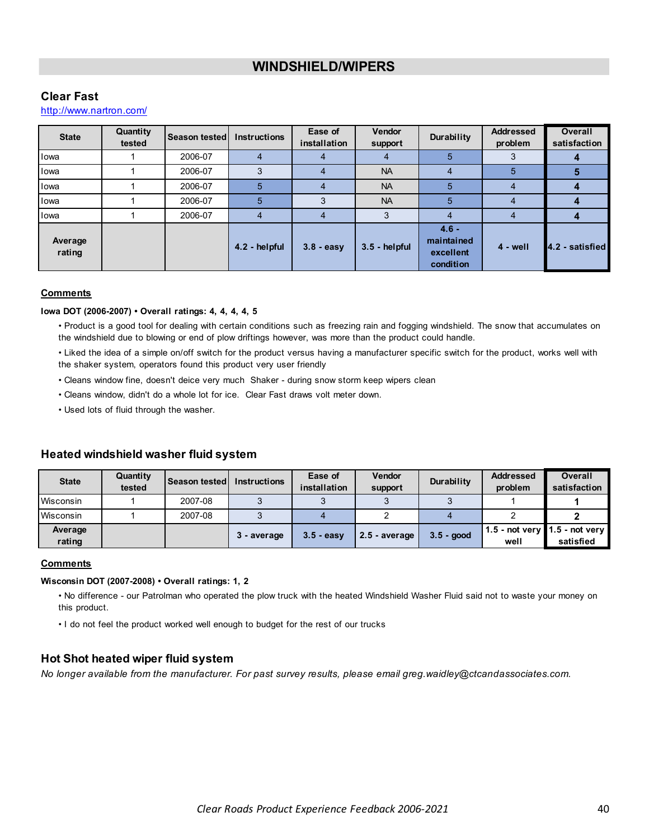# **WINDSHIELD/WIPERS**

# <span id="page-39-0"></span>**Clear Fast**

# http://www.nartron.com/

| <b>State</b>      | Quantity<br>tested | <b>Season tested</b> | <b>Instructions</b> | Ease of<br>installation | <b>Vendor</b><br>support | Durability                                      | <b>Addressed</b><br>problem | <b>Overall</b><br>satisfaction |
|-------------------|--------------------|----------------------|---------------------|-------------------------|--------------------------|-------------------------------------------------|-----------------------------|--------------------------------|
| lowa              |                    | 2006-07              |                     |                         |                          |                                                 |                             |                                |
| lowa              |                    | 2006-07              |                     |                         | <b>NA</b>                | 4                                               | 5                           |                                |
| lowa              |                    | 2006-07              |                     |                         | <b>NA</b>                | 5                                               | 4                           |                                |
| lowa              |                    | 2006-07              | 5                   |                         | <b>NA</b>                | 5                                               |                             |                                |
| lowa              |                    | 2006-07              | 4                   |                         | 3                        |                                                 |                             |                                |
| Average<br>rating |                    |                      | 4.2 - helpful       | $3.8 - easy$            | $3.5 - helpful$          | $4.6 -$<br>maintained<br>excellent<br>condition | $4 - well$                  | 4.2 - satisfied                |

#### **Comments**

#### **Iowa DOT (2006-2007) • Overall ratings: 4, 4, 4, 4, 5**

• Product is a good tool for dealing with certain conditions such as freezing rain and fogging windshield. The snow that accumulates on the windshield due to blowing or end of plow driftings however, was more than the product could handle.

• Liked the idea of a simple on/off switch for the product versus having a manufacturer specific switch for the product, works well with the shaker system, operators found this product very user friendly

- Cleans window fine, doesn't deice very much Shaker during snow storm keep wipers clean
- Cleans window, didn't do a whole lot for ice. Clear Fast draws volt meter down.
- Used lots of fluid through the washer.

#### **State Quantity the Season tested Instructions Ease of installation Vendor support Durability Addressed problem Overall satisfaction** Wisconsin | 1 | 2007-08 | 3 | 3 | 3 | 3 | 1 **| 1** Wisconsin 1 2007-08 3 4 2 4 2 **2 Average rating 3 - average 3.5 - easy 2.5 - average 3.5 - good 1.5 - not very well 1.5 - not very satisfied**

# **Heated windshield washer fluid system**

### **Comments**

#### **Wisconsin DOT (2007-2008) • Overall ratings: 1, 2**

• No difference - our Patrolman who operated the plow truck with the heated Windshield Washer Fluid said not to waste your money on this product.

• I do not feel the product worked well enough to budget for the rest of our trucks

# **Hot Shot heated wiper fluid system**

*No longer available from the manufacturer. For past survey results, please email greg.waidley@ctcandassociates.com.*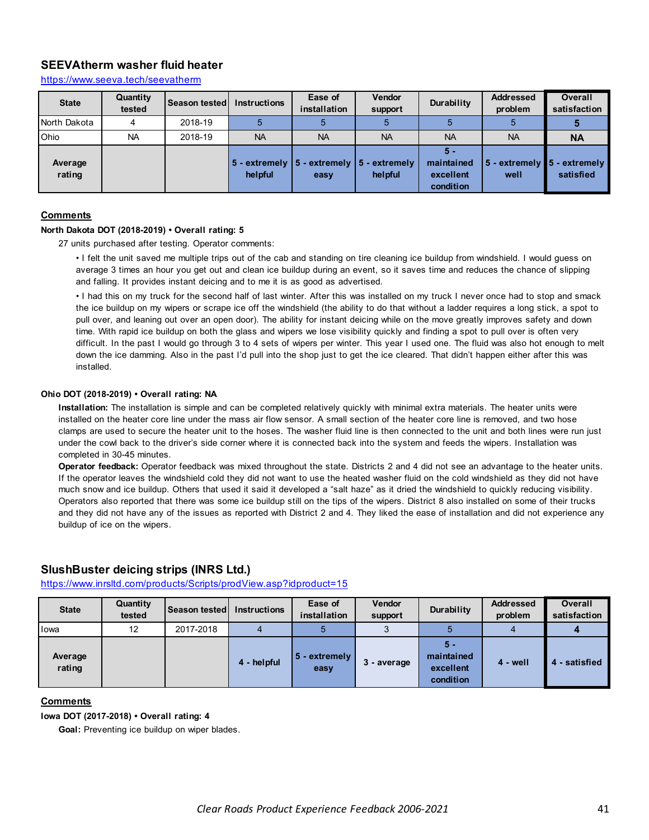# **SEEVAtherm washer fluid heater**

https://www.seeva.tech/seevatherm

| <b>State</b>      | Quantity<br>tested | <b>Season tested I</b> | <b>Instructions</b> | Ease of<br>installation                                           | <b>Vendor</b><br>support | Durability                                  | <b>Addressed</b><br>problem | <b>Overall</b><br>satisfaction            |
|-------------------|--------------------|------------------------|---------------------|-------------------------------------------------------------------|--------------------------|---------------------------------------------|-----------------------------|-------------------------------------------|
| North Dakota      |                    | 2018-19                |                     |                                                                   |                          |                                             |                             |                                           |
| Ohio              | <b>NA</b>          | 2018-19                | <b>NA</b>           | <b>NA</b>                                                         | <b>NA</b>                | <b>NA</b>                                   | <b>NA</b>                   | <b>NA</b>                                 |
| Average<br>rating |                    |                        | helpful             | 5 - extremely $\vert$ 5 - extremely $\vert$ 5 - extremely<br>easy | helpful                  | 5 -<br>maintained<br>excellent<br>condition | $5 -$ extremely<br>well     | $\blacksquare$ 5 - extremely<br>satisfied |

#### **Comments**

#### **North Dakota DOT (2018-2019) • Overall rating: 5**

27 units purchased after testing. Operator comments:

• I felt the unit saved me multiple trips out of the cab and standing on tire cleaning ice buildup from windshield. I would guess on average 3 times an hour you get out and clean ice buildup during an event, so it saves time and reduces the chance of slipping and falling. It provides instant deicing and to me it is as good as advertised.

• I had this on my truck for the second half of last winter. After this was installed on my truck I never once had to stop and smack the ice buildup on my wipers or scrape ice off the windshield (the ability to do that without a ladder requires a long stick, a spot to pull over, and leaning out over an open door). The ability for instant deicing while on the move greatly improves safety and down time. With rapid ice buildup on both the glass and wipers we lose visibility quickly and finding a spot to pull over is often very difficult. In the past I would go through 3 to 4 sets of wipers per winter. This year I used one. The fluid was also hot enough to melt down the ice damming. Also in the past I'd pull into the shop just to get the ice cleared. That didn't happen either after this was installed.

#### **Ohio DOT (2018-2019) • Overall rating: NA**

**Installation:** The installation is simple and can be completed relatively quickly with minimal extra materials. The heater units were installed on the heater core line under the mass air flow sensor. A small section of the heater core line is removed, and two hose clamps are used to secure the heater unit to the hoses. The washer fluid line is then connected to the unit and both lines were run just under the cowl back to the driver's side corner where it is connected back into the system and feeds the wipers. Installation was completed in 30-45 minutes.

**Operator feedback:** Operator feedback was mixed throughout the state. Districts 2 and 4 did not see an advantage to the heater units. If the operator leaves the windshield cold they did not want to use the heated washer fluid on the cold windshield as they did not have much snow and ice buildup. Others that used it said it developed a "salt haze" as it dried the windshield to quickly reducing visibility. Operators also reported that there was some ice buildup still on the tips of the wipers. District 8 also installed on some of their trucks and they did not have any of the issues as reported with District 2 and 4. They liked the ease of installation and did not experience any buildup of ice on the wipers.

# **SlushBuster deicing strips (INRS Ltd.)**

https://www.inrsltd.com/products/Scripts/prodView.asp?idproduct=15

| <b>State</b>      | Quantity<br>tested | <b>Season tested I</b> | <b>Instructions</b> | Ease of<br>installation | <b>Vendor</b><br>support | Durability                                  | <b>Addressed</b><br>problem | <b>Overall</b><br>satisfaction |
|-------------------|--------------------|------------------------|---------------------|-------------------------|--------------------------|---------------------------------------------|-----------------------------|--------------------------------|
| <b>l</b> owa      | 12                 | 2017-2018              |                     | э                       |                          |                                             |                             |                                |
| Average<br>rating |                    |                        | 4 - helpful         | 5 - extremely<br>easy   | 3 - average              | 5 -<br>maintained<br>excellent<br>condition | $4 - well$                  | - satisfied                    |

#### **Comments**

**Iowa DOT (2017-2018) • Overall rating: 4**

**Goal:** Preventing ice buildup on wiper blades.